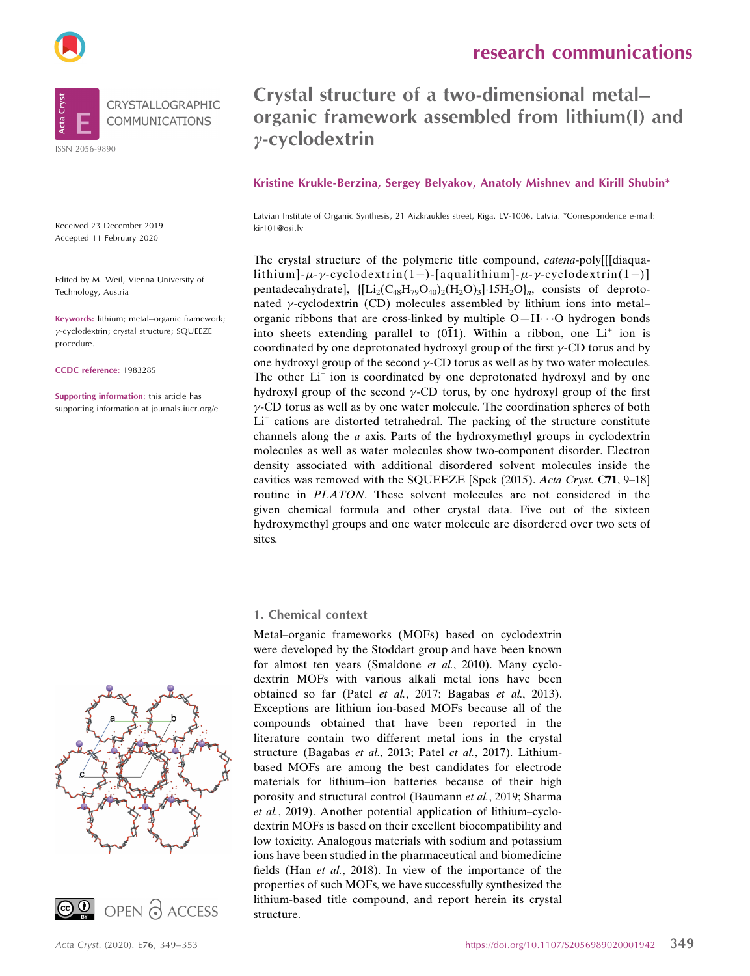



Received 23 December 2019 Accepted 11 February 2020

Edited by M. Weil, Vienna University of Technology, Austria

Keywords: lithium; metal–organic framework; --cyclodextrin; crystal structure; SQUEEZE procedure.

CCDC reference: 1983285

Supporting information: this article has supporting information at journals.iucr.org/e

## Crystal structure of a two-dimensional metal– organic framework assembled from lithium(I) and  $y$ -cyclodextrin

Kristine Krukle-Berzina, Sergey Belyakov, Anatoly Mishnev and Kirill Shubin\*

Latvian Institute of Organic Synthesis, 21 Aizkraukles street, Riga, LV-1006, Latvia. \*Correspondence e-mail: kir101@osi.lv

The crystal structure of the polymeric title compound, catena-poly[[[diaqualithium]- $\mu$ - $\gamma$ -cyclodextrin(1–)-[aqualithium]- $\mu$ - $\gamma$ -cyclodextrin(1–)] pentadecahydrate],  $\left\{ [Li_2(C_{48}H_{79}O_{40})_2(H_2O)_3]\cdot 15H_2O \right\}$ , consists of deprotonated  $\gamma$ -cyclodextrin (CD) molecules assembled by lithium ions into metalorganic ribbons that are cross-linked by multiple  $O-H\cdots O$  hydrogen bonds into sheets extending parallel to  $(0\overline{1}1)$ . Within a ribbon, one Li<sup>+</sup> ion is coordinated by one deprotonated hydroxyl group of the first  $\gamma$ -CD torus and by one hydroxyl group of the second  $\gamma$ -CD torus as well as by two water molecules. The other  $Li<sup>+</sup>$  ion is coordinated by one deprotonated hydroxyl and by one hydroxyl group of the second  $\gamma$ -CD torus, by one hydroxyl group of the first  $\gamma$ -CD torus as well as by one water molecule. The coordination spheres of both  $Li<sup>+</sup>$  cations are distorted tetrahedral. The packing of the structure constitute channels along the a axis. Parts of the hydroxymethyl groups in cyclodextrin molecules as well as water molecules show two-component disorder. Electron density associated with additional disordered solvent molecules inside the cavities was removed with the SQUEEZE [Spek (2015). Acta Cryst. C71, 9–18] routine in PLATON. These solvent molecules are not considered in the given chemical formula and other crystal data. Five out of the sixteen hydroxymethyl groups and one water molecule are disordered over two sets of sites.

### 1. Chemical context

Metal–organic frameworks (MOFs) based on cyclodextrin were developed by the Stoddart group and have been known for almost ten years (Smaldone et al., 2010). Many cyclodextrin MOFs with various alkali metal ions have been obtained so far (Patel et al., 2017; Bagabas et al., 2013). Exceptions are lithium ion-based MOFs because all of the compounds obtained that have been reported in the literature contain two different metal ions in the crystal structure (Bagabas et al., 2013; Patel et al., 2017). Lithiumbased MOFs are among the best candidates for electrode materials for lithium–ion batteries because of their high porosity and structural control (Baumann et al., 2019; Sharma et al., 2019). Another potential application of lithium–cyclodextrin MOFs is based on their excellent biocompatibility and low toxicity. Analogous materials with sodium and potassium ions have been studied in the pharmaceutical and biomedicine fields (Han et al., 2018). In view of the importance of the properties of such MOFs, we have successfully synthesized the lithium-based title compound, and report herein its crystal structure.



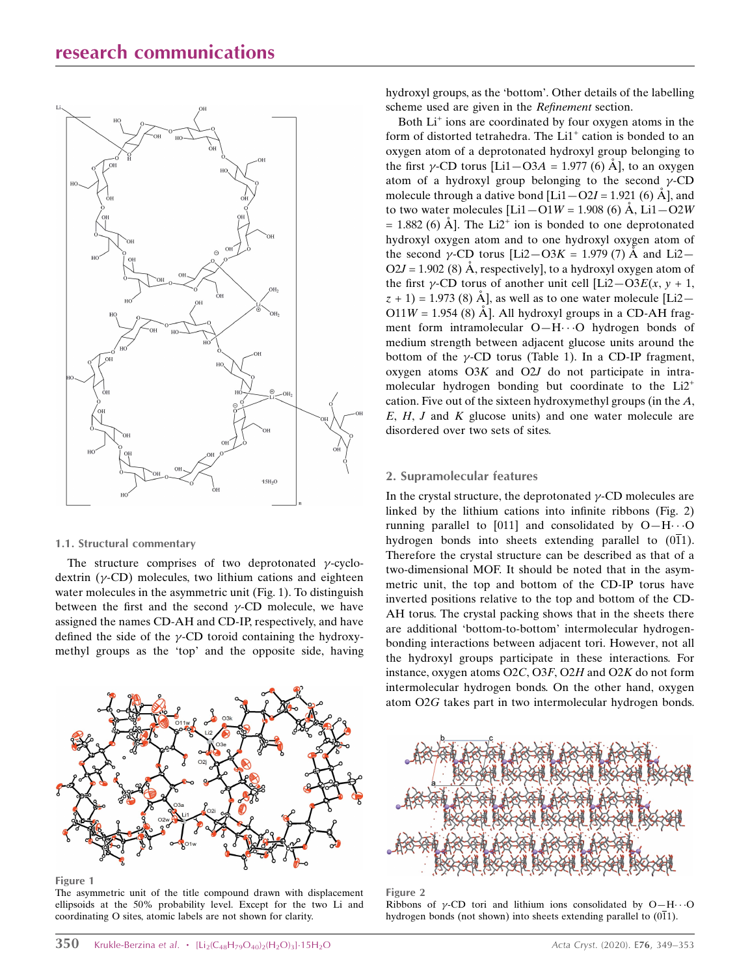### research communications



#### 1.1. Structural commentary

The structure comprises of two deprotonated  $\gamma$ -cyclodextrin ( $\gamma$ -CD) molecules, two lithium cations and eighteen water molecules in the asymmetric unit (Fig. 1). To distinguish between the first and the second  $\gamma$ -CD molecule, we have assigned the names CD-AH and CD-IP, respectively, and have defined the side of the  $\gamma$ -CD toroid containing the hydroxymethyl groups as the 'top' and the opposite side, having



Figure 1

The asymmetric unit of the title compound drawn with displacement ellipsoids at the 50% probability level. Except for the two Li and coordinating O sites, atomic labels are not shown for clarity.

hydroxyl groups, as the 'bottom'. Other details of the labelling scheme used are given in the Refinement section.

Both  $Li<sup>+</sup>$  ions are coordinated by four oxygen atoms in the form of distorted tetrahedra. The  $Li<sup>+</sup>$  cation is bonded to an oxygen atom of a deprotonated hydroxyl group belonging to the first  $\gamma$ -CD torus [Li1–O3A = 1.977 (6) Å], to an oxygen atom of a hydroxyl group belonging to the second  $\gamma$ -CD molecule through a dative bond  $[L_11 - Q_2] = 1.921$  (6)  $\AA$ , and to two water molecules  $[Li] - O1W = 1.908$  (6) A,  $Li1 - O2W$  $= 1.882$  (6) A<sup> $\rm A$ </sup>. The Li<sup>2+</sup> ion is bonded to one deprotonated hydroxyl oxygen atom and to one hydroxyl oxygen atom of the second  $\gamma$ -CD torus [Li2–O3K = 1.979 (7)  $\AA$  and Li2–  $O2J = 1.902$  (8) Å, respectively], to a hydroxyl oxygen atom of the first  $\gamma$ -CD torus of another unit cell [Li2–O3E(x, y + 1,  $(z + 1) = 1.973$  (8) Å, as well as to one water molecule [Li2- $O11W = 1.954$  (8) A<sup> $\dot{A}$ </sup>. All hydroxyl groups in a CD-AH fragment form intramolecular  $O-H\cdots O$  hydrogen bonds of medium strength between adjacent glucose units around the bottom of the  $\gamma$ -CD torus (Table 1). In a CD-IP fragment, oxygen atoms O3K and O2J do not participate in intramolecular hydrogen bonding but coordinate to the  $Li2^+$ cation. Five out of the sixteen hydroxymethyl groups (in the A,  $E, H, J$  and  $K$  glucose units) and one water molecule are disordered over two sets of sites.

### 2. Supramolecular features

In the crystal structure, the deprotonated  $\gamma$ -CD molecules are linked by the lithium cations into infinite ribbons (Fig. 2) running parallel to [011] and consolidated by  $O-H\cdots O$ hydrogen bonds into sheets extending parallel to  $(0\overline{1}1)$ . Therefore the crystal structure can be described as that of a two-dimensional MOF. It should be noted that in the asymmetric unit, the top and bottom of the CD-IP torus have inverted positions relative to the top and bottom of the CD-AH torus. The crystal packing shows that in the sheets there are additional 'bottom-to-bottom' intermolecular hydrogenbonding interactions between adjacent tori. However, not all the hydroxyl groups participate in these interactions. For instance, oxygen atoms O2C, O3F, O2H and O2K do not form intermolecular hydrogen bonds. On the other hand, oxygen atom O2G takes part in two intermolecular hydrogen bonds.



Figure 2

Ribbons of  $\gamma$ -CD tori and lithium ions consolidated by O-H $\cdots$ O hydrogen bonds (not shown) into sheets extending parallel to (011).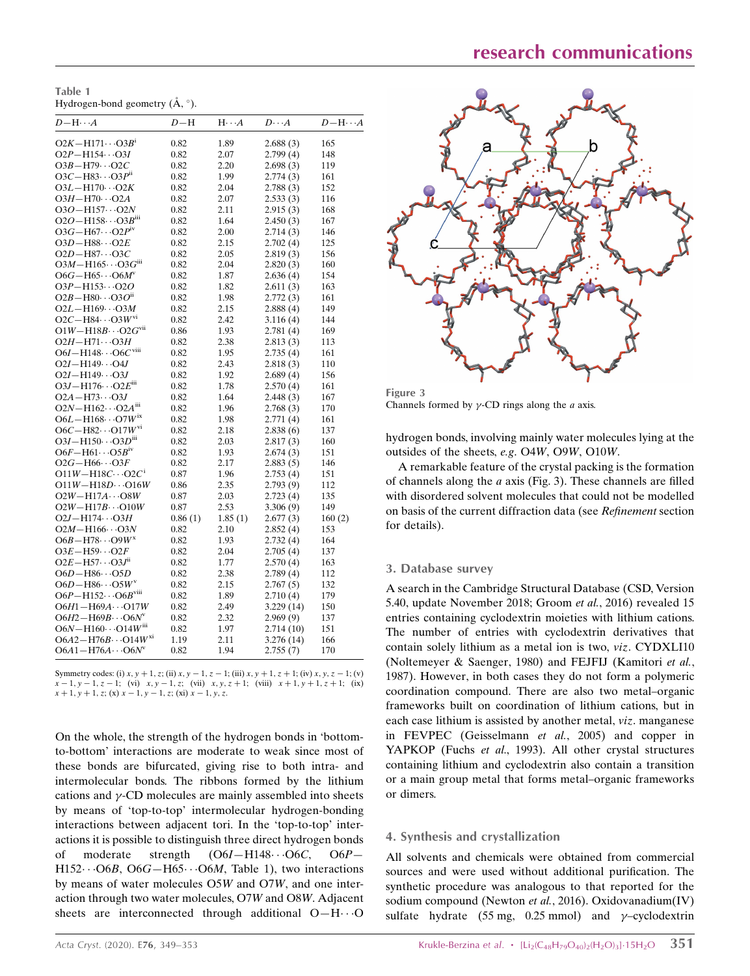Table 1 Hydrogen-bond geometry  $(\AA, \degree)$ .

| $D - H \cdots A$                        | $D-H$   | $H \cdot \cdot \cdot A$ | $D\cdots A$ | $D - H \cdots A$ |
|-----------------------------------------|---------|-------------------------|-------------|------------------|
| $O2K - H171 \cdots O3B^i$               | 0.82    | 1.89                    | 2.688(3)    | 165              |
| $O2P - H154 \cdots O3I$                 | 0.82    | 2.07                    | 2.799(4)    | 148              |
| $O3B - H79 \cdots O2C$                  | 0.82    | 2.20                    | 2.698(3)    | 119              |
| $O3C - H83 \cdots O3P^{ii}$             | 0.82    | 1.99                    | 2.774(3)    | 161              |
| $O3L - H170 \cdots O2K$                 | 0.82    | 2.04                    | 2.788(3)    | 152              |
| $O3H - H70 \cdots O2A$                  | 0.82    | 2.07                    | 2.533(3)    | 116              |
| $O3O - H157 \cdots O2N$                 | 0.82    | 2.11                    | 2.915(3)    | 168              |
| $O2O - H158 \cdots O3B^{iii}$           | 0.82    | 1.64                    | 2.450(3)    | 167              |
| $O3G - H67 \cdots O2PIV$                | 0.82    | 2.00                    | 2.714(3)    | 146              |
| $O3D - H88 \cdots O2E$                  | 0.82    | 2.15                    | 2.702(4)    | 125              |
| $O2D - H87 \cdots O3C$                  | 0.82    | 2.05                    | 2.819(3)    | 156              |
| $O3M - H165 \cdots O3G^{iii}$           | 0.82    | 2.04                    | 2.820(3)    | 160              |
| $O6G - H65 \cdots O6M^v$                | 0.82    | 1.87                    | 2.636(4)    | 154              |
| $O3P - H153 \cdots O2O$                 | 0.82    | 1.82                    | 2.611(3)    | 163              |
| $O2B - H80 \cdots O3O^{ii}$             | 0.82    | 1.98                    | 2.772(3)    | 161              |
| $O2L - H169 \cdots O3M$                 | 0.82    | 2.15                    | 2.888(4)    | 149              |
| $O2C - H84 \cdots O3W$ <sup>vi</sup>    | 0.82    | 2.42                    | 3.116(4)    | 144              |
| $O1W - H18B \cdots O2G$ <sup>vii</sup>  | 0.86    | 1.93                    | 2.781(4)    | 169              |
| $O2H - H71 \cdots O3H$                  | 0.82    | 2.38                    | 2.813(3)    | 113              |
| $O6I - H148 \cdots O6C$ <sup>viii</sup> | 0.82    | 1.95                    | 2.735(4)    | 161              |
| $O2I - H149 \cdots O4J$                 | 0.82    | 2.43                    | 2.818(3)    | 110              |
| $O2I - H149 \cdots O3J$                 | 0.82    | 1.92                    | 2.689(4)    | 156              |
| $O3J - H176 \cdots O2E^{iii}$           | 0.82    | 1.78                    | 2.570(4)    | 161              |
| $O2A - H73 \cdots O3J$                  | 0.82    | 1.64                    | 2.448(3)    | 167              |
| $O2N - H162 \cdots O2A^{m}$             | 0.82    | 1.96                    | 2.768(3)    | 170              |
| $O6L - H168 \cdots O7W^{ix}$            | 0.82    | 1.98                    | 2.771(4)    | 161              |
| $O6C - H82 \cdots O17W^{vi}$            | 0.82    | 2.18                    | 2.838(6)    | 137              |
| $O3I - H150 \cdots O3D^{m}$             | 0.82    | 2.03                    | 2.817(3)    | 160              |
| $O6F - H61 \cdots O5Biv$                | 0.82    | 1.93                    | 2.674(3)    | 151              |
| $O2G - H66 \cdots O3F$                  | 0.82    | 2.17                    | 2.883(5)    | 146              |
| $O11W - H18C \cdots O2C$ <sup>i</sup>   | 0.87    | 1.96                    | 2.753(4)    | 151              |
| $O11W - H18D \cdots O16W$               | 0.86    | 2.35                    | 2.793(9)    | 112              |
| $O2W - H17A \cdots O8W$                 | 0.87    | 2.03                    | 2.723(4)    | 135              |
| $O2W - H17B \cdots O10W$                | 0.87    | 2.53                    | 3.306(9)    | 149              |
| $O2J - H174 \cdots O3H$                 | 0.86(1) | 1.85(1)                 | 2.677(3)    | 160(2)           |
| $O2M - H166 \cdots O3N$                 | 0.82    | 2.10                    | 2.852(4)    | 153              |
| $O6B - H78 \cdots O9W^{x}$              | 0.82    | 1.93                    | 2.732(4)    | 164              |
| $O3E - H59 \cdots O2F$                  | 0.82    | 2.04                    | 2.705(4)    | 137              |
| $O2E - H57 \cdots O3J^{n}$              | 0.82    | 1.77                    | 2.570(4)    | 163              |
| $O6D - H86 \cdots O5D$                  | 0.82    | 2.38                    | 2.789(4)    | 112              |
| $O6D - H86 \cdots O5Wv$                 | 0.82    | 2.15                    | 2.767(5)    | 132              |
| $O6P - H152 \cdots O6B$ <sup>viii</sup> | 0.82    | 1.89                    | 2.710(4)    | 179              |
| $O6H1 - H69A \cdots O17W$               | 0.82    | 2.49                    | 3.229(14)   | 150              |
| $O6H2 - H69B \cdots O6N^v$              | 0.82    | 2.32                    | 2.969(9)    | 137              |
| $O6N - H160 \cdots O14W^{m}$            | 0.82    | 1.97                    | 2.714(10)   | 151              |
| $O6A2 - H76B \cdots O14W^{x_1}$         | 1.19    | 2.11                    | 3.276(14)   | 166              |
| $O6A1 - H76A \cdots O6N^v$              | 0.82    | 1.94                    | 2.755(7)    | 170              |
|                                         |         |                         |             |                  |

Symmetry codes: (i)  $x, y + 1, z$ ; (ii)  $x, y - 1, z - 1$ ; (iii)  $x, y + 1, z + 1$ ; (iv)  $x, y, z - 1$ ; (vi)  $x - 1, y - 1, z - 1$ ; (vi)  $x, y - 1, z$ ; (vii)  $x, y, z + 1$ ; (viii)  $x + 1, y + 1, z + 1$ ; (ix)  $x + 1$ ,  $y + 1$ , z; (x)  $x - 1$ ,  $y - 1$ , z; (xi)  $x - 1$ , y, z.

On the whole, the strength of the hydrogen bonds in 'bottomto-bottom' interactions are moderate to weak since most of these bonds are bifurcated, giving rise to both intra- and intermolecular bonds. The ribbons formed by the lithium cations and  $\gamma$ -CD molecules are mainly assembled into sheets by means of 'top-to-top' intermolecular hydrogen-bonding interactions between adjacent tori. In the 'top-to-top' interactions it is possible to distinguish three direct hydrogen bonds of moderate strength  $(O6I - H148\cdots O6C, O6P H152\cdots$  O6B, O6G-H65 $\cdots$ O6M, Table 1), two interactions by means of water molecules O5W and O7W, and one interaction through two water molecules, O7W and O8W. Adjacent sheets are interconnected through additional  $O-H\cdots O$ 



Figure 3 Channels formed by  $\gamma$ -CD rings along the *a* axis.

hydrogen bonds, involving mainly water molecules lying at the outsides of the sheets, e.g. O4W, O9W, O10W.

A remarkable feature of the crystal packing is the formation of channels along the a axis (Fig. 3). These channels are filled with disordered solvent molecules that could not be modelled on basis of the current diffraction data (see Refinement section for details).

### 3. Database survey

A search in the Cambridge Structural Database (CSD, Version 5.40, update November 2018; Groom et al., 2016) revealed 15 entries containing cyclodextrin moieties with lithium cations. The number of entries with cyclodextrin derivatives that contain solely lithium as a metal ion is two, viz. CYDXLI10 (Noltemeyer & Saenger, 1980) and FEJFIJ (Kamitori et al., 1987). However, in both cases they do not form a polymeric coordination compound. There are also two metal–organic frameworks built on coordination of lithium cations, but in each case lithium is assisted by another metal, viz. manganese in FEVPEC (Geisselmann et al., 2005) and copper in YAPKOP (Fuchs et al., 1993). All other crystal structures containing lithium and cyclodextrin also contain a transition or a main group metal that forms metal–organic frameworks or dimers.

### 4. Synthesis and crystallization

All solvents and chemicals were obtained from commercial sources and were used without additional purification. The synthetic procedure was analogous to that reported for the sodium compound (Newton et al., 2016). Oxidovanadium(IV) sulfate hydrate  $(55 \text{ mg}, 0.25 \text{ mmol})$  and  $\gamma$ -cyclodextrin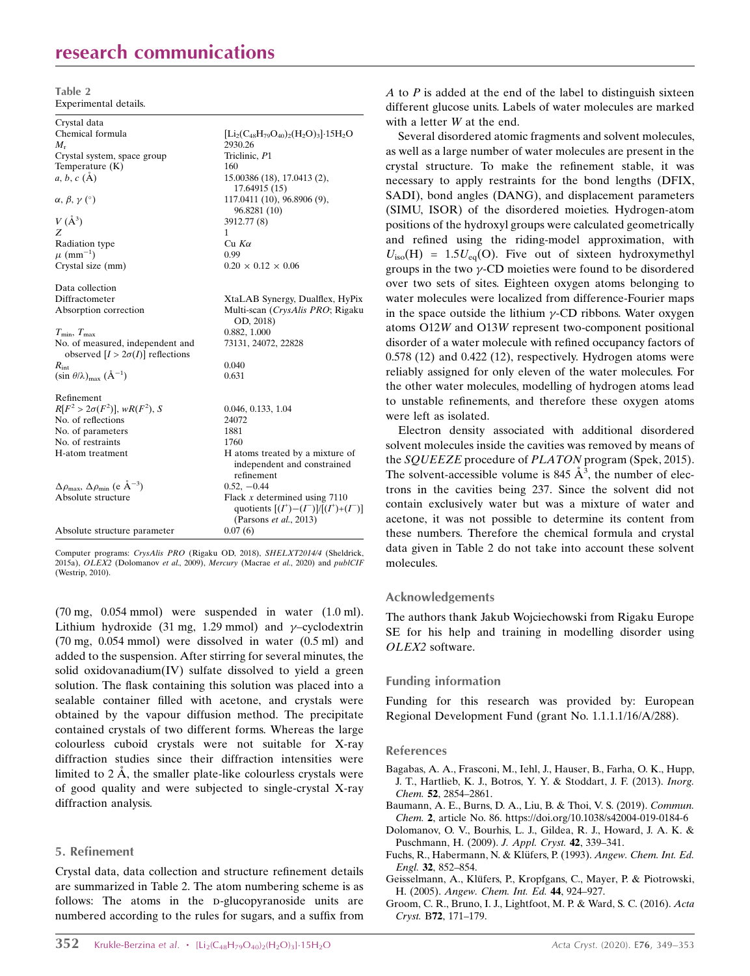## research communications

Table 2 Experimental details.

| Crystal data                                                                |                                                                                                            |
|-----------------------------------------------------------------------------|------------------------------------------------------------------------------------------------------------|
| Chemical formula                                                            | $[\text{Li}_2(\text{C}_{48}\text{H}_{79}\text{O}_{40})_2(\text{H}_2\text{O})_3]\cdot 15\text{H}_2\text{O}$ |
| $M_{\rm r}$                                                                 | 2930.26                                                                                                    |
| Crystal system, space group                                                 | Triclinic, P1                                                                                              |
| Temperature $(K)$                                                           | 160                                                                                                        |
| $a, b, c$ (A)                                                               | 15.00386 (18), 17.0413 (2),<br>17.64915 (15)                                                               |
| $\alpha, \beta, \gamma$ (°)                                                 | 117.0411 (10), 96.8906 (9),<br>96.8281 (10)                                                                |
| $V(\AA^3)$                                                                  | 3912.77 (8)                                                                                                |
| Z                                                                           | 1                                                                                                          |
| Radiation type                                                              | $Cu$ $K\alpha$                                                                                             |
| $\mu$ (mm <sup>-1</sup> )                                                   | 0.99                                                                                                       |
| Crystal size (mm)                                                           | $0.20 \times 0.12 \times 0.06$                                                                             |
| Data collection                                                             |                                                                                                            |
| Diffractometer                                                              | XtaLAB Synergy, Dualflex, HyPix                                                                            |
| Absorption correction                                                       | Multi-scan (CrysAlis PRO; Rigaku<br>OD, 2018)                                                              |
| $T_{\min}, T_{\max}$                                                        | 0.882, 1.000                                                                                               |
| No. of measured, independent and<br>observed $[I > 2\sigma(I)]$ reflections | 73131, 24072, 22828                                                                                        |
| $R_{\text{int}}$                                                            | 0.040                                                                                                      |
| $(\sin \theta/\lambda)_{\text{max}}$ $(\AA^{-1})$                           | 0.631                                                                                                      |
| Refinement                                                                  |                                                                                                            |
| $R[F^2 > 2\sigma(F^2)], wR(F^2), S$                                         | 0.046, 0.133, 1.04                                                                                         |
| No. of reflections                                                          | 24072                                                                                                      |
| No. of parameters                                                           | 1881                                                                                                       |
| No. of restraints                                                           | 1760                                                                                                       |
| H-atom treatment                                                            | H atoms treated by a mixture of<br>independent and constrained<br>refinement                               |
| $\Delta\rho_{\text{max}}$ , $\Delta\rho_{\text{min}}$ (e $\rm \AA^{-3}$ )   | $0.52, -0.44$                                                                                              |
| Absolute structure                                                          | Flack $x$ determined using 7110                                                                            |
|                                                                             | quotients $[(I^*)-(I^-)]/[(I^*)+(I^-)]$<br>(Parsons <i>et al.</i> , 2013)                                  |
| Absolute structure parameter                                                | 0.07(6)                                                                                                    |
|                                                                             |                                                                                                            |

Computer programs: CrysAlis PRO (Rigaku OD, 2018), SHELXT2014/4 (Sheldrick, 2015a), OLEX2 (Dolomanov et al., 2009), Mercury (Macrae et al., 2020) and publCIF (Westrip, 2010).

(70 mg, 0.054 mmol) were suspended in water (1.0 ml). Lithium hydroxide (31 mg, 1.29 mmol) and  $\gamma$ -cyclodextrin (70 mg, 0.054 mmol) were dissolved in water (0.5 ml) and added to the suspension. After stirring for several minutes, the solid oxidovanadium(IV) sulfate dissolved to yield a green solution. The flask containing this solution was placed into a sealable container filled with acetone, and crystals were obtained by the vapour diffusion method. The precipitate contained crystals of two different forms. Whereas the large colourless cuboid crystals were not suitable for X-ray diffraction studies since their diffraction intensities were limited to  $2 \text{ Å}$ , the smaller plate-like colourless crystals were of good quality and were subjected to single-crystal X-ray diffraction analysis.

### 5. Refinement

Crystal data, data collection and structure refinement details are summarized in Table 2. The atom numbering scheme is as follows: The atoms in the p-glucopyranoside units are numbered according to the rules for sugars, and a suffix from A to  $P$  is added at the end of the label to distinguish sixteen different glucose units. Labels of water molecules are marked with a letter W at the end.

Several disordered atomic fragments and solvent molecules, as well as a large number of water molecules are present in the crystal structure. To make the refinement stable, it was necessary to apply restraints for the bond lengths (DFIX, SADI), bond angles (DANG), and displacement parameters (SIMU, ISOR) of the disordered moieties. Hydrogen-atom positions of the hydroxyl groups were calculated geometrically and refined using the riding-model approximation, with  $U_{\text{iso}}(H) = 1.5U_{\text{eq}}(O)$ . Five out of sixteen hydroxymethyl groups in the two  $\gamma$ -CD moieties were found to be disordered over two sets of sites. Eighteen oxygen atoms belonging to water molecules were localized from difference-Fourier maps in the space outside the lithium  $\gamma$ -CD ribbons. Water oxygen atoms O12W and O13W represent two-component positional disorder of a water molecule with refined occupancy factors of 0.578 (12) and 0.422 (12), respectively. Hydrogen atoms were reliably assigned for only eleven of the water molecules. For the other water molecules, modelling of hydrogen atoms lead to unstable refinements, and therefore these oxygen atoms were left as isolated.

Electron density associated with additional disordered solvent molecules inside the cavities was removed by means of the SQUEEZE procedure of PLATON program (Spek, 2015). The solvent-accessible volume is 845  $\AA$ <sup>3</sup>, the number of electrons in the cavities being 237. Since the solvent did not contain exclusively water but was a mixture of water and acetone, it was not possible to determine its content from these numbers. Therefore the chemical formula and crystal data given in Table 2 do not take into account these solvent molecules.

### Acknowledgements

The authors thank Jakub Wojciechowski from Rigaku Europe SE for his help and training in modelling disorder using OLEX2 software.

#### Funding information

Funding for this research was provided by: European Regional Development Fund (grant No. 1.1.1.1/16/A/288).

#### References

- [Bagabas, A. A., Frasconi, M., Iehl, J., Hauser, B., Farha, O. K., Hupp,](http://scripts.iucr.org/cgi-bin/cr.cgi?rm=pdfbb&cnor=wm5534&bbid=BB1) [J. T., Hartlieb, K. J., Botros, Y. Y. & Stoddart, J. F. \(2013\).](http://scripts.iucr.org/cgi-bin/cr.cgi?rm=pdfbb&cnor=wm5534&bbid=BB1) Inorg. Chem. 52[, 2854–2861.](http://scripts.iucr.org/cgi-bin/cr.cgi?rm=pdfbb&cnor=wm5534&bbid=BB1)
- [Baumann, A. E., Burns, D. A., Liu, B. & Thoi, V. S. \(2019\).](http://scripts.iucr.org/cgi-bin/cr.cgi?rm=pdfbb&cnor=wm5534&bbid=BB8) Commun. Chem. 2[, article No. 86. https://doi.org/10.1038/s42004-019-0184-6](http://scripts.iucr.org/cgi-bin/cr.cgi?rm=pdfbb&cnor=wm5534&bbid=BB8)
- [Dolomanov, O. V., Bourhis, L. J., Gildea, R. J., Howard, J. A. K. &](http://scripts.iucr.org/cgi-bin/cr.cgi?rm=pdfbb&cnor=wm5534&bbid=BB2) [Puschmann, H. \(2009\).](http://scripts.iucr.org/cgi-bin/cr.cgi?rm=pdfbb&cnor=wm5534&bbid=BB2) J. Appl. Cryst. 42, 339–341.
- Fuchs, R., Habermann, N. & Klüfers, P. (1993). Angew. Chem. Int. Ed. Engl. 32[, 852–854.](http://scripts.iucr.org/cgi-bin/cr.cgi?rm=pdfbb&cnor=wm5534&bbid=BB3)
- Geisselmann, A., Klüfers, P., Kropfgans, C., Mayer, P. & Piotrowski, H. (2005). [Angew. Chem. Int. Ed.](http://scripts.iucr.org/cgi-bin/cr.cgi?rm=pdfbb&cnor=wm5534&bbid=BB4) 44, 924–927.
- [Groom, C. R., Bruno, I. J., Lightfoot, M. P. & Ward, S. C. \(2016\).](http://scripts.iucr.org/cgi-bin/cr.cgi?rm=pdfbb&cnor=wm5534&bbid=BB5) Acta Cryst. B72[, 171–179.](http://scripts.iucr.org/cgi-bin/cr.cgi?rm=pdfbb&cnor=wm5534&bbid=BB5)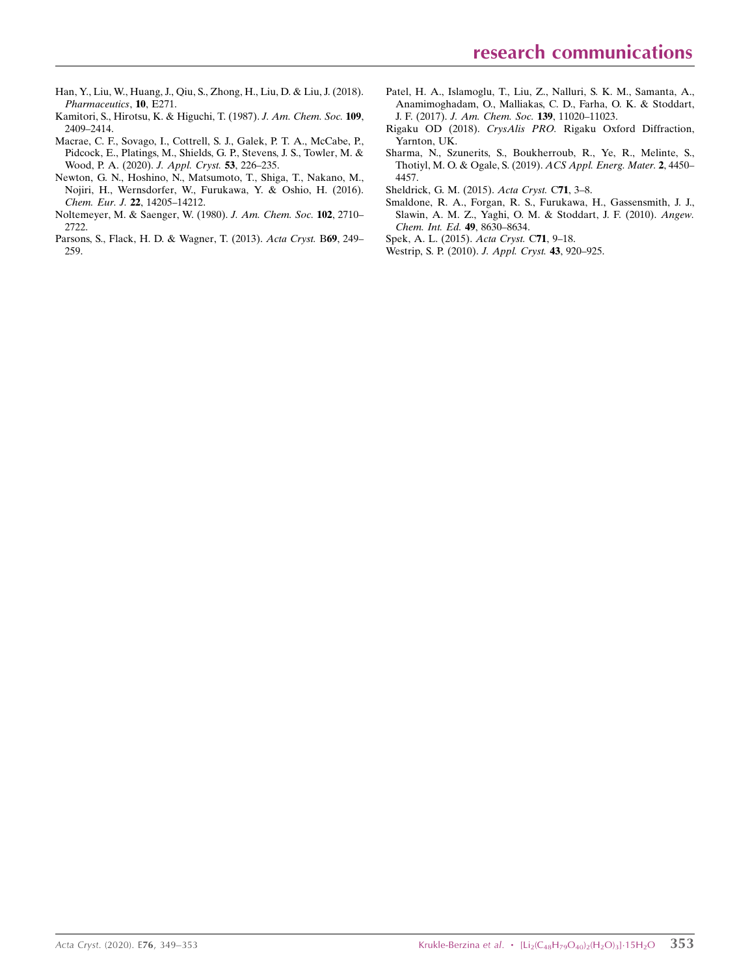- [Han, Y., Liu, W., Huang, J., Qiu, S., Zhong, H., Liu, D. & Liu, J. \(2018\).](http://scripts.iucr.org/cgi-bin/cr.cgi?rm=pdfbb&cnor=wm5534&bbid=BB17) [Pharmaceutics](http://scripts.iucr.org/cgi-bin/cr.cgi?rm=pdfbb&cnor=wm5534&bbid=BB17), 10, E271.
- [Kamitori, S., Hirotsu, K. & Higuchi, T. \(1987\).](http://scripts.iucr.org/cgi-bin/cr.cgi?rm=pdfbb&cnor=wm5534&bbid=BB7) J. Am. Chem. Soc. 109, [2409–2414.](http://scripts.iucr.org/cgi-bin/cr.cgi?rm=pdfbb&cnor=wm5534&bbid=BB7)
- [Macrae, C. F., Sovago, I., Cottrell, S. J., Galek, P. T. A., McCabe, P.,](http://scripts.iucr.org/cgi-bin/cr.cgi?rm=pdfbb&cnor=wm5534&bbid=BB9) [Pidcock, E., Platings, M., Shields, G. P., Stevens, J. S., Towler, M. &](http://scripts.iucr.org/cgi-bin/cr.cgi?rm=pdfbb&cnor=wm5534&bbid=BB9) [Wood, P. A. \(2020\).](http://scripts.iucr.org/cgi-bin/cr.cgi?rm=pdfbb&cnor=wm5534&bbid=BB9) J. Appl. Cryst. 53, 226–235.
- [Newton, G. N., Hoshino, N., Matsumoto, T., Shiga, T., Nakano, M.,](http://scripts.iucr.org/cgi-bin/cr.cgi?rm=pdfbb&cnor=wm5534&bbid=BB10) [Nojiri, H., Wernsdorfer, W., Furukawa, Y. & Oshio, H. \(2016\).](http://scripts.iucr.org/cgi-bin/cr.cgi?rm=pdfbb&cnor=wm5534&bbid=BB10) Chem. Eur. J. 22[, 14205–14212.](http://scripts.iucr.org/cgi-bin/cr.cgi?rm=pdfbb&cnor=wm5534&bbid=BB10)
- [Noltemeyer, M. & Saenger, W. \(1980\).](http://scripts.iucr.org/cgi-bin/cr.cgi?rm=pdfbb&cnor=wm5534&bbid=BB11) J. Am. Chem. Soc. 102, 2710– [2722.](http://scripts.iucr.org/cgi-bin/cr.cgi?rm=pdfbb&cnor=wm5534&bbid=BB11)
- [Parsons, S., Flack, H. D. & Wagner, T. \(2013\).](http://scripts.iucr.org/cgi-bin/cr.cgi?rm=pdfbb&cnor=wm5534&bbid=BB12) Acta Cryst. B69, 249– [259.](http://scripts.iucr.org/cgi-bin/cr.cgi?rm=pdfbb&cnor=wm5534&bbid=BB12)
- [Patel, H. A., Islamoglu, T., Liu, Z., Nalluri, S. K. M., Samanta, A.,](http://scripts.iucr.org/cgi-bin/cr.cgi?rm=pdfbb&cnor=wm5534&bbid=BB13) [Anamimoghadam, O., Malliakas, C. D., Farha, O. K. & Stoddart,](http://scripts.iucr.org/cgi-bin/cr.cgi?rm=pdfbb&cnor=wm5534&bbid=BB13) J. F. (2017). [J. Am. Chem. Soc.](http://scripts.iucr.org/cgi-bin/cr.cgi?rm=pdfbb&cnor=wm5534&bbid=BB13) 139, 11020–11023.
- Rigaku OD (2018). CrysAlis PRO. [Rigaku Oxford Diffraction,](http://scripts.iucr.org/cgi-bin/cr.cgi?rm=pdfbb&cnor=wm5534&bbid=BB14) [Yarnton, UK.](http://scripts.iucr.org/cgi-bin/cr.cgi?rm=pdfbb&cnor=wm5534&bbid=BB14)
- [Sharma, N., Szunerits, S., Boukherroub, R., Ye, R., Melinte, S.,](http://scripts.iucr.org/cgi-bin/cr.cgi?rm=pdfbb&cnor=wm5534&bbid=BB15) [Thotiyl, M. O. & Ogale, S. \(2019\).](http://scripts.iucr.org/cgi-bin/cr.cgi?rm=pdfbb&cnor=wm5534&bbid=BB15) ACS Appl. Energ. Mater. 2, 4450– [4457.](http://scripts.iucr.org/cgi-bin/cr.cgi?rm=pdfbb&cnor=wm5534&bbid=BB15)
- [Sheldrick, G. M. \(2015\).](http://scripts.iucr.org/cgi-bin/cr.cgi?rm=pdfbb&cnor=wm5534&bbid=BB16) Acta Cryst. C71, 3–8.
- [Smaldone, R. A., Forgan, R. S., Furukawa, H., Gassensmith, J. J.,](http://scripts.iucr.org/cgi-bin/cr.cgi?rm=pdfbb&cnor=wm5534&bbid=BB17) [Slawin, A. M. Z., Yaghi, O. M. & Stoddart, J. F. \(2010\).](http://scripts.iucr.org/cgi-bin/cr.cgi?rm=pdfbb&cnor=wm5534&bbid=BB17) Angew. [Chem. Int. Ed.](http://scripts.iucr.org/cgi-bin/cr.cgi?rm=pdfbb&cnor=wm5534&bbid=BB17) 49, 8630–8634.
- [Spek, A. L. \(2015\).](http://scripts.iucr.org/cgi-bin/cr.cgi?rm=pdfbb&cnor=wm5534&bbid=BB18) Acta Cryst. C71, 9–18.
- [Westrip, S. P. \(2010\).](http://scripts.iucr.org/cgi-bin/cr.cgi?rm=pdfbb&cnor=wm5534&bbid=BB19) J. Appl. Cryst. 43, 920–925.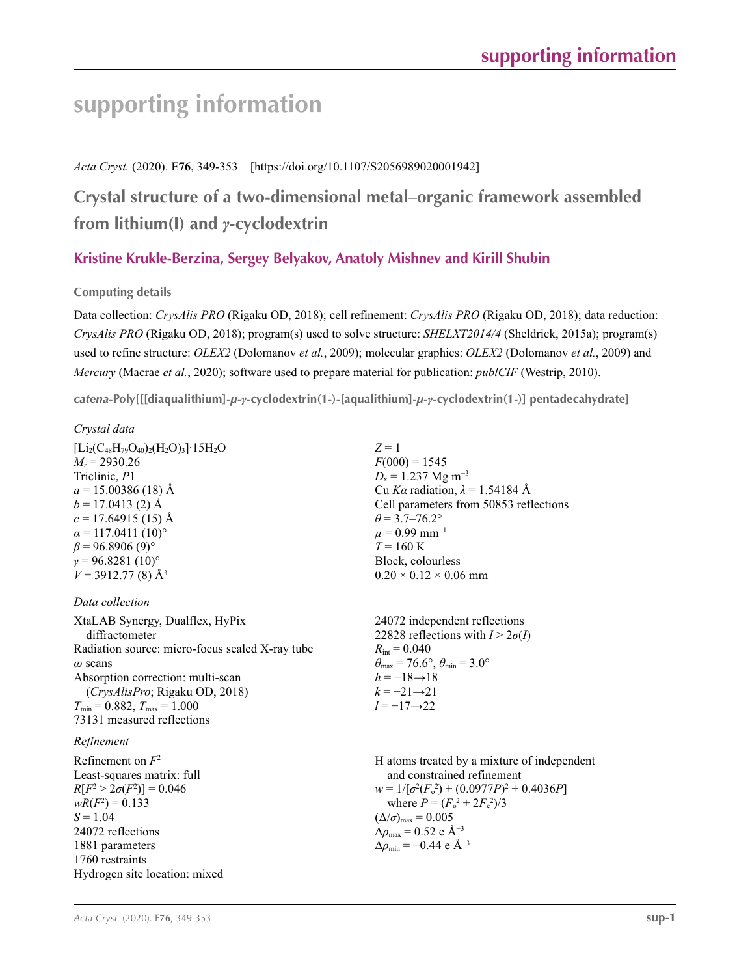### *Acta Cryst.* (2020). E**76**, 349-353 [https://doi.org/10.1107/S2056989020001942]

## **Crystal structure of a two-dimensional metal–organic framework assembled from lithium(I) and** *γ***-cyclodextrin**

### **Kristine Krukle-Berzina, Sergey Belyakov, Anatoly Mishnev and Kirill Shubin**

### **Computing details**

Data collection: *CrysAlis PRO* (Rigaku OD, 2018); cell refinement: *CrysAlis PRO* (Rigaku OD, 2018); data reduction: *CrysAlis PRO* (Rigaku OD, 2018); program(s) used to solve structure: *SHELXT2014/4* (Sheldrick, 2015a); program(s) used to refine structure: *OLEX2* (Dolomanov *et al.*, 2009); molecular graphics: *OLEX2* (Dolomanov *et al.*, 2009) and *Mercury* (Macrae *et al.*, 2020); software used to prepare material for publication: *publCIF* (Westrip, 2010).

*catena***-Poly[[[diaqualithium]-***µ***-***γ***-cyclodextrin(1-)-[aqualithium]-***µ***-***γ***-cyclodextrin(1-)] pentadecahydrate]** 

### *Crystal data*

| $[Li_2(C_{48}H_{79}O_{40})_2(H_2O)_3]$ 15H <sub>2</sub> O |
|-----------------------------------------------------------|
| $M_r = 2930.26$                                           |
| Triclinic, P1                                             |
| $a = 15.00386(18)$ Å                                      |
| $b = 17.0413$ (2) Å                                       |
| $c = 17.64915(15)$ Å                                      |
| $\alpha$ = 117.0411 (10) <sup>o</sup>                     |
| $\beta$ = 96.8906 (9) <sup>o</sup>                        |
| $\gamma = 96.8281(10)$ °                                  |
| $V = 3912.77(8)$ Å <sup>3</sup>                           |

### *Data collection*

XtaLAB Synergy, Dualflex, HyPix diffractometer Radiation source: micro-focus sealed X-ray tube *ω* scans Absorption correction: multi-scan (*CrysAlisPro*; Rigaku OD, 2018)  $T_{\text{min}} = 0.882, T_{\text{max}} = 1.000$ 73131 measured reflections

### *Refinement*

 $Z = 1$  $F(000) = 1545$  $D_x = 1.237$  Mg m<sup>-3</sup> Cu *Kα* radiation, *λ* = 1.54184 Å Cell parameters from 50853 reflections  $\theta$  = 3.7–76.2°  $\mu$  = 0.99 mm<sup>-1</sup> *T* = 160 K Block, colourless  $0.20 \times 0.12 \times 0.06$  mm

24072 independent reflections 22828 reflections with  $I > 2\sigma(I)$  $R_{\text{int}} = 0.040$  $\theta_{\text{max}} = 76.6^{\circ}, \theta_{\text{min}} = 3.0^{\circ}$  $h = -18 \rightarrow 18$  $k = -21 \rightarrow 21$ *l* = −17→22

H atoms treated by a mixture of independent and constrained refinement  $w = 1/[\sigma^2 (F_o^2) + (0.0977P)^2 + 0.4036P]$ where  $P = (F_o^2 + 2F_c^2)/3$  $(\Delta/\sigma)_{\text{max}} = 0.005$  $Δρ<sub>max</sub> = 0.52 e Å<sup>-3</sup>$  $\Delta \rho_{\rm min} = -0.44 \text{ e A}^{-3}$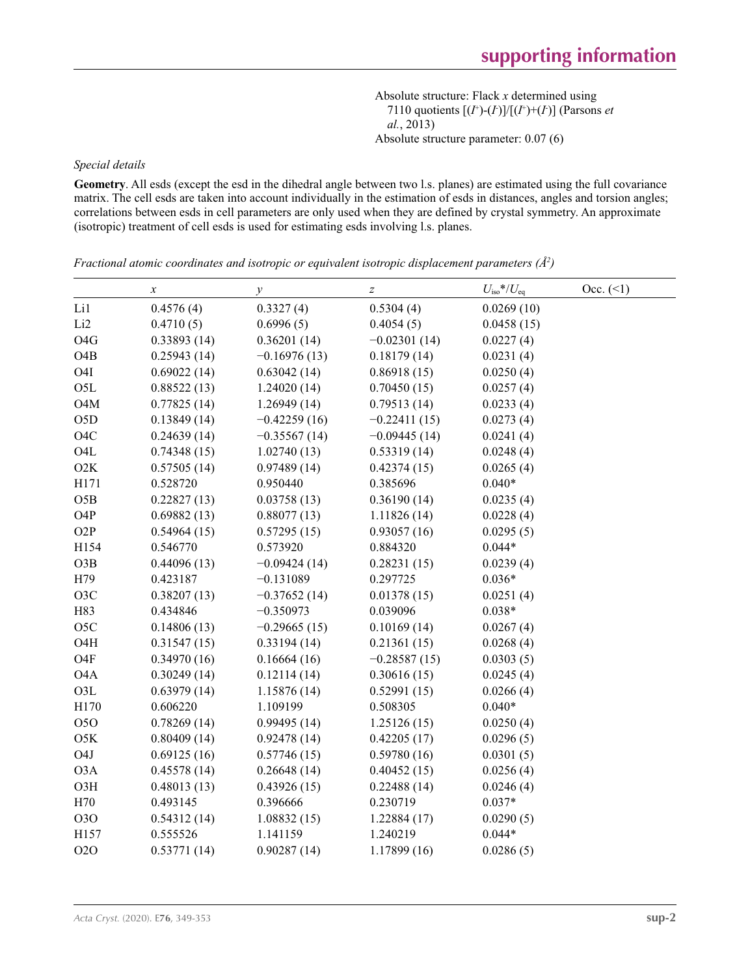Absolute structure: Flack *x* determined using 7110 quotients  $[(I^+)(I)]/[(I^+)+(I)]$  (Parsons *et al.*, 2013) Absolute structure parameter: 0.07 (6)

### *Special details*

**Geometry**. All esds (except the esd in the dihedral angle between two l.s. planes) are estimated using the full covariance matrix. The cell esds are taken into account individually in the estimation of esds in distances, angles and torsion angles; correlations between esds in cell parameters are only used when they are defined by crystal symmetry. An approximate (isotropic) treatment of cell esds is used for estimating esds involving l.s. planes.

|                  | $\boldsymbol{x}$ | $\mathcal{Y}$  | $\boldsymbol{Z}$ | $U_{\rm iso}$ */ $U_{\rm eq}$ | Occ. (2) |
|------------------|------------------|----------------|------------------|-------------------------------|----------|
| Li1              | 0.4576(4)        | 0.3327(4)      | 0.5304(4)        | 0.0269(10)                    |          |
| Li <sub>2</sub>  | 0.4710(5)        | 0.6996(5)      | 0.4054(5)        | 0.0458(15)                    |          |
| O <sub>4</sub> G | 0.33893(14)      | 0.36201(14)    | $-0.02301(14)$   | 0.0227(4)                     |          |
| O <sub>4</sub> B | 0.25943(14)      | $-0.16976(13)$ | 0.18179(14)      | 0.0231(4)                     |          |
| O <sub>4</sub> I | 0.69022(14)      | 0.63042(14)    | 0.86918(15)      | 0.0250(4)                     |          |
| O <sub>5</sub> L | 0.88522(13)      | 1.24020(14)    | 0.70450(15)      | 0.0257(4)                     |          |
| O <sub>4</sub> M | 0.77825(14)      | 1.26949(14)    | 0.79513(14)      | 0.0233(4)                     |          |
| O <sub>5</sub> D | 0.13849(14)      | $-0.42259(16)$ | $-0.22411(15)$   | 0.0273(4)                     |          |
| O <sub>4</sub> C | 0.24639(14)      | $-0.35567(14)$ | $-0.09445(14)$   | 0.0241(4)                     |          |
| O <sub>4</sub> L | 0.74348(15)      | 1.02740(13)    | 0.53319(14)      | 0.0248(4)                     |          |
| O2K              | 0.57505(14)      | 0.97489(14)    | 0.42374(15)      | 0.0265(4)                     |          |
| H171             | 0.528720         | 0.950440       | 0.385696         | $0.040*$                      |          |
| O5B              | 0.22827(13)      | 0.03758(13)    | 0.36190(14)      | 0.0235(4)                     |          |
| O <sub>4</sub> P | 0.69882(13)      | 0.88077(13)    | 1.11826(14)      | 0.0228(4)                     |          |
| O <sub>2</sub> P | 0.54964(15)      | 0.57295(15)    | 0.93057(16)      | 0.0295(5)                     |          |
| H154             | 0.546770         | 0.573920       | 0.884320         | $0.044*$                      |          |
| O3B              | 0.44096(13)      | $-0.09424(14)$ | 0.28231(15)      | 0.0239(4)                     |          |
| H79              | 0.423187         | $-0.131089$    | 0.297725         | $0.036*$                      |          |
| O <sub>3</sub> C | 0.38207(13)      | $-0.37652(14)$ | 0.01378(15)      | 0.0251(4)                     |          |
| H83              | 0.434846         | $-0.350973$    | 0.039096         | $0.038*$                      |          |
| O <sub>5</sub> C | 0.14806(13)      | $-0.29665(15)$ | 0.10169(14)      | 0.0267(4)                     |          |
| O <sub>4</sub> H | 0.31547(15)      | 0.33194(14)    | 0.21361(15)      | 0.0268(4)                     |          |
| O <sub>4</sub> F | 0.34970(16)      | 0.16664(16)    | $-0.28587(15)$   | 0.0303(5)                     |          |
| O <sub>4</sub> A | 0.30249(14)      | 0.12114(14)    | 0.30616(15)      | 0.0245(4)                     |          |
| O <sub>3</sub> L | 0.63979(14)      | 1.15876 (14)   | 0.52991(15)      | 0.0266(4)                     |          |
| H170             | 0.606220         | 1.109199       | 0.508305         | $0.040*$                      |          |
| 050              | 0.78269(14)      | 0.99495(14)    | 1.25126(15)      | 0.0250(4)                     |          |
| O5K              | 0.80409(14)      | 0.92478(14)    | 0.42205(17)      | 0.0296(5)                     |          |
| O <sub>4</sub> J | 0.69125(16)      | 0.57746(15)    | 0.59780(16)      | 0.0301(5)                     |          |
| O <sub>3</sub> A | 0.45578(14)      | 0.26648(14)    | 0.40452(15)      | 0.0256(4)                     |          |
| O3H              | 0.48013(13)      | 0.43926(15)    | 0.22488(14)      | 0.0246(4)                     |          |
| H70              | 0.493145         | 0.396666       | 0.230719         | $0.037*$                      |          |
| <b>O3O</b>       | 0.54312(14)      | 1.08832(15)    | 1.22884(17)      | 0.0290(5)                     |          |
| H157             | 0.555526         | 1.141159       | 1.240219         | $0.044*$                      |          |
| <b>O2O</b>       | 0.53771(14)      | 0.90287(14)    | 1.17899(16)      | 0.0286(5)                     |          |

*Fractional atomic coordinates and isotropic or equivalent isotropic displacement parameters (Å<sup>2</sup>)*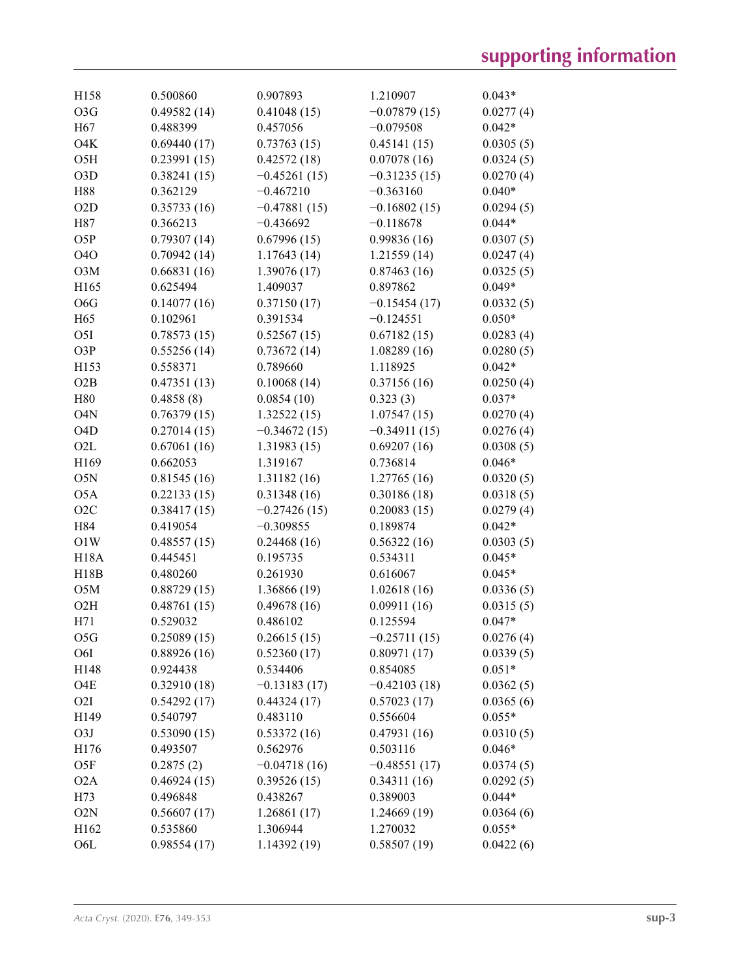| H158             | 0.500860    | 0.907893       | 1.210907       | $0.043*$  |
|------------------|-------------|----------------|----------------|-----------|
| O3G              | 0.49582(14) | 0.41048(15)    | $-0.07879(15)$ | 0.0277(4) |
| H <sub>67</sub>  | 0.488399    | 0.457056       | $-0.079508$    | $0.042*$  |
| O <sub>4</sub> K | 0.69440(17) | 0.73763(15)    | 0.45141(15)    | 0.0305(5) |
| O <sub>5</sub> H | 0.23991(15) | 0.42572(18)    | 0.07078(16)    | 0.0324(5) |
| O <sub>3</sub> D | 0.38241(15) | $-0.45261(15)$ | $-0.31235(15)$ | 0.0270(4) |
| H88              | 0.362129    | $-0.467210$    | $-0.363160$    | $0.040*$  |
| O2D              | 0.35733(16) | $-0.47881(15)$ | $-0.16802(15)$ | 0.0294(5) |
| H87              | 0.366213    | $-0.436692$    | $-0.118678$    | $0.044*$  |
| O5P              | 0.79307(14) | 0.67996(15)    | 0.99836(16)    | 0.0307(5) |
| <b>O4O</b>       | 0.70942(14) | 1.17643(14)    | 1.21559(14)    | 0.0247(4) |
| O3M              | 0.66831(16) | 1.39076 (17)   | 0.87463(16)    | 0.0325(5) |
| H165             | 0.625494    | 1.409037       | 0.897862       | $0.049*$  |
| O <sub>6</sub> G | 0.14077(16) | 0.37150(17)    | $-0.15454(17)$ | 0.0332(5) |
| H65              | 0.102961    | 0.391534       | $-0.124551$    | $0.050*$  |
| O <sub>5</sub> I | 0.78573(15) | 0.52567(15)    | 0.67182(15)    | 0.0283(4) |
| O3P              | 0.55256(14) | 0.73672(14)    | 1.08289(16)    | 0.0280(5) |
| H153             | 0.558371    | 0.789660       | 1.118925       | $0.042*$  |
| O2B              | 0.47351(13) | 0.10068(14)    | 0.37156(16)    | 0.0250(4) |
| H80              | 0.4858(8)   | 0.0854(10)     | 0.323(3)       | $0.037*$  |
| O <sub>4</sub> N | 0.76379(15) | 1.32522(15)    | 1.07547(15)    | 0.0270(4) |
| O <sub>4</sub> D | 0.27014(15) | $-0.34672(15)$ | $-0.34911(15)$ | 0.0276(4) |
| O2L              | 0.67061(16) | 1.31983(15)    | 0.69207(16)    | 0.0308(5) |
| H169             | 0.662053    | 1.319167       | 0.736814       | $0.046*$  |
| O5N              | 0.81545(16) | 1.31182(16)    | 1.27765(16)    | 0.0320(5) |
| O <sub>5</sub> A | 0.22133(15) | 0.31348(16)    | 0.30186(18)    | 0.0318(5) |
| O2C              | 0.38417(15) | $-0.27426(15)$ | 0.20083(15)    | 0.0279(4) |
| H84              | 0.419054    | $-0.309855$    | 0.189874       | $0.042*$  |
| O1W              | 0.48557(15) | 0.24468(16)    | 0.56322(16)    | 0.0303(5) |
| <b>H18A</b>      | 0.445451    | 0.195735       | 0.534311       | $0.045*$  |
| H18B             | 0.480260    | 0.261930       | 0.616067       | $0.045*$  |
| O5M              | 0.88729(15) | 1.36866 (19)   | 1.02618(16)    | 0.0336(5) |
| O2H              | 0.48761(15) | 0.49678(16)    | 0.09911(16)    | 0.0315(5) |
| H71              | 0.529032    | 0.486102       | 0.125594       | $0.047*$  |
| O5G              | 0.25089(15) | 0.26615(15)    | $-0.25711(15)$ | 0.0276(4) |
| O6I              | 0.88926(16) | 0.52360(17)    | 0.80971(17)    | 0.0339(5) |
| H148             | 0.924438    | 0.534406       | 0.854085       | $0.051*$  |
| O4E              | 0.32910(18) | $-0.13183(17)$ | $-0.42103(18)$ | 0.0362(5) |
| O <sub>2</sub> I | 0.54292(17) | 0.44324(17)    | 0.57023(17)    | 0.0365(6) |
| H <sub>149</sub> | 0.540797    | 0.483110       | 0.556604       | $0.055*$  |
| O3J              | 0.53090(15) | 0.53372(16)    | 0.47931(16)    | 0.0310(5) |
| H176             | 0.493507    | 0.562976       | 0.503116       | $0.046*$  |
| O5F              | 0.2875(2)   | $-0.04718(16)$ | $-0.48551(17)$ | 0.0374(5) |
| O <sub>2</sub> A | 0.46924(15) | 0.39526(15)    | 0.34311(16)    | 0.0292(5) |
| H73              | 0.496848    | 0.438267       | 0.389003       | $0.044*$  |
| O2N              | 0.56607(17) | 1.26861 (17)   | 1.24669 (19)   | 0.0364(6) |
| H162             | 0.535860    | 1.306944       | 1.270032       | $0.055*$  |
| O <sub>6</sub> L | 0.98554(17) | 1.14392(19)    | 0.58507(19)    | 0.0422(6) |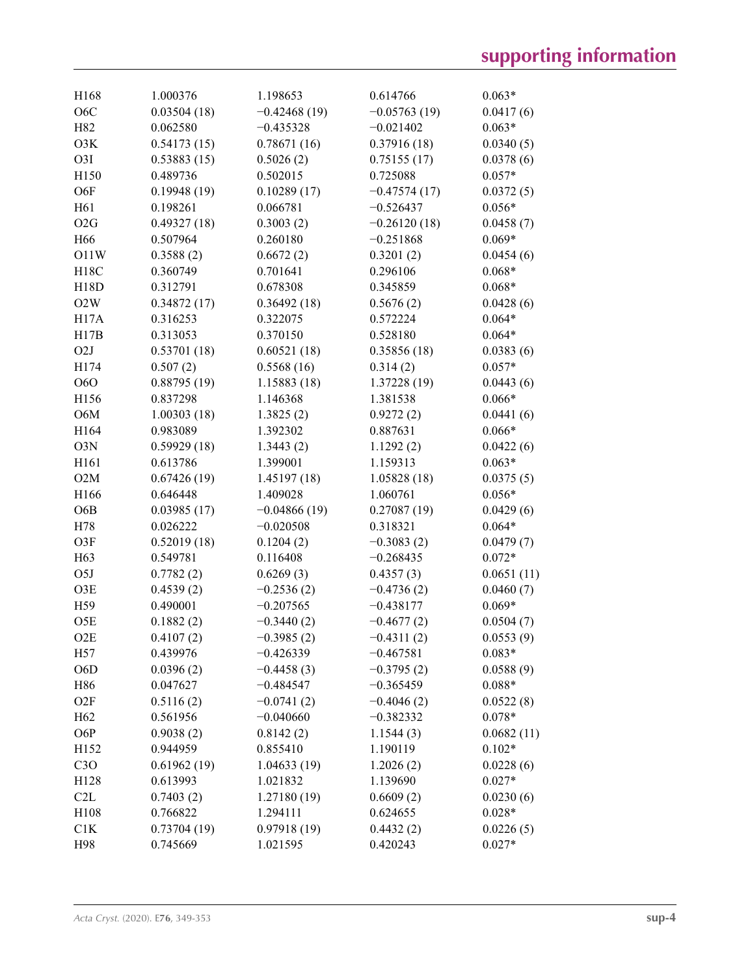| H168             | 1.000376              | 1.198653                    | 0.614766                    | $0.063*$              |
|------------------|-----------------------|-----------------------------|-----------------------------|-----------------------|
| O <sub>6</sub> C | 0.03504(18)           | $-0.42468(19)$              | $-0.05763(19)$              | 0.0417(6)             |
| H82              | 0.062580              | $-0.435328$                 | $-0.021402$                 | $0.063*$              |
| O3K              | 0.54173(15)           | 0.78671(16)                 | 0.37916(18)                 | 0.0340(5)             |
| O <sub>3</sub> I | 0.53883(15)           | 0.5026(2)                   | 0.75155(17)                 | 0.0378(6)             |
| H150             | 0.489736              | 0.502015                    | 0.725088                    | $0.057*$              |
| O6F              | 0.19948(19)           | 0.10289(17)                 | $-0.47574(17)$              | 0.0372(5)             |
| H61              | 0.198261              | 0.066781                    | $-0.526437$                 | $0.056*$              |
| O2G              | 0.49327(18)           | 0.3003(2)                   | $-0.26120(18)$              | 0.0458(7)             |
| H <sub>66</sub>  | 0.507964              | 0.260180                    | $-0.251868$                 | $0.069*$              |
| O11W             | 0.3588(2)             | 0.6672(2)                   | 0.3201(2)                   | 0.0454(6)             |
| H18C             | 0.360749              | 0.701641                    | 0.296106                    | $0.068*$              |
| H18D             | 0.312791              | 0.678308                    | 0.345859                    | $0.068*$              |
| O2W              | 0.34872(17)           | 0.36492(18)                 | 0.5676(2)                   | 0.0428(6)             |
| H17A             | 0.316253              | 0.322075                    | 0.572224                    | $0.064*$              |
| H17B             | 0.313053              | 0.370150                    | 0.528180                    | $0.064*$              |
| O <sub>2</sub> J | 0.53701(18)           | 0.60521(18)                 | 0.35856(18)                 | 0.0383(6)             |
| H174             | 0.507(2)              | 0.5568(16)                  | 0.314(2)                    | $0.057*$              |
| <b>O6O</b>       | 0.88795(19)           | 1.15883 (18)                | 1.37228 (19)                | 0.0443(6)             |
| H156             | 0.837298              | 1.146368                    | 1.381538                    | $0.066*$              |
| O6M              | 1.00303(18)           | 1.3825(2)                   | 0.9272(2)                   | 0.0441(6)             |
| H164             | 0.983089              | 1.392302                    | 0.887631                    | $0.066*$              |
| O3N              | 0.59929(18)           | 1.3443(2)                   | 1.1292(2)                   | 0.0422(6)             |
| H161             | 0.613786              | 1.399001                    | 1.159313                    | $0.063*$              |
| O2M              | 0.67426(19)           | 1.45197(18)                 | 1.05828(18)                 | 0.0375(5)             |
| H166             | 0.646448              | 1.409028                    | 1.060761                    | $0.056*$              |
| O6B              | 0.03985(17)           | $-0.04866(19)$              | 0.27087(19)                 | 0.0429(6)             |
| H78              | 0.026222              | $-0.020508$                 | 0.318321                    | $0.064*$              |
| O3F              | 0.52019(18)           | 0.1204(2)                   | $-0.3083(2)$                | 0.0479(7)             |
| H63              | 0.549781              | 0.116408                    | $-0.268435$                 | $0.072*$              |
| O <sub>5</sub> J | 0.7782(2)             | 0.6269(3)                   | 0.4357(3)                   | 0.0651(11)            |
| O3E              |                       |                             |                             |                       |
|                  | 0.4539(2)<br>0.490001 | $-0.2536(2)$<br>$-0.207565$ | $-0.4736(2)$<br>$-0.438177$ | 0.0460(7)<br>$0.069*$ |
| H <sub>59</sub>  |                       |                             |                             |                       |
| O <sub>5</sub> E | 0.1882(2)             | $-0.3440(2)$                | $-0.4677(2)$                | 0.0504(7)             |
| O2E              | 0.4107(2)             | $-0.3985(2)$                | $-0.4311(2)$                | 0.0553(9)             |
| H57              | 0.439976              | $-0.426339$                 | $-0.467581$                 | $0.083*$              |
| O <sub>6</sub> D | 0.0396(2)             | $-0.4458(3)$                | $-0.3795(2)$                | 0.0588(9)             |
| H86              | 0.047627              | $-0.484547$                 | $-0.365459$                 | $0.088*$              |
| O2F              | 0.5116(2)             | $-0.0741(2)$                | $-0.4046(2)$                | 0.0522(8)             |
| H <sub>62</sub>  | 0.561956              | $-0.040660$                 | $-0.382332$                 | $0.078*$              |
| O6P              | 0.9038(2)             | 0.8142(2)                   | 1.1544(3)                   | 0.0682(11)            |
| H152             | 0.944959              | 0.855410                    | 1.190119                    | $0.102*$              |
| C3O              | 0.61962(19)           | 1.04633(19)                 | 1.2026(2)                   | 0.0228(6)             |
| H128             | 0.613993              | 1.021832                    | 1.139690                    | $0.027*$              |
| C2L              | 0.7403(2)             | 1.27180 (19)                | 0.6609(2)                   | 0.0230(6)             |
| H108             | 0.766822              | 1.294111                    | 0.624655                    | $0.028*$              |
| C1K              | 0.73704(19)           | 0.97918(19)                 | 0.4432(2)                   | 0.0226(5)             |
| H98              | 0.745669              | 1.021595                    | 0.420243                    | $0.027*$              |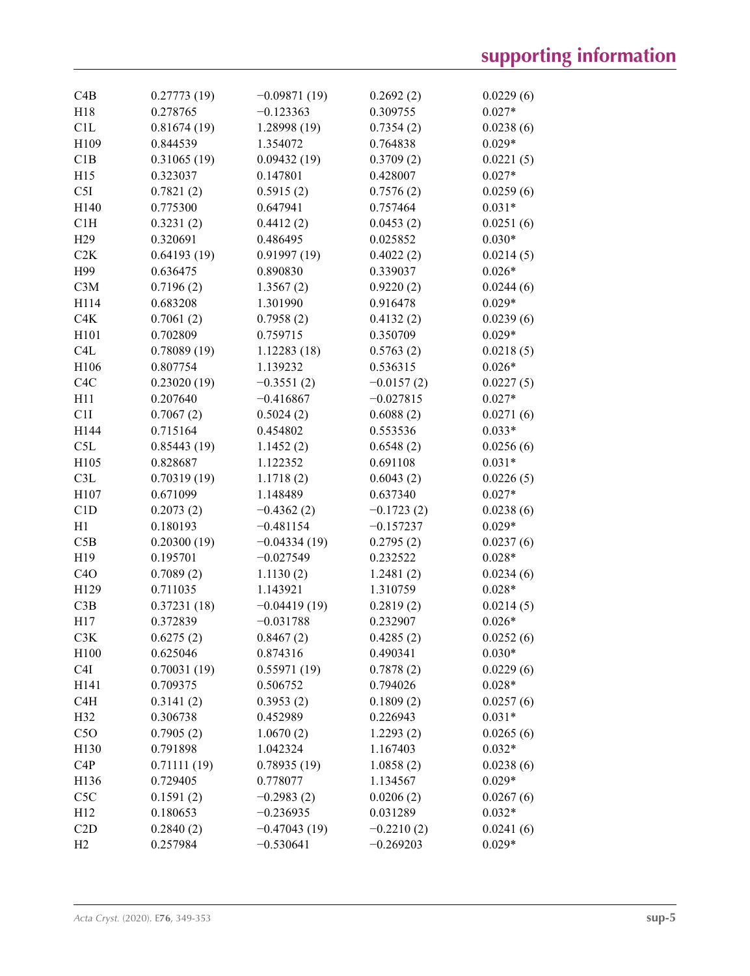| C4B              | 0.27773(19) | $-0.09871(19)$ | 0.2692(2)    | 0.0229(6) |
|------------------|-------------|----------------|--------------|-----------|
| H18              | 0.278765    | $-0.123363$    | 0.309755     | $0.027*$  |
| C1L              | 0.81674(19) | 1.28998 (19)   | 0.7354(2)    | 0.0238(6) |
| H109             | 0.844539    | 1.354072       | 0.764838     | $0.029*$  |
| C1B              | 0.31065(19) | 0.09432(19)    | 0.3709(2)    | 0.0221(5) |
| H15              | 0.323037    | 0.147801       | 0.428007     | $0.027*$  |
| C5I              | 0.7821(2)   | 0.5915(2)      | 0.7576(2)    | 0.0259(6) |
| H140             | 0.775300    | 0.647941       | 0.757464     | $0.031*$  |
| C1H              | 0.3231(2)   | 0.4412(2)      | 0.0453(2)    | 0.0251(6) |
| H <sub>29</sub>  | 0.320691    | 0.486495       | 0.025852     | $0.030*$  |
| C2K              | 0.64193(19) | 0.91997(19)    | 0.4022(2)    | 0.0214(5) |
| H99              | 0.636475    | 0.890830       | 0.339037     | $0.026*$  |
| C3M              | 0.7196(2)   | 1.3567(2)      | 0.9220(2)    | 0.0244(6) |
| H114             | 0.683208    | 1.301990       | 0.916478     | $0.029*$  |
|                  |             |                |              |           |
| C4K              | 0.7061(2)   | 0.7958(2)      | 0.4132(2)    | 0.0239(6) |
| H101             | 0.702809    | 0.759715       | 0.350709     | $0.029*$  |
| C <sub>4</sub> L | 0.78089(19) | 1.12283(18)    | 0.5763(2)    | 0.0218(5) |
| H106             | 0.807754    | 1.139232       | 0.536315     | $0.026*$  |
| C <sub>4</sub> C | 0.23020(19) | $-0.3551(2)$   | $-0.0157(2)$ | 0.0227(5) |
| H11              | 0.207640    | $-0.416867$    | $-0.027815$  | $0.027*$  |
| C1I              | 0.7067(2)   | 0.5024(2)      | 0.6088(2)    | 0.0271(6) |
| H144             | 0.715164    | 0.454802       | 0.553536     | $0.033*$  |
| C5L              | 0.85443(19) | 1.1452(2)      | 0.6548(2)    | 0.0256(6) |
| H105             | 0.828687    | 1.122352       | 0.691108     | $0.031*$  |
| C3L              | 0.70319(19) | 1.1718(2)      | 0.6043(2)    | 0.0226(5) |
| H107             | 0.671099    | 1.148489       | 0.637340     | $0.027*$  |
| C1D              | 0.2073(2)   | $-0.4362(2)$   | $-0.1723(2)$ | 0.0238(6) |
| H1               | 0.180193    | $-0.481154$    | $-0.157237$  | $0.029*$  |
| C5B              | 0.20300(19) | $-0.04334(19)$ | 0.2795(2)    | 0.0237(6) |
| H19              | 0.195701    | $-0.027549$    | 0.232522     | $0.028*$  |
| C4O              | 0.7089(2)   | 1.1130(2)      | 1.2481(2)    | 0.0234(6) |
| H129             | 0.711035    | 1.143921       | 1.310759     | $0.028*$  |
| C3B              | 0.37231(18) | $-0.04419(19)$ | 0.2819(2)    | 0.0214(5) |
| H17              | 0.372839    | $-0.031788$    | 0.232907     | $0.026*$  |
| C3K              | 0.6275(2)   | 0.8467(2)      | 0.4285(2)    | 0.0252(6) |
| H <sub>100</sub> | 0.625046    | 0.874316       | 0.490341     | $0.030*$  |
| C4I              | 0.70031(19) | 0.55971(19)    | 0.7878(2)    | 0.0229(6) |
| H141             | 0.709375    | 0.506752       | 0.794026     | $0.028*$  |
| C4H              | 0.3141(2)   | 0.3953(2)      | 0.1809(2)    | 0.0257(6) |
| H32              | 0.306738    | 0.452989       | 0.226943     | $0.031*$  |
| C5O              | 0.7905(2)   | 1.0670(2)      | 1.2293(2)    | 0.0265(6) |
| H130             | 0.791898    | 1.042324       | 1.167403     | $0.032*$  |
| C <sub>4</sub> P | 0.71111(19) | 0.78935(19)    | 1.0858(2)    | 0.0238(6) |
| H136             | 0.729405    | 0.778077       | 1.134567     | $0.029*$  |
| C5C              | 0.1591(2)   | $-0.2983(2)$   | 0.0206(2)    | 0.0267(6) |
| H12              | 0.180653    | $-0.236935$    | 0.031289     | $0.032*$  |
| C2D              |             |                |              |           |
|                  | 0.2840(2)   | $-0.47043(19)$ | $-0.2210(2)$ | 0.0241(6) |
| H2               | 0.257984    | $-0.530641$    | $-0.269203$  | $0.029*$  |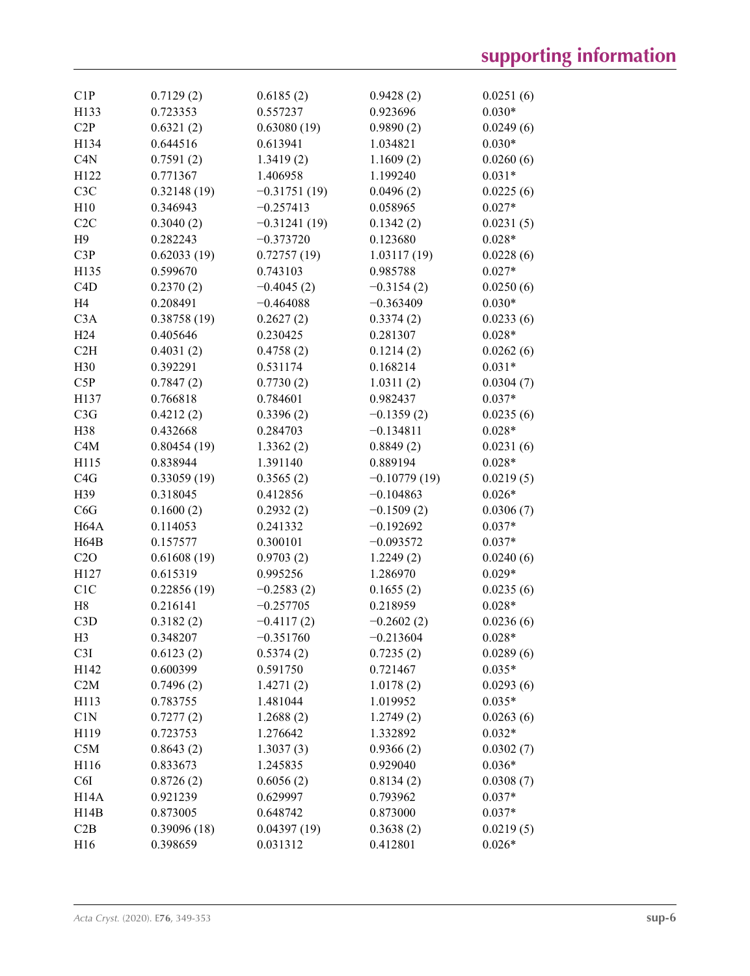| C1P               | 0.7129(2)   | 0.6185(2)      | 0.9428(2)      | 0.0251(6) |
|-------------------|-------------|----------------|----------------|-----------|
| H133              | 0.723353    | 0.557237       | 0.923696       | $0.030*$  |
| C2P               | 0.6321(2)   | 0.63080(19)    | 0.9890(2)      | 0.0249(6) |
| H134              | 0.644516    | 0.613941       | 1.034821       | $0.030*$  |
| C4N               | 0.7591(2)   | 1.3419(2)      | 1.1609(2)      | 0.0260(6) |
| H122              | 0.771367    | 1.406958       | 1.199240       | $0.031*$  |
| C <sub>3</sub> C  | 0.32148(19) | $-0.31751(19)$ | 0.0496(2)      | 0.0225(6) |
| H10               | 0.346943    | $-0.257413$    | 0.058965       | $0.027*$  |
| C2C               | 0.3040(2)   | $-0.31241(19)$ | 0.1342(2)      | 0.0231(5) |
| H9                | 0.282243    | $-0.373720$    | 0.123680       | $0.028*$  |
| C3P               | 0.62033(19) | 0.72757(19)    | 1.03117(19)    | 0.0228(6) |
| H135              | 0.599670    | 0.743103       | 0.985788       | $0.027*$  |
| C <sub>4</sub> D  | 0.2370(2)   | $-0.4045(2)$   | $-0.3154(2)$   | 0.0250(6) |
| H <sub>4</sub>    | 0.208491    | $-0.464088$    | $-0.363409$    | $0.030*$  |
| C3A               | 0.38758(19) | 0.2627(2)      | 0.3374(2)      | 0.0233(6) |
| H24               | 0.405646    | 0.230425       | 0.281307       | $0.028*$  |
| C2H               | 0.4031(2)   | 0.4758(2)      | 0.1214(2)      | 0.0262(6) |
| H30               | 0.392291    | 0.531174       | 0.168214       | $0.031*$  |
| C5P               | 0.7847(2)   | 0.7730(2)      | 1.0311(2)      | 0.0304(7) |
| H137              | 0.766818    | 0.784601       | 0.982437       | $0.037*$  |
| C3G               | 0.4212(2)   | 0.3396(2)      | $-0.1359(2)$   | 0.0235(6) |
| H38               | 0.432668    | 0.284703       | $-0.134811$    | $0.028*$  |
| C4M               | 0.80454(19) | 1.3362(2)      | 0.8849(2)      | 0.0231(6) |
| H115              | 0.838944    | 1.391140       | 0.889194       | $0.028*$  |
| C4G               | 0.33059(19) | 0.3565(2)      | $-0.10779(19)$ | 0.0219(5) |
| H39               | 0.318045    | 0.412856       | $-0.104863$    | $0.026*$  |
| C6G               | 0.1600(2)   | 0.2932(2)      | $-0.1509(2)$   | 0.0306(7) |
| H <sub>64</sub> A | 0.114053    | 0.241332       | $-0.192692$    | $0.037*$  |
| H64B              | 0.157577    | 0.300101       | $-0.093572$    | $0.037*$  |
| C2O               | 0.61608(19) | 0.9703(2)      | 1.2249(2)      | 0.0240(6) |
| H127              | 0.615319    | 0.995256       | 1.286970       | $0.029*$  |
| C1C               | 0.22856(19) | $-0.2583(2)$   | 0.1655(2)      | 0.0235(6) |
| H8                | 0.216141    | $-0.257705$    | 0.218959       | $0.028*$  |
| C3D               | 0.3182(2)   | $-0.4117(2)$   | $-0.2602(2)$   | 0.0236(6) |
| H <sub>3</sub>    | 0.348207    | $-0.351760$    | $-0.213604$    | $0.028*$  |
| C3I               | 0.6123(2)   | 0.5374(2)      | 0.7235(2)      | 0.0289(6) |
| H142              | 0.600399    | 0.591750       | 0.721467       | $0.035*$  |
| C2M               | 0.7496(2)   | 1.4271(2)      | 1.0178(2)      | 0.0293(6) |
| H113              | 0.783755    | 1.481044       | 1.019952       | $0.035*$  |
| C1N               | 0.7277(2)   | 1.2688(2)      | 1.2749(2)      | 0.0263(6) |
| H119              | 0.723753    | 1.276642       | 1.332892       | $0.032*$  |
| C5M               | 0.8643(2)   | 1.3037(3)      | 0.9366(2)      | 0.0302(7) |
| H116              | 0.833673    | 1.245835       | 0.929040       | $0.036*$  |
| C6I               | 0.8726(2)   | 0.6056(2)      | 0.8134(2)      | 0.0308(7) |
| H <sub>14</sub> A | 0.921239    | 0.629997       | 0.793962       | $0.037*$  |
| H14B              | 0.873005    | 0.648742       | 0.873000       | $0.037*$  |
| C2B               | 0.39096(18) | 0.04397(19)    | 0.3638(2)      | 0.0219(5) |
| H16               | 0.398659    | 0.031312       | 0.412801       | $0.026*$  |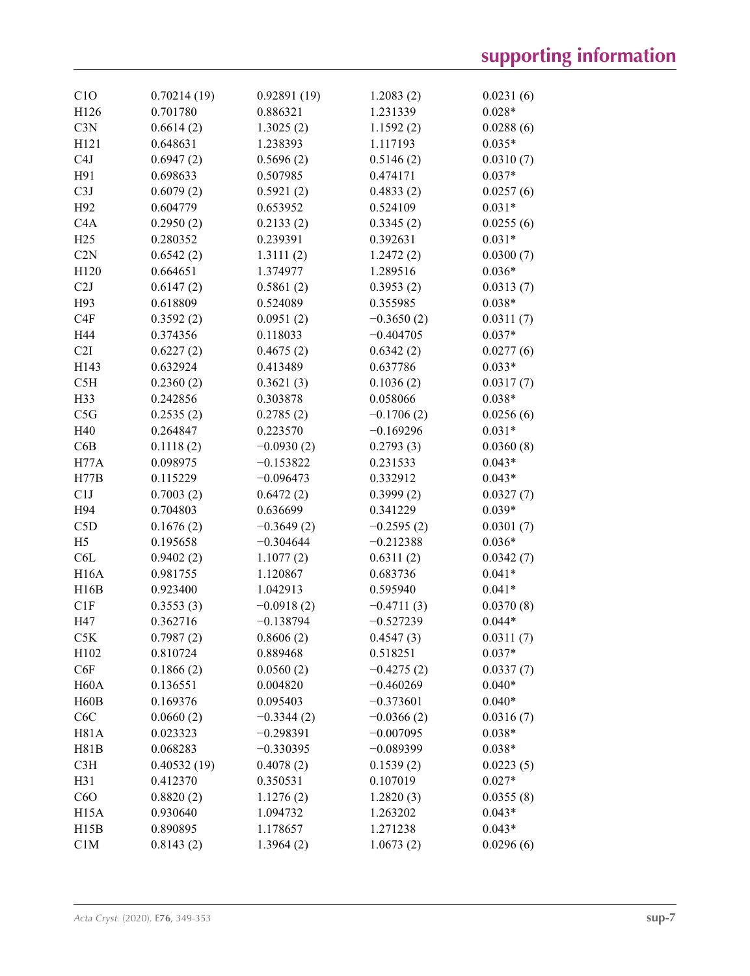| C1O               | 0.70214(19)           | 0.92891(19)  | 1.2083(2)    | 0.0231(6) |
|-------------------|-----------------------|--------------|--------------|-----------|
| H126              | 0.701780              | 0.886321     | 1.231339     | $0.028*$  |
| C3N               | 0.6614(2)             | 1.3025(2)    | 1.1592(2)    | 0.0288(6) |
| H <sub>121</sub>  | 0.648631              | 1.238393     | 1.117193     | $0.035*$  |
| C <sub>4</sub> J  | 0.6947(2)             | 0.5696(2)    | 0.5146(2)    | 0.0310(7) |
| H91               | 0.698633              | 0.507985     | 0.474171     | $0.037*$  |
| C3J               | 0.6079(2)             | 0.5921(2)    | 0.4833(2)    | 0.0257(6) |
| H92               | 0.604779              | 0.653952     | 0.524109     | $0.031*$  |
| C4A               | 0.2950(2)             | 0.2133(2)    | 0.3345(2)    | 0.0255(6) |
| H25               | 0.280352              | 0.239391     | 0.392631     | $0.031*$  |
| C2N               | 0.6542(2)             | 1.3111(2)    | 1.2472(2)    | 0.0300(7) |
| H120              | 0.664651              | 1.374977     | 1.289516     | $0.036*$  |
| C2J               | 0.6147(2)             | 0.5861(2)    | 0.3953(2)    | 0.0313(7) |
| H93               | 0.618809              | 0.524089     | 0.355985     | $0.038*$  |
|                   |                       |              |              |           |
| C4F               | 0.3592(2)             | 0.0951(2)    | $-0.3650(2)$ | 0.0311(7) |
| H44               | 0.374356              | 0.118033     | $-0.404705$  | $0.037*$  |
| C2I               | 0.6227(2)             | 0.4675(2)    | 0.6342(2)    | 0.0277(6) |
| H143              | 0.632924              | 0.413489     | 0.637786     | $0.033*$  |
| C5H               | 0.2360(2)             | 0.3621(3)    | 0.1036(2)    | 0.0317(7) |
| H33               | 0.242856              | 0.303878     | 0.058066     | $0.038*$  |
| C5G               | 0.2535(2)             | 0.2785(2)    | $-0.1706(2)$ | 0.0256(6) |
| H40               | 0.264847              | 0.223570     | $-0.169296$  | $0.031*$  |
| C6B               | 0.1118(2)             | $-0.0930(2)$ | 0.2793(3)    | 0.0360(8) |
| H77A              | 0.098975              | $-0.153822$  | 0.231533     | $0.043*$  |
| H77B              | 0.115229              | $-0.096473$  | 0.332912     | $0.043*$  |
| C1J               | 0.7003(2)             | 0.6472(2)    | 0.3999(2)    | 0.0327(7) |
| H94               | 0.704803              | 0.636699     | 0.341229     | $0.039*$  |
| C5D               | 0.1676(2)             | $-0.3649(2)$ | $-0.2595(2)$ | 0.0301(7) |
| H <sub>5</sub>    | 0.195658              | $-0.304644$  | $-0.212388$  | $0.036*$  |
| C <sub>6</sub> L  | 0.9402(2)             | 1.1077(2)    | 0.6311(2)    | 0.0342(7) |
| <b>H16A</b>       | 0.981755              | 1.120867     | 0.683736     | $0.041*$  |
| H16B              | 0.923400              | 1.042913     | 0.595940     | $0.041*$  |
| C1F               | 0.3553(3)             | $-0.0918(2)$ | $-0.4711(3)$ | 0.0370(8) |
| H47               | 0.362716              | $-0.138794$  | $-0.527239$  | $0.044*$  |
| C5K               | 0.7987(2)             | 0.8606(2)    | 0.4547(3)    | 0.0311(7) |
| H <sub>102</sub>  | 0.810724              | 0.889468     | 0.518251     | $0.037*$  |
| C6F               | 0.1866(2)             | 0.0560(2)    | $-0.4275(2)$ | 0.0337(7) |
| H <sub>60</sub> A | 0.136551              | 0.004820     | $-0.460269$  | $0.040*$  |
| H <sub>60</sub> B | 0.169376              | 0.095403     | $-0.373601$  | $0.040*$  |
| C <sub>6</sub> C  | 0.0660(2)             | $-0.3344(2)$ | $-0.0366(2)$ | 0.0316(7) |
| <b>H81A</b>       | 0.023323              | $-0.298391$  | $-0.007095$  | $0.038*$  |
| H81B              | 0.068283              | $-0.330395$  | $-0.089399$  | $0.038*$  |
| C3H               | 0.40532(19)           | 0.4078(2)    | 0.1539(2)    | 0.0223(5) |
| H31               | 0.412370              | 0.350531     | 0.107019     | $0.027*$  |
| C6O               |                       |              |              |           |
|                   | 0.8820(2)<br>0.930640 | 1.1276(2)    | 1.2820(3)    | 0.0355(8) |
| H <sub>15</sub> A |                       | 1.094732     | 1.263202     | $0.043*$  |
| H15B              | 0.890895              | 1.178657     | 1.271238     | $0.043*$  |
| C1M               | 0.8143(2)             | 1.3964(2)    | 1.0673(2)    | 0.0296(6) |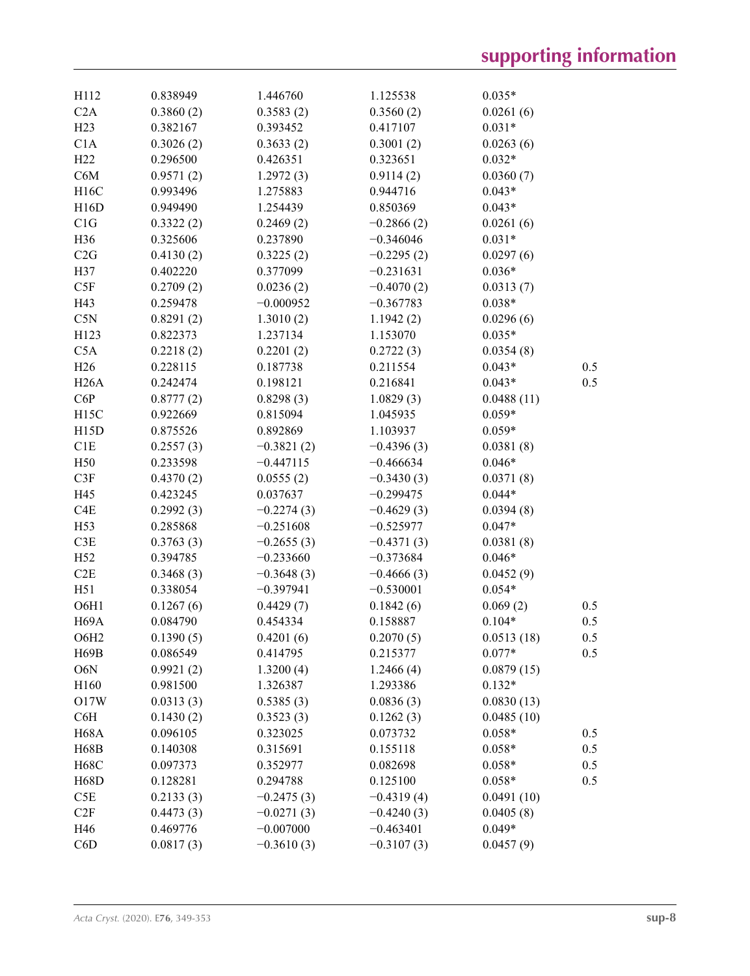| H112              | 0.838949  | 1.446760     | 1.125538     | $0.035*$   |     |
|-------------------|-----------|--------------|--------------|------------|-----|
| C2A               | 0.3860(2) | 0.3583(2)    | 0.3560(2)    | 0.0261(6)  |     |
| H23               | 0.382167  | 0.393452     | 0.417107     | $0.031*$   |     |
| C1A               | 0.3026(2) | 0.3633(2)    | 0.3001(2)    | 0.0263(6)  |     |
| H <sub>22</sub>   | 0.296500  | 0.426351     | 0.323651     | $0.032*$   |     |
| C6M               | 0.9571(2) | 1.2972(3)    | 0.9114(2)    | 0.0360(7)  |     |
| H16C              | 0.993496  | 1.275883     | 0.944716     | $0.043*$   |     |
| H16D              | 0.949490  | 1.254439     | 0.850369     | $0.043*$   |     |
| C1G               | 0.3322(2) | 0.2469(2)    | $-0.2866(2)$ | 0.0261(6)  |     |
| H36               | 0.325606  | 0.237890     | $-0.346046$  | $0.031*$   |     |
| C2G               | 0.4130(2) | 0.3225(2)    | $-0.2295(2)$ | 0.0297(6)  |     |
| H37               | 0.402220  | 0.377099     | $-0.231631$  | $0.036*$   |     |
| C5F               | 0.2709(2) | 0.0236(2)    | $-0.4070(2)$ | 0.0313(7)  |     |
| H43               | 0.259478  | $-0.000952$  | $-0.367783$  | $0.038*$   |     |
| C5N               | 0.8291(2) | 1.3010(2)    | 1.1942(2)    | 0.0296(6)  |     |
| H123              | 0.822373  | 1.237134     | 1.153070     | $0.035*$   |     |
| C5A               | 0.2218(2) | 0.2201(2)    | 0.2722(3)    | 0.0354(8)  |     |
| H26               | 0.228115  | 0.187738     | 0.211554     | $0.043*$   | 0.5 |
| H26A              | 0.242474  | 0.198121     | 0.216841     | $0.043*$   | 0.5 |
| C6P               | 0.8777(2) | 0.8298(3)    | 1.0829(3)    | 0.0488(11) |     |
| H <sub>15</sub> C | 0.922669  | 0.815094     | 1.045935     | $0.059*$   |     |
| H15D              | 0.875526  | 0.892869     | 1.103937     | $0.059*$   |     |
| C1E               |           |              |              |            |     |
|                   | 0.2557(3) | $-0.3821(2)$ | $-0.4396(3)$ | 0.0381(8)  |     |
| H50               | 0.233598  | $-0.447115$  | $-0.466634$  | $0.046*$   |     |
| C3F               | 0.4370(2) | 0.0555(2)    | $-0.3430(3)$ | 0.0371(8)  |     |
| H45               | 0.423245  | 0.037637     | $-0.299475$  | $0.044*$   |     |
| C <sub>4</sub> E  | 0.2992(3) | $-0.2274(3)$ | $-0.4629(3)$ | 0.0394(8)  |     |
| H <sub>53</sub>   | 0.285868  | $-0.251608$  | $-0.525977$  | $0.047*$   |     |
| C3E               | 0.3763(3) | $-0.2655(3)$ | $-0.4371(3)$ | 0.0381(8)  |     |
| H <sub>52</sub>   | 0.394785  | $-0.233660$  | $-0.373684$  | $0.046*$   |     |
| C2E               | 0.3468(3) | $-0.3648(3)$ | $-0.4666(3)$ | 0.0452(9)  |     |
| H51               | 0.338054  | $-0.397941$  | $-0.530001$  | $0.054*$   |     |
| O6H1              | 0.1267(6) | 0.4429(7)    | 0.1842(6)    | 0.069(2)   | 0.5 |
| H <sub>69</sub> A | 0.084790  | 0.454334     | 0.158887     | $0.104*$   | 0.5 |
| O6H <sub>2</sub>  | 0.1390(5) | 0.4201(6)    | 0.2070(5)    | 0.0513(18) | 0.5 |
| H69B              | 0.086549  | 0.414795     | 0.215377     | $0.077*$   | 0.5 |
| O6N               | 0.9921(2) | 1.3200(4)    | 1.2466(4)    | 0.0879(15) |     |
| H160              | 0.981500  | 1.326387     | 1.293386     | $0.132*$   |     |
| 017W              | 0.0313(3) | 0.5385(3)    | 0.0836(3)    | 0.0830(13) |     |
| C6H               | 0.1430(2) | 0.3523(3)    | 0.1262(3)    | 0.0485(10) |     |
| <b>H68A</b>       | 0.096105  | 0.323025     | 0.073732     | $0.058*$   | 0.5 |
| <b>H68B</b>       | 0.140308  | 0.315691     | 0.155118     | $0.058*$   | 0.5 |
| <b>H68C</b>       | 0.097373  | 0.352977     | 0.082698     | $0.058*$   | 0.5 |
| H68D              | 0.128281  | 0.294788     | 0.125100     | $0.058*$   | 0.5 |
| C5E               | 0.2133(3) | $-0.2475(3)$ | $-0.4319(4)$ | 0.0491(10) |     |
| C2F               | 0.4473(3) | $-0.0271(3)$ | $-0.4240(3)$ | 0.0405(8)  |     |
| H46               | 0.469776  | $-0.007000$  | $-0.463401$  | $0.049*$   |     |
| C6D               | 0.0817(3) | $-0.3610(3)$ | $-0.3107(3)$ | 0.0457(9)  |     |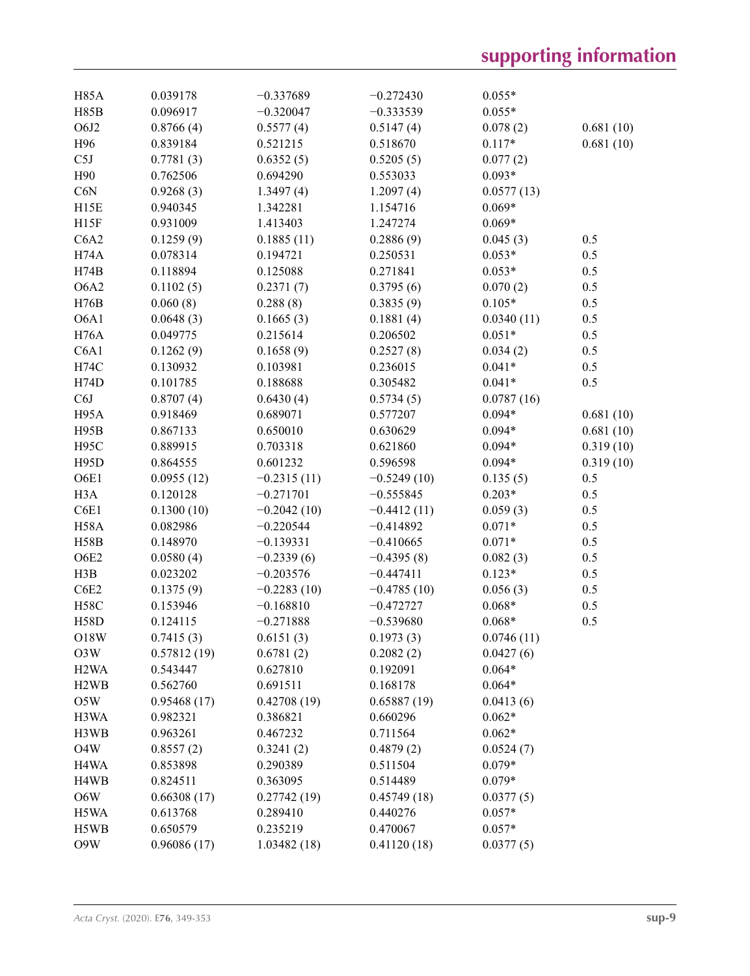| <b>H85A</b>                   | 0.039178    | $-0.337689$   | $-0.272430$   | $0.055*$               |           |
|-------------------------------|-------------|---------------|---------------|------------------------|-----------|
| <b>H85B</b>                   | 0.096917    | $-0.320047$   | $-0.333539$   | $0.055*$               |           |
| O6J2                          | 0.8766(4)   | 0.5577(4)     | 0.5147(4)     | 0.078(2)               | 0.681(10) |
| H96                           | 0.839184    | 0.521215      | 0.518670      | $0.117*$               | 0.681(10) |
| C5J                           | 0.7781(3)   | 0.6352(5)     | 0.5205(5)     | 0.077(2)               |           |
| H90                           | 0.762506    | 0.694290      | 0.553033      | $0.093*$               |           |
| C6N                           | 0.9268(3)   | 1.3497(4)     | 1.2097(4)     | 0.0577(13)             |           |
| H15E                          | 0.940345    | 1.342281      | 1.154716      | $0.069*$               |           |
| H15F                          | 0.931009    | 1.413403      | 1.247274      | $0.069*$               |           |
| C6A2                          | 0.1259(9)   | 0.1885(11)    | 0.2886(9)     | 0.045(3)               | 0.5       |
| H74A                          | 0.078314    | 0.194721      | 0.250531      | $0.053*$               | 0.5       |
| H74B                          | 0.118894    | 0.125088      | 0.271841      | $0.053*$               | 0.5       |
| O6A2                          | 0.1102(5)   | 0.2371(7)     | 0.3795(6)     | 0.070(2)               | 0.5       |
| H76B                          | 0.060(8)    | 0.288(8)      | 0.3835(9)     | $0.105*$               | 0.5       |
| O6A1                          | 0.0648(3)   | 0.1665(3)     | 0.1881(4)     |                        | 0.5       |
| <b>H76A</b>                   | 0.049775    | 0.215614      | 0.206502      | 0.0340(11)<br>$0.051*$ | 0.5       |
| C6A1                          |             | 0.1658(9)     |               |                        |           |
|                               | 0.1262(9)   |               | 0.2527(8)     | 0.034(2)               | 0.5       |
| H74C                          | 0.130932    | 0.103981      | 0.236015      | $0.041*$               | 0.5       |
| H74D                          | 0.101785    | 0.188688      | 0.305482      | $0.041*$               | 0.5       |
| C6J                           | 0.8707(4)   | 0.6430(4)     | 0.5734(5)     | 0.0787(16)             |           |
| H <sub>95</sub> A             | 0.918469    | 0.689071      | 0.577207      | $0.094*$               | 0.681(10) |
| H95B                          | 0.867133    | 0.650010      | 0.630629      | $0.094*$               | 0.681(10) |
| H <sub>95</sub> C             | 0.889915    | 0.703318      | 0.621860      | $0.094*$               | 0.319(10) |
| H95D                          | 0.864555    | 0.601232      | 0.596598      | $0.094*$               | 0.319(10) |
| O6E1                          | 0.0955(12)  | $-0.2315(11)$ | $-0.5249(10)$ | 0.135(5)               | 0.5       |
| H <sub>3</sub> A              | 0.120128    | $-0.271701$   | $-0.555845$   | $0.203*$               | 0.5       |
| C6E1                          | 0.1300(10)  | $-0.2042(10)$ | $-0.4412(11)$ | 0.059(3)               | 0.5       |
| H58A                          | 0.082986    | $-0.220544$   | $-0.414892$   | $0.071*$               | 0.5       |
| <b>H58B</b>                   | 0.148970    | $-0.139331$   | $-0.410665$   | $0.071*$               | 0.5       |
| O6E2                          | 0.0580(4)   | $-0.2339(6)$  | $-0.4395(8)$  | 0.082(3)               | 0.5       |
| H3B                           | 0.023202    | $-0.203576$   | $-0.447411$   | $0.123*$               | 0.5       |
| C6E2                          | 0.1375(9)   | $-0.2283(10)$ | $-0.4785(10)$ | 0.056(3)               | 0.5       |
| $_{\rm H58C}$                 | 0.153946    | $-0.168810$   | $-0.472727$   | $0.068*$               | 0.5       |
| <b>H58D</b>                   | 0.124115    | $-0.271888$   | $-0.539680$   | $0.068*$               | 0.5       |
| O18W                          | 0.7415(3)   | 0.6151(3)     | 0.1973(3)     | 0.0746(11)             |           |
| O3W                           | 0.57812(19) | 0.6781(2)     | 0.2082(2)     | 0.0427(6)              |           |
| H <sub>2</sub> W <sub>A</sub> | 0.543447    | 0.627810      | 0.192091      | $0.064*$               |           |
| H <sub>2</sub> W <sub>B</sub> | 0.562760    | 0.691511      | 0.168178      | $0.064*$               |           |
| O5W                           | 0.95468(17) | 0.42708(19)   | 0.65887(19)   | 0.0413(6)              |           |
| H3WA                          | 0.982321    | 0.386821      | 0.660296      | $0.062*$               |           |
| H3WB                          | 0.963261    | 0.467232      | 0.711564      | $0.062*$               |           |
| O <sub>4</sub> W              | 0.8557(2)   | 0.3241(2)     | 0.4879(2)     | 0.0524(7)              |           |
| H <sub>4</sub> W <sub>A</sub> | 0.853898    | 0.290389      | 0.511504      | $0.079*$               |           |
| H4WB                          | 0.824511    | 0.363095      | 0.514489      | $0.079*$               |           |
| O6W                           | 0.66308(17) | 0.27742(19)   | 0.45749(18)   | 0.0377(5)              |           |
| H5WA                          | 0.613768    | 0.289410      | 0.440276      | $0.057*$               |           |
| H5WB                          | 0.650579    | 0.235219      | 0.470067      | $0.057*$               |           |
| O9W                           | 0.96086(17) | 1.03482(18)   | 0.41120(18)   | 0.0377(5)              |           |
|                               |             |               |               |                        |           |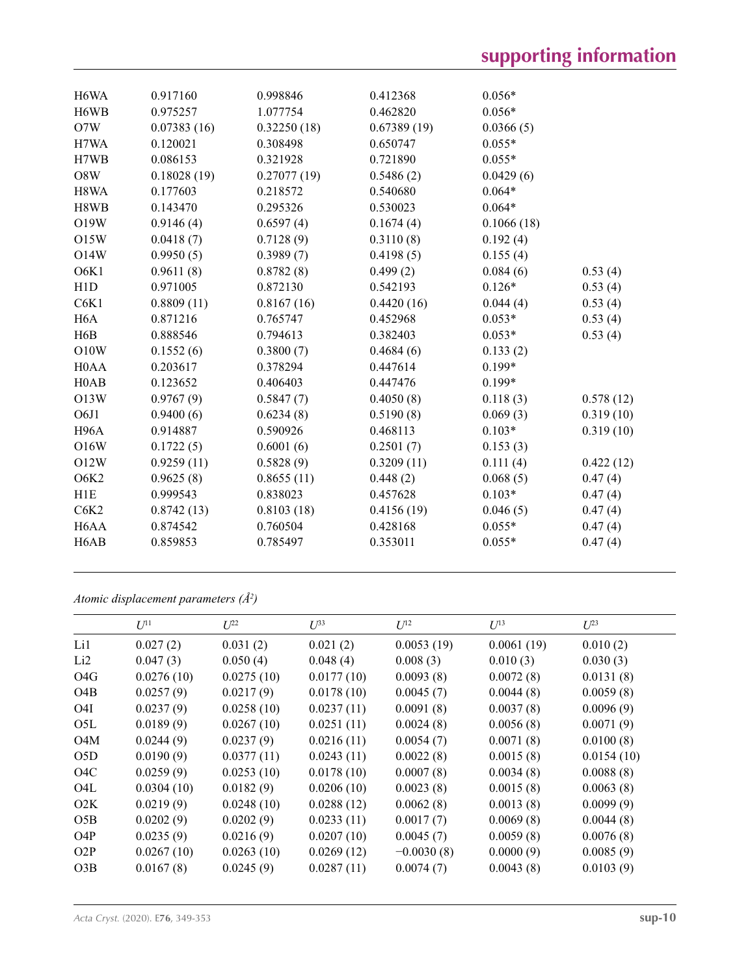| H6WA                          | 0.917160    | 0.998846    | 0.412368    | $0.056*$   |           |
|-------------------------------|-------------|-------------|-------------|------------|-----------|
| H6WB                          | 0.975257    | 1.077754    | 0.462820    | $0.056*$   |           |
| O7W                           | 0.07383(16) | 0.32250(18) | 0.67389(19) | 0.0366(5)  |           |
| H7WA                          | 0.120021    | 0.308498    | 0.650747    | $0.055*$   |           |
| H7WB                          | 0.086153    | 0.321928    | 0.721890    | $0.055*$   |           |
| O8W                           | 0.18028(19) | 0.27077(19) | 0.5486(2)   | 0.0429(6)  |           |
| H8WA                          | 0.177603    | 0.218572    | 0.540680    | $0.064*$   |           |
| H8WB                          | 0.143470    | 0.295326    | 0.530023    | $0.064*$   |           |
| O19W                          | 0.9146(4)   | 0.6597(4)   | 0.1674(4)   | 0.1066(18) |           |
| <b>O15W</b>                   | 0.0418(7)   | 0.7128(9)   | 0.3110(8)   | 0.192(4)   |           |
| <b>O14W</b>                   | 0.9950(5)   | 0.3989(7)   | 0.4198(5)   | 0.155(4)   |           |
| O6K1                          | 0.9611(8)   | 0.8782(8)   | 0.499(2)    | 0.084(6)   | 0.53(4)   |
| H1D                           | 0.971005    | 0.872130    | 0.542193    | $0.126*$   | 0.53(4)   |
| C6K1                          | 0.8809(11)  | 0.8167(16)  | 0.4420(16)  | 0.044(4)   | 0.53(4)   |
| H <sub>6</sub> A              | 0.871216    | 0.765747    | 0.452968    | $0.053*$   | 0.53(4)   |
| H <sub>6</sub> B              | 0.888546    | 0.794613    | 0.382403    | $0.053*$   | 0.53(4)   |
| O10W                          | 0.1552(6)   | 0.3800(7)   | 0.4684(6)   | 0.133(2)   |           |
| H <sub>0</sub> A <sub>A</sub> | 0.203617    | 0.378294    | 0.447614    | $0.199*$   |           |
| H <sub>0</sub> AB             | 0.123652    | 0.406403    | 0.447476    | $0.199*$   |           |
| O13W                          | 0.9767(9)   | 0.5847(7)   | 0.4050(8)   | 0.118(3)   | 0.578(12) |
| O6J1                          | 0.9400(6)   | 0.6234(8)   | 0.5190(8)   | 0.069(3)   | 0.319(10) |
| H <sub>96</sub> A             | 0.914887    | 0.590926    | 0.468113    | $0.103*$   | 0.319(10) |
| O16W                          | 0.1722(5)   | 0.6001(6)   | 0.2501(7)   | 0.153(3)   |           |
| O12W                          | 0.9259(11)  | 0.5828(9)   | 0.3209(11)  | 0.111(4)   | 0.422(12) |
| O6K2                          | 0.9625(8)   | 0.8655(11)  | 0.448(2)    | 0.068(5)   | 0.47(4)   |
| H1E                           | 0.999543    | 0.838023    | 0.457628    | $0.103*$   | 0.47(4)   |
| C6K2                          | 0.8742(13)  | 0.8103(18)  | 0.4156(19)  | 0.046(5)   | 0.47(4)   |
| H <sub>6</sub> AA             | 0.874542    | 0.760504    | 0.428168    | $0.055*$   | 0.47(4)   |
| H <sub>6</sub> AB             | 0.859853    | 0.785497    | 0.353011    | $0.055*$   | 0.47(4)   |
|                               |             |             |             |            |           |

*Atomic displacement parameters (Å2 )*

|                  | $U^{11}$   | $I^{22}$   | $\mathcal{L}^{\beta 3}$ | $U^{12}$     | $U^{13}$   | $L^{23}$   |
|------------------|------------|------------|-------------------------|--------------|------------|------------|
| Li1              | 0.027(2)   | 0.031(2)   | 0.021(2)                | 0.0053(19)   | 0.0061(19) | 0.010(2)   |
| Li <sub>2</sub>  | 0.047(3)   | 0.050(4)   | 0.048(4)                | 0.008(3)     | 0.010(3)   | 0.030(3)   |
| O <sub>4</sub> G | 0.0276(10) | 0.0275(10) | 0.0177(10)              | 0.0093(8)    | 0.0072(8)  | 0.0131(8)  |
| O <sub>4</sub> B | 0.0257(9)  | 0.0217(9)  | 0.0178(10)              | 0.0045(7)    | 0.0044(8)  | 0.0059(8)  |
| O <sub>4I</sub>  | 0.0237(9)  | 0.0258(10) | 0.0237(11)              | 0.0091(8)    | 0.0037(8)  | 0.0096(9)  |
| O5L              | 0.0189(9)  | 0.0267(10) | 0.0251(11)              | 0.0024(8)    | 0.0056(8)  | 0.0071(9)  |
| O4M              | 0.0244(9)  | 0.0237(9)  | 0.0216(11)              | 0.0054(7)    | 0.0071(8)  | 0.0100(8)  |
| O <sub>5</sub> D | 0.0190(9)  | 0.0377(11) | 0.0243(11)              | 0.0022(8)    | 0.0015(8)  | 0.0154(10) |
| O <sub>4</sub> C | 0.0259(9)  | 0.0253(10) | 0.0178(10)              | 0.0007(8)    | 0.0034(8)  | 0.0088(8)  |
| O4L              | 0.0304(10) | 0.0182(9)  | 0.0206(10)              | 0.0023(8)    | 0.0015(8)  | 0.0063(8)  |
| O2K              | 0.0219(9)  | 0.0248(10) | 0.0288(12)              | 0.0062(8)    | 0.0013(8)  | 0.0099(9)  |
| O5B              | 0.0202(9)  | 0.0202(9)  | 0.0233(11)              | 0.0017(7)    | 0.0069(8)  | 0.0044(8)  |
| O4P              | 0.0235(9)  | 0.0216(9)  | 0.0207(10)              | 0.0045(7)    | 0.0059(8)  | 0.0076(8)  |
| O2P              | 0.0267(10) | 0.0263(10) | 0.0269(12)              | $-0.0030(8)$ | 0.0000(9)  | 0.0085(9)  |
| O3B              | 0.0167(8)  | 0.0245(9)  | 0.0287(11)              | 0.0074(7)    | 0.0043(8)  | 0.0103(9)  |
|                  |            |            |                         |              |            |            |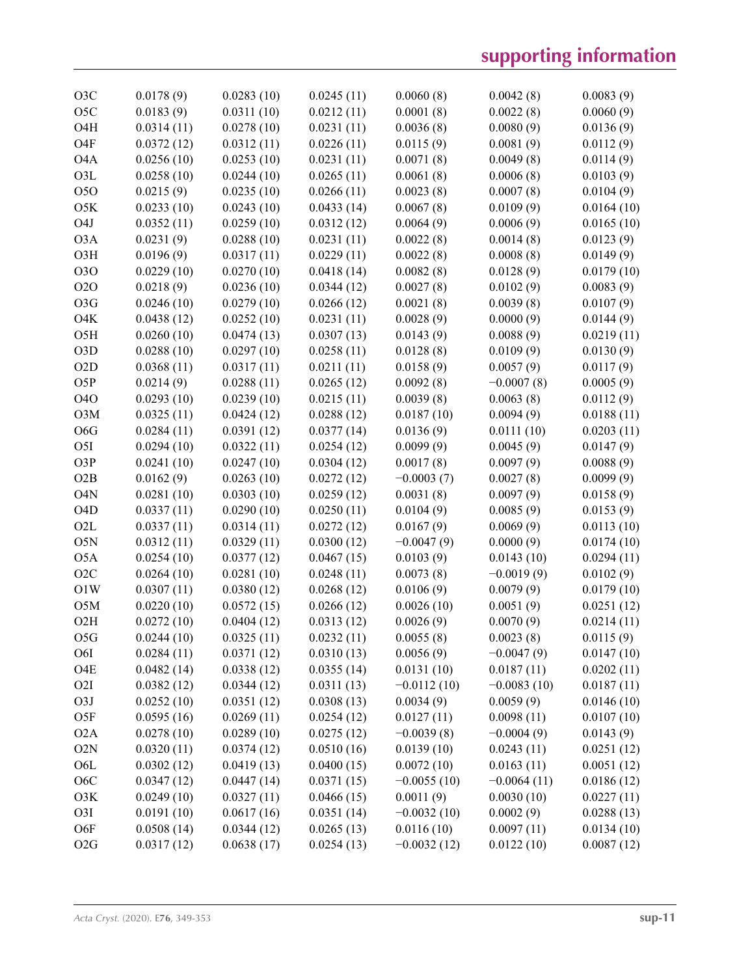| O3C              | 0.0178(9)  | 0.0283(10) | 0.0245(11) | 0.0060(8)     | 0.0042(8)     | 0.0083(9)  |
|------------------|------------|------------|------------|---------------|---------------|------------|
| O <sub>5</sub> C | 0.0183(9)  | 0.0311(10) | 0.0212(11) | 0.0001(8)     | 0.0022(8)     | 0.0060(9)  |
| O <sub>4</sub> H | 0.0314(11) | 0.0278(10) | 0.0231(11) | 0.0036(8)     | 0.0080(9)     | 0.0136(9)  |
| O <sub>4</sub> F | 0.0372(12) | 0.0312(11) | 0.0226(11) | 0.0115(9)     | 0.0081(9)     | 0.0112(9)  |
| O <sub>4</sub> A | 0.0256(10) | 0.0253(10) | 0.0231(11) | 0.0071(8)     | 0.0049(8)     | 0.0114(9)  |
| O3L              | 0.0258(10) | 0.0244(10) | 0.0265(11) | 0.0061(8)     | 0.0006(8)     | 0.0103(9)  |
| 050              | 0.0215(9)  | 0.0235(10) | 0.0266(11) | 0.0023(8)     | 0.0007(8)     | 0.0104(9)  |
| O5K              | 0.0233(10) | 0.0243(10) | 0.0433(14) | 0.0067(8)     | 0.0109(9)     | 0.0164(10) |
| O <sub>4</sub> J | 0.0352(11) | 0.0259(10) | 0.0312(12) | 0.0064(9)     | 0.0006(9)     | 0.0165(10) |
| O <sub>3</sub> A | 0.0231(9)  | 0.0288(10) | 0.0231(11) | 0.0022(8)     | 0.0014(8)     | 0.0123(9)  |
| O3H              | 0.0196(9)  | 0.0317(11) | 0.0229(11) | 0.0022(8)     | 0.0008(8)     | 0.0149(9)  |
| 030              | 0.0229(10) | 0.0270(10) | 0.0418(14) | 0.0082(8)     | 0.0128(9)     | 0.0179(10) |
| <b>O2O</b>       | 0.0218(9)  | 0.0236(10) | 0.0344(12) | 0.0027(8)     | 0.0102(9)     | 0.0083(9)  |
| O <sub>3</sub> G | 0.0246(10) | 0.0279(10) | 0.0266(12) | 0.0021(8)     | 0.0039(8)     | 0.0107(9)  |
| O <sub>4</sub> K | 0.0438(12) | 0.0252(10) | 0.0231(11) | 0.0028(9)     | 0.0000(9)     | 0.0144(9)  |
| O <sub>5</sub> H | 0.0260(10) | 0.0474(13) | 0.0307(13) | 0.0143(9)     | 0.0088(9)     | 0.0219(11) |
| O <sub>3</sub> D | 0.0288(10) | 0.0297(10) | 0.0258(11) | 0.0128(8)     | 0.0109(9)     | 0.0130(9)  |
| O <sub>2</sub> D | 0.0368(11) |            |            |               | 0.0057(9)     |            |
| O <sub>5</sub> P |            | 0.0317(11) | 0.0211(11) | 0.0158(9)     | $-0.0007(8)$  | 0.0117(9)  |
| <b>O4O</b>       | 0.0214(9)  | 0.0288(11) | 0.0265(12) | 0.0092(8)     |               | 0.0005(9)  |
|                  | 0.0293(10) | 0.0239(10) | 0.0215(11) | 0.0039(8)     | 0.0063(8)     | 0.0112(9)  |
| O3M              | 0.0325(11) | 0.0424(12) | 0.0288(12) | 0.0187(10)    | 0.0094(9)     | 0.0188(11) |
| O <sub>6</sub> G | 0.0284(11) | 0.0391(12) | 0.0377(14) | 0.0136(9)     | 0.0111(10)    | 0.0203(11) |
| O <sub>5</sub> I | 0.0294(10) | 0.0322(11) | 0.0254(12) | 0.0099(9)     | 0.0045(9)     | 0.0147(9)  |
| O3P              | 0.0241(10) | 0.0247(10) | 0.0304(12) | 0.0017(8)     | 0.0097(9)     | 0.0088(9)  |
| O2B              | 0.0162(9)  | 0.0263(10) | 0.0272(12) | $-0.0003(7)$  | 0.0027(8)     | 0.0099(9)  |
| O <sub>4</sub> N | 0.0281(10) | 0.0303(10) | 0.0259(12) | 0.0031(8)     | 0.0097(9)     | 0.0158(9)  |
| O <sub>4</sub> D | 0.0337(11) | 0.0290(10) | 0.0250(11) | 0.0104(9)     | 0.0085(9)     | 0.0153(9)  |
| O <sub>2</sub> L | 0.0337(11) | 0.0314(11) | 0.0272(12) | 0.0167(9)     | 0.0069(9)     | 0.0113(10) |
| O5N              | 0.0312(11) | 0.0329(11) | 0.0300(12) | $-0.0047(9)$  | 0.0000(9)     | 0.0174(10) |
| O <sub>5</sub> A | 0.0254(10) | 0.0377(12) | 0.0467(15) | 0.0103(9)     | 0.0143(10)    | 0.0294(11) |
| O2C              | 0.0264(10) | 0.0281(10) | 0.0248(11) | 0.0073(8)     | $-0.0019(9)$  | 0.0102(9)  |
| O1W              | 0.0307(11) | 0.0380(12) | 0.0268(12) | 0.0106(9)     | 0.0079(9)     | 0.0179(10) |
| O <sub>5</sub> M | 0.0220(10) | 0.0572(15) | 0.0266(12) | 0.0026(10)    | 0.0051(9)     | 0.0251(12) |
| O2H              | 0.0272(10) | 0.0404(12) | 0.0313(12) | 0.0026(9)     | 0.0070(9)     | 0.0214(11) |
| O5G              | 0.0244(10) | 0.0325(11) | 0.0232(11) | 0.0055(8)     | 0.0023(8)     | 0.0115(9)  |
| O6I              | 0.0284(11) | 0.0371(12) | 0.0310(13) | 0.0056(9)     | $-0.0047(9)$  | 0.0147(10) |
| O <sub>4</sub> E | 0.0482(14) | 0.0338(12) | 0.0355(14) | 0.0131(10)    | 0.0187(11)    | 0.0202(11) |
| O <sub>2</sub> I | 0.0382(12) | 0.0344(12) | 0.0311(13) | $-0.0112(10)$ | $-0.0083(10)$ | 0.0187(11) |
| O3J              | 0.0252(10) | 0.0351(12) | 0.0308(13) | 0.0034(9)     | 0.0059(9)     | 0.0146(10) |
| O <sub>5</sub> F | 0.0595(16) | 0.0269(11) | 0.0254(12) | 0.0127(11)    | 0.0098(11)    | 0.0107(10) |
| O <sub>2</sub> A | 0.0278(10) | 0.0289(10) | 0.0275(12) | $-0.0039(8)$  | $-0.0004(9)$  | 0.0143(9)  |
| O2N              | 0.0320(11) | 0.0374(12) | 0.0510(16) | 0.0139(10)    | 0.0243(11)    | 0.0251(12) |
| O <sub>6</sub> L | 0.0302(12) | 0.0419(13) | 0.0400(15) | 0.0072(10)    | 0.0163(11)    | 0.0051(12) |
| O <sub>6</sub> C | 0.0347(12) | 0.0447(14) | 0.0371(15) | $-0.0055(10)$ | $-0.0064(11)$ | 0.0186(12) |
| O3K              | 0.0249(10) | 0.0327(11) | 0.0466(15) | 0.0011(9)     | 0.0030(10)    | 0.0227(11) |
| O <sub>3</sub> I | 0.0191(10) | 0.0617(16) | 0.0351(14) | $-0.0032(10)$ | 0.0002(9)     | 0.0288(13) |
| O6F              | 0.0508(14) | 0.0344(12) | 0.0265(13) | 0.0116(10)    | 0.0097(11)    | 0.0134(10) |
| O2G              | 0.0317(12) | 0.0638(17) | 0.0254(13) | $-0.0032(12)$ | 0.0122(10)    | 0.0087(12) |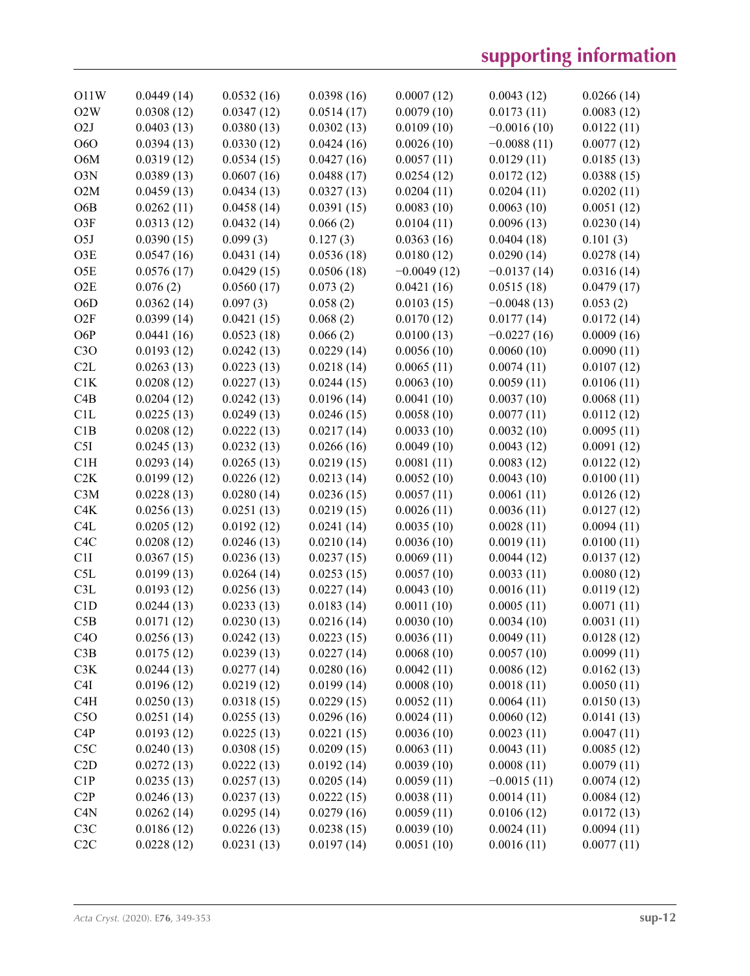| O11W             | 0.0449(14) | 0.0532(16) | 0.0398(16) | 0.0007(12)    | 0.0043(12)    | 0.0266(14) |
|------------------|------------|------------|------------|---------------|---------------|------------|
| O2W              | 0.0308(12) | 0.0347(12) | 0.0514(17) | 0.0079(10)    | 0.0173(11)    | 0.0083(12) |
| O <sub>2</sub> J | 0.0403(13) | 0.0380(13) | 0.0302(13) | 0.0109(10)    | $-0.0016(10)$ | 0.0122(11) |
| <b>O6O</b>       | 0.0394(13) | 0.0330(12) | 0.0424(16) | 0.0026(10)    | $-0.0088(11)$ | 0.0077(12) |
| O6M              | 0.0319(12) | 0.0534(15) | 0.0427(16) | 0.0057(11)    | 0.0129(11)    | 0.0185(13) |
| O3N              | 0.0389(13) | 0.0607(16) | 0.0488(17) | 0.0254(12)    | 0.0172(12)    | 0.0388(15) |
| O2M              | 0.0459(13) | 0.0434(13) | 0.0327(13) | 0.0204(11)    | 0.0204(11)    | 0.0202(11) |
| O <sub>6</sub> B | 0.0262(11) | 0.0458(14) | 0.0391(15) | 0.0083(10)    | 0.0063(10)    | 0.0051(12) |
| O3F              | 0.0313(12) | 0.0432(14) | 0.066(2)   | 0.0104(11)    | 0.0096(13)    | 0.0230(14) |
| O <sub>5</sub> J | 0.0390(15) | 0.099(3)   | 0.127(3)   | 0.0363(16)    | 0.0404(18)    | 0.101(3)   |
| O3E              | 0.0547(16) | 0.0431(14) | 0.0536(18) | 0.0180(12)    | 0.0290(14)    | 0.0278(14) |
| O <sub>5</sub> E | 0.0576(17) | 0.0429(15) | 0.0506(18) | $-0.0049(12)$ | $-0.0137(14)$ | 0.0316(14) |
| O2E              | 0.076(2)   | 0.0560(17) | 0.073(2)   | 0.0421(16)    | 0.0515(18)    | 0.0479(17) |
| O <sub>6</sub> D | 0.0362(14) | 0.097(3)   | 0.058(2)   | 0.0103(15)    | $-0.0048(13)$ | 0.053(2)   |
| O2F              | 0.0399(14) | 0.0421(15) | 0.068(2)   | 0.0170(12)    | 0.0177(14)    | 0.0172(14) |
| O6P              | 0.0441(16) | 0.0523(18) | 0.066(2)   | 0.0100(13)    | $-0.0227(16)$ | 0.0009(16) |
| C3O              | 0.0193(12) | 0.0242(13) | 0.0229(14) | 0.0056(10)    | 0.0060(10)    | 0.0090(11) |
| C2L              | 0.0263(13) | 0.0223(13) | 0.0218(14) | 0.0065(11)    | 0.0074(11)    | 0.0107(12) |
| C1K              | 0.0208(12) | 0.0227(13) | 0.0244(15) | 0.0063(10)    | 0.0059(11)    | 0.0106(11) |
| C4B              | 0.0204(12) | 0.0242(13) | 0.0196(14) | 0.0041(10)    | 0.0037(10)    | 0.0068(11) |
| C1L              | 0.0225(13) | 0.0249(13) | 0.0246(15) | 0.0058(10)    | 0.0077(11)    | 0.0112(12) |
| C1B              | 0.0208(12) | 0.0222(13) | 0.0217(14) | 0.0033(10)    | 0.0032(10)    | 0.0095(11) |
| C5I              | 0.0245(13) | 0.0232(13) | 0.0266(16) | 0.0049(10)    | 0.0043(12)    | 0.0091(12) |
| C1H              | 0.0293(14) | 0.0265(13) | 0.0219(15) | 0.0081(11)    | 0.0083(12)    | 0.0122(12) |
| C2K              | 0.0199(12) | 0.0226(12) | 0.0213(14) | 0.0052(10)    | 0.0043(10)    | 0.0100(11) |
| C3M              | 0.0228(13) | 0.0280(14) | 0.0236(15) | 0.0057(11)    | 0.0061(11)    | 0.0126(12) |
| C4K              | 0.0256(13) | 0.0251(13) | 0.0219(15) | 0.0026(11)    | 0.0036(11)    | 0.0127(12) |
| C <sub>4</sub> L | 0.0205(12) | 0.0192(12) | 0.0241(14) | 0.0035(10)    | 0.0028(11)    | 0.0094(11) |
| C <sub>4</sub> C | 0.0208(12) | 0.0246(13) | 0.0210(14) | 0.0036(10)    | 0.0019(11)    | 0.0100(11) |
| C1I              | 0.0367(15) | 0.0236(13) | 0.0237(15) | 0.0069(11)    | 0.0044(12)    | 0.0137(12) |
| C5L              | 0.0199(13) | 0.0264(14) | 0.0253(15) | 0.0057(10)    | 0.0033(11)    | 0.0080(12) |
| C3L              | 0.0193(12) | 0.0256(13) | 0.0227(14) | 0.0043(10)    | 0.0016(11)    | 0.0119(12) |
| C1D              | 0.0244(13) | 0.0233(13) | 0.0183(14) | 0.0011(10)    | 0.0005(11)    | 0.0071(11) |
| C5B              | 0.0171(12) | 0.0230(13) | 0.0216(14) | 0.0030(10)    | 0.0034(10)    | 0.0031(11) |
| C4O              | 0.0256(13) | 0.0242(13) | 0.0223(15) | 0.0036(11)    | 0.0049(11)    | 0.0128(12) |
| C3B              | 0.0175(12) | 0.0239(13) | 0.0227(14) | 0.0068(10)    | 0.0057(10)    | 0.0099(11) |
| C3K              | 0.0244(13) | 0.0277(14) | 0.0280(16) | 0.0042(11)    | 0.0086(12)    | 0.0162(13) |
| C <sub>4</sub> I | 0.0196(12) | 0.0219(12) | 0.0199(14) | 0.0008(10)    | 0.0018(11)    | 0.0050(11) |
| C <sub>4</sub> H | 0.0250(13) | 0.0318(15) | 0.0229(15) | 0.0052(11)    | 0.0064(11)    | 0.0150(13) |
| C5O              | 0.0251(14) | 0.0255(13) | 0.0296(16) | 0.0024(11)    | 0.0060(12)    | 0.0141(13) |
| C4P              | 0.0193(12) | 0.0225(13) | 0.0221(15) | 0.0036(10)    | 0.0023(11)    | 0.0047(11) |
| C <sub>5</sub> C | 0.0240(13) | 0.0308(15) | 0.0209(15) | 0.0063(11)    | 0.0043(11)    | 0.0085(12) |
| C2D              | 0.0272(13) | 0.0222(13) | 0.0192(14) | 0.0039(10)    | 0.0008(11)    | 0.0079(11) |
| C1P              | 0.0235(13) | 0.0257(13) | 0.0205(14) | 0.0059(11)    | $-0.0015(11)$ | 0.0074(12) |
| C2P              | 0.0246(13) | 0.0237(13) | 0.0222(15) | 0.0038(11)    | 0.0014(11)    | 0.0084(12) |
| C4N              | 0.0262(14) | 0.0295(14) | 0.0279(16) | 0.0059(11)    | 0.0106(12)    | 0.0172(13) |
| C3C              | 0.0186(12) | 0.0226(13) | 0.0238(15) | 0.0039(10)    | 0.0024(11)    | 0.0094(11) |
| C2C              | 0.0228(12) | 0.0231(13) | 0.0197(14) | 0.0051(10)    | 0.0016(11)    | 0.0077(11) |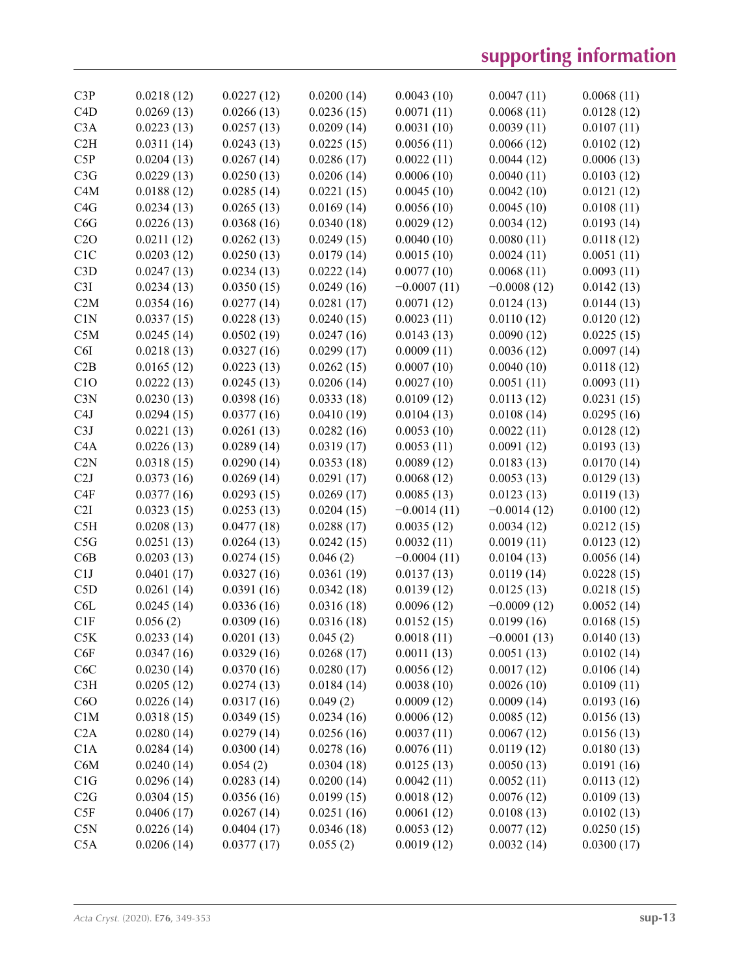| C3P              | 0.0218(12) | 0.0227(12) | 0.0200(14) | 0.0043(10)    | 0.0047(11)    | 0.0068(11) |
|------------------|------------|------------|------------|---------------|---------------|------------|
| C4D              | 0.0269(13) | 0.0266(13) | 0.0236(15) | 0.0071(11)    | 0.0068(11)    | 0.0128(12) |
| C3A              | 0.0223(13) | 0.0257(13) | 0.0209(14) | 0.0031(10)    | 0.0039(11)    | 0.0107(11) |
| C2H              | 0.0311(14) | 0.0243(13) | 0.0225(15) | 0.0056(11)    | 0.0066(12)    | 0.0102(12) |
| C5P              | 0.0204(13) | 0.0267(14) | 0.0286(17) | 0.0022(11)    | 0.0044(12)    | 0.0006(13) |
| C3G              | 0.0229(13) | 0.0250(13) | 0.0206(14) | 0.0006(10)    | 0.0040(11)    | 0.0103(12) |
| C4M              | 0.0188(12) | 0.0285(14) | 0.0221(15) | 0.0045(10)    | 0.0042(10)    | 0.0121(12) |
| C4G              | 0.0234(13) | 0.0265(13) | 0.0169(14) | 0.0056(10)    | 0.0045(10)    | 0.0108(11) |
| C6G              | 0.0226(13) | 0.0368(16) | 0.0340(18) | 0.0029(12)    | 0.0034(12)    | 0.0193(14) |
| C2O              | 0.0211(12) | 0.0262(13) | 0.0249(15) | 0.0040(10)    | 0.0080(11)    | 0.0118(12) |
| C <sub>1</sub> C | 0.0203(12) | 0.0250(13) | 0.0179(14) | 0.0015(10)    | 0.0024(11)    | 0.0051(11) |
| C3D              | 0.0247(13) | 0.0234(13) | 0.0222(14) | 0.0077(10)    | 0.0068(11)    | 0.0093(11) |
| C3I              | 0.0234(13) | 0.0350(15) | 0.0249(16) | $-0.0007(11)$ | $-0.0008(12)$ | 0.0142(13) |
| C2M              | 0.0354(16) | 0.0277(14) | 0.0281(17) | 0.0071(12)    | 0.0124(13)    | 0.0144(13) |
| C1N              | 0.0337(15) | 0.0228(13) | 0.0240(15) | 0.0023(11)    | 0.0110(12)    | 0.0120(12) |
| C5M              | 0.0245(14) | 0.0502(19) | 0.0247(16) | 0.0143(13)    | 0.0090(12)    | 0.0225(15) |
| C6I              | 0.0218(13) | 0.0327(16) | 0.0299(17) | 0.0009(11)    | 0.0036(12)    | 0.0097(14) |
| C2B              | 0.0165(12) | 0.0223(13) | 0.0262(15) | 0.0007(10)    | 0.0040(10)    | 0.0118(12) |
| C1O              | 0.0222(13) | 0.0245(13) | 0.0206(14) | 0.0027(10)    | 0.0051(11)    | 0.0093(11) |
| C3N              | 0.0230(13) | 0.0398(16) | 0.0333(18) | 0.0109(12)    | 0.0113(12)    | 0.0231(15) |
| C <sub>4</sub> J | 0.0294(15) | 0.0377(16) | 0.0410(19) | 0.0104(13)    | 0.0108(14)    | 0.0295(16) |
| C3J              | 0.0221(13) | 0.0261(13) | 0.0282(16) | 0.0053(10)    | 0.0022(11)    | 0.0128(12) |
| C <sub>4</sub> A | 0.0226(13) | 0.0289(14) | 0.0319(17) | 0.0053(11)    | 0.0091(12)    | 0.0193(13) |
| C2N              | 0.0318(15) | 0.0290(14) | 0.0353(18) | 0.0089(12)    | 0.0183(13)    | 0.0170(14) |
| C2J              | 0.0373(16) | 0.0269(14) | 0.0291(17) | 0.0068(12)    | 0.0053(13)    | 0.0129(13) |
| C <sub>4F</sub>  | 0.0377(16) | 0.0293(15) | 0.0269(17) | 0.0085(13)    | 0.0123(13)    | 0.0119(13) |
| C2I              | 0.0323(15) | 0.0253(13) | 0.0204(15) | $-0.0014(11)$ | $-0.0014(12)$ | 0.0100(12) |
| C5H              | 0.0208(13) | 0.0477(18) | 0.0288(17) | 0.0035(12)    | 0.0034(12)    | 0.0212(15) |
| C5G              | 0.0251(13) | 0.0264(13) | 0.0242(15) | 0.0032(11)    | 0.0019(11)    | 0.0123(12) |
| C6B              | 0.0203(13) | 0.0274(15) | 0.046(2)   | $-0.0004(11)$ | 0.0104(13)    | 0.0056(14) |
| C1J              | 0.0401(17) | 0.0327(16) | 0.0361(19) | 0.0137(13)    | 0.0119(14)    | 0.0228(15) |
| C5D              | 0.0261(14) | 0.0391(16) | 0.0342(18) | 0.0139(12)    | 0.0125(13)    | 0.0218(15) |
| C <sub>6</sub> L | 0.0245(14) | 0.0336(16) | 0.0316(18) | 0.0096(12)    | $-0.0009(12)$ | 0.0052(14) |
| C1F              | 0.056(2)   | 0.0309(16) | 0.0316(18) | 0.0152(15)    | 0.0199(16)    | 0.0168(15) |
| C5K              | 0.0233(14) | 0.0201(13) | 0.045(2)   | 0.0018(11)    | $-0.0001(13)$ | 0.0140(13) |
| C6F              | 0.0347(16) | 0.0329(16) | 0.0268(17) | 0.0011(13)    | 0.0051(13)    | 0.0102(14) |
| C6C              | 0.0230(14) | 0.0370(16) | 0.0280(17) | 0.0056(12)    | 0.0017(12)    | 0.0106(14) |
| C3H              | 0.0205(12) | 0.0274(13) | 0.0184(14) | 0.0038(10)    | 0.0026(10)    | 0.0109(11) |
| C6O              | 0.0226(14) | 0.0317(16) | 0.049(2)   | 0.0009(12)    | 0.0009(14)    | 0.0193(16) |
| C1M              | 0.0318(15) | 0.0349(15) | 0.0234(16) | 0.0006(12)    | 0.0085(12)    | 0.0156(13) |
| C2A              | 0.0280(14) | 0.0279(14) | 0.0256(16) | 0.0037(11)    | 0.0067(12)    | 0.0156(13) |
| C1A              | 0.0284(14) | 0.0300(14) | 0.0278(16) | 0.0076(11)    | 0.0119(12)    | 0.0180(13) |
| C6M              | 0.0240(14) | 0.054(2)   | 0.0304(18) | 0.0125(13)    | 0.0050(13)    | 0.0191(16) |
| C1G              | 0.0296(14) | 0.0283(14) | 0.0200(14) | 0.0042(11)    | 0.0052(11)    | 0.0113(12) |
| C2G              | 0.0304(15) | 0.0356(16) | 0.0199(15) | 0.0018(12)    | 0.0076(12)    | 0.0109(13) |
| C5F              | 0.0406(17) | 0.0267(14) | 0.0251(16) | 0.0061(12)    | 0.0108(13)    | 0.0102(13) |
| C5N              | 0.0226(14) | 0.0404(17) | 0.0346(18) | 0.0053(12)    | 0.0077(12)    | 0.0250(15) |
| C5A              | 0.0206(14) | 0.0377(17) | 0.055(2)   | 0.0019(12)    | 0.0032(14)    | 0.0300(17) |
|                  |            |            |            |               |               |            |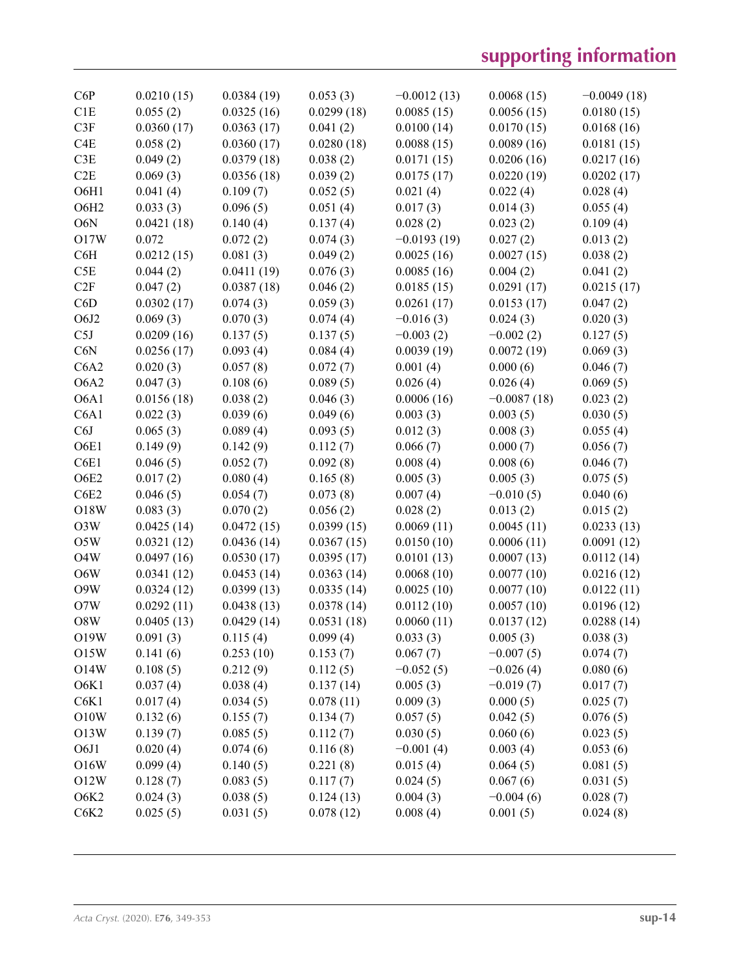| C6P              | 0.0210(15) | 0.0384(19) | 0.053(3)   | $-0.0012(13)$ | 0.0068(15)    | $-0.0049(18)$ |
|------------------|------------|------------|------------|---------------|---------------|---------------|
| C1E              | 0.055(2)   | 0.0325(16) | 0.0299(18) | 0.0085(15)    | 0.0056(15)    | 0.0180(15)    |
| C3F              | 0.0360(17) | 0.0363(17) | 0.041(2)   | 0.0100(14)    | 0.0170(15)    | 0.0168(16)    |
| C <sub>4</sub> E | 0.058(2)   | 0.0360(17) | 0.0280(18) | 0.0088(15)    | 0.0089(16)    | 0.0181(15)    |
| C3E              | 0.049(2)   | 0.0379(18) | 0.038(2)   | 0.0171(15)    | 0.0206(16)    | 0.0217(16)    |
| C2E              | 0.069(3)   | 0.0356(18) | 0.039(2)   | 0.0175(17)    | 0.0220(19)    | 0.0202(17)    |
| O6H1             | 0.041(4)   | 0.109(7)   | 0.052(5)   | 0.021(4)      | 0.022(4)      | 0.028(4)      |
| O6H <sub>2</sub> | 0.033(3)   | 0.096(5)   | 0.051(4)   | 0.017(3)      | 0.014(3)      | 0.055(4)      |
| O6N              | 0.0421(18) | 0.140(4)   | 0.137(4)   | 0.028(2)      | 0.023(2)      | 0.109(4)      |
| O17W             | 0.072      | 0.072(2)   | 0.074(3)   | $-0.0193(19)$ | 0.027(2)      | 0.013(2)      |
| C6H              | 0.0212(15) | 0.081(3)   | 0.049(2)   | 0.0025(16)    | 0.0027(15)    | 0.038(2)      |
| C5E              | 0.044(2)   | 0.0411(19) | 0.076(3)   | 0.0085(16)    | 0.004(2)      | 0.041(2)      |
| C2F              | 0.047(2)   | 0.0387(18) | 0.046(2)   | 0.0185(15)    | 0.0291(17)    | 0.0215(17)    |
| C6D              | 0.0302(17) | 0.074(3)   | 0.059(3)   | 0.0261(17)    | 0.0153(17)    | 0.047(2)      |
| O6J2             | 0.069(3)   | 0.070(3)   | 0.074(4)   | $-0.016(3)$   | 0.024(3)      | 0.020(3)      |
| C5J              | 0.0209(16) | 0.137(5)   | 0.137(5)   | $-0.003(2)$   | $-0.002(2)$   | 0.127(5)      |
| C6N              | 0.0256(17) | 0.093(4)   | 0.084(4)   | 0.0039(19)    | 0.0072(19)    | 0.069(3)      |
| C6A2             | 0.020(3)   | 0.057(8)   | 0.072(7)   | 0.001(4)      | 0.000(6)      | 0.046(7)      |
| O6A2             | 0.047(3)   | 0.108(6)   | 0.089(5)   | 0.026(4)      | 0.026(4)      | 0.069(5)      |
| O6A1             | 0.0156(18) | 0.038(2)   | 0.046(3)   | 0.0006(16)    | $-0.0087(18)$ | 0.023(2)      |
| C6A1             | 0.022(3)   | 0.039(6)   | 0.049(6)   | 0.003(3)      | 0.003(5)      | 0.030(5)      |
| C6J              | 0.065(3)   | 0.089(4)   | 0.093(5)   | 0.012(3)      | 0.008(3)      | 0.055(4)      |
| O6E1             | 0.149(9)   | 0.142(9)   | 0.112(7)   | 0.066(7)      | 0.000(7)      | 0.056(7)      |
| C6E1             | 0.046(5)   | 0.052(7)   | 0.092(8)   | 0.008(4)      | 0.008(6)      | 0.046(7)      |
| O6E2             | 0.017(2)   | 0.080(4)   | 0.165(8)   | 0.005(3)      | 0.005(3)      | 0.075(5)      |
| C6E2             | 0.046(5)   | 0.054(7)   | 0.073(8)   | 0.007(4)      | $-0.010(5)$   | 0.040(6)      |
| O18W             | 0.083(3)   | 0.070(2)   | 0.056(2)   | 0.028(2)      | 0.013(2)      | 0.015(2)      |
| O3W              | 0.0425(14) | 0.0472(15) | 0.0399(15) | 0.0069(11)    | 0.0045(11)    | 0.0233(13)    |
| O5W              | 0.0321(12) | 0.0436(14) | 0.0367(15) | 0.0150(10)    | 0.0006(11)    | 0.0091(12)    |
| O <sub>4</sub> W | 0.0497(16) | 0.0530(17) | 0.0395(17) | 0.0101(13)    | 0.0007(13)    | 0.0112(14)    |
| O6W              | 0.0341(12) | 0.0453(14) | 0.0363(14) | 0.0068(10)    | 0.0077(10)    | 0.0216(12)    |
| O9W              | 0.0324(12) | 0.0399(13) | 0.0335(14) | 0.0025(10)    | 0.0077(10)    | 0.0122(11)    |
| O7W              | 0.0292(11) | 0.0438(13) | 0.0378(14) | 0.0112(10)    | 0.0057(10)    | 0.0196(12)    |
| $\rm{O}8W$       | 0.0405(13) | 0.0429(14) | 0.0531(18) | 0.0060(11)    | 0.0137(12)    | 0.0288(14)    |
| O19W             | 0.091(3)   | 0.115(4)   | 0.099(4)   | 0.033(3)      | 0.005(3)      | 0.038(3)      |
| O15W             | 0.141(6)   | 0.253(10)  | 0.153(7)   | 0.067(7)      | $-0.007(5)$   | 0.074(7)      |
| O14W             | 0.108(5)   | 0.212(9)   | 0.112(5)   | $-0.052(5)$   | $-0.026(4)$   | 0.080(6)      |
| O6K1             | 0.037(4)   | 0.038(4)   | 0.137(14)  | 0.005(3)      | $-0.019(7)$   | 0.017(7)      |
| C6K1             | 0.017(4)   | 0.034(5)   | 0.078(11)  | 0.009(3)      | 0.000(5)      | 0.025(7)      |
| O10W             | 0.132(6)   | 0.155(7)   | 0.134(7)   | 0.057(5)      | 0.042(5)      | 0.076(5)      |
| O13W             | 0.139(7)   | 0.085(5)   | 0.112(7)   | 0.030(5)      | 0.060(6)      | 0.023(5)      |
| O6J1             | 0.020(4)   | 0.074(6)   | 0.116(8)   | $-0.001(4)$   | 0.003(4)      | 0.053(6)      |
| O16W             | 0.099(4)   | 0.140(5)   | 0.221(8)   | 0.015(4)      | 0.064(5)      | 0.081(5)      |
| O12W             | 0.128(7)   | 0.083(5)   | 0.117(7)   | 0.024(5)      | 0.067(6)      | 0.031(5)      |
| O6K <sub>2</sub> | 0.024(3)   | 0.038(5)   | 0.124(13)  | 0.004(3)      | $-0.004(6)$   | 0.028(7)      |
| C6K2             | 0.025(5)   | 0.031(5)   | 0.078(12)  | 0.008(4)      | 0.001(5)      | 0.024(8)      |
|                  |            |            |            |               |               |               |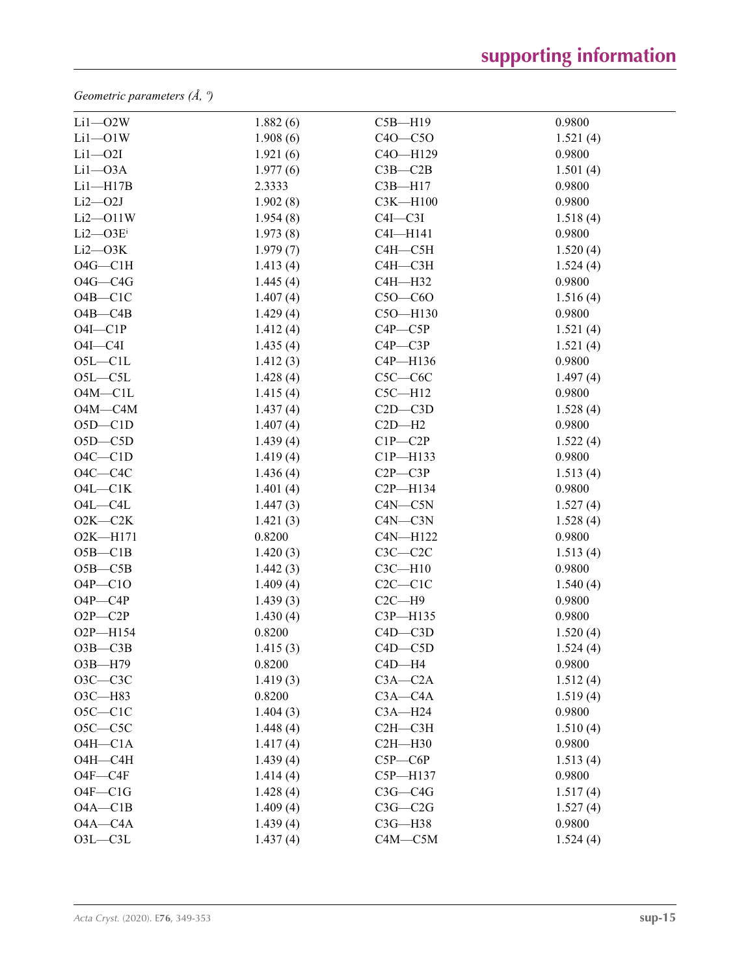*Geometric parameters (Å, º)*

| $Li1 - O2W$    | 1.882(6) | $C5B - H19$   | 0.9800   |
|----------------|----------|---------------|----------|
| $Li1 - O1W$    | 1.908(6) | $C40 - C50$   | 1.521(4) |
| $Li1 - O2I$    | 1.921(6) | C4O-H129      | 0.9800   |
| $Li1 - O3A$    | 1.977(6) | $C3B - C2B$   | 1.501(4) |
| $Li1 - H17B$   | 2.3333   | $C3B - H17$   | 0.9800   |
| $Li2 - O2J$    | 1.902(8) | C3K-H100      | 0.9800   |
| $Li2$ $-$ O11W | 1.954(8) | $C4I - C3I$   | 1.518(4) |
| $Li2 - O3Ei$   | 1.973(8) | C4I-H141      | 0.9800   |
| $Li2$ — $O3K$  | 1.979(7) | $C4H - C5H$   | 1.520(4) |
| $O4G - C1H$    | 1.413(4) | $C4H - C3H$   | 1.524(4) |
| $O4G - C4G$    | 1.445(4) | C4H-H32       | 0.9800   |
| $O4B - C1C$    | 1.407(4) | $C50-C60$     | 1.516(4) |
| $O4B - C4B$    | 1.429(4) | C5O-H130      | 0.9800   |
| $O4I - C1P$    | 1.412(4) | $C4P - C5P$   | 1.521(4) |
| $O4I - C4I$    | 1.435(4) | $C4P - C3P$   | 1.521(4) |
| $O5L - C1L$    | 1.412(3) | C4P-H136      | 0.9800   |
| $O5L - C5L$    | 1.428(4) | $C5C-C6C$     | 1.497(4) |
| $O4M - C1L$    | 1.415(4) | $C5C - H12$   | 0.9800   |
| $O4M - C4M$    | 1.437(4) | $C2D - C3D$   | 1.528(4) |
| $O5D - C1D$    | 1.407(4) | $C2D-H2$      | 0.9800   |
| $O5D - C5D$    | 1.439(4) | $C1P - C2P$   | 1.522(4) |
| $O4C - C1D$    | 1.419(4) | C1P-H133      | 0.9800   |
| $O4C - C4C$    | 1.436(4) | $C2P - C3P$   | 1.513(4) |
| $O4L - C1K$    | 1.401(4) | $C2P - H134$  | 0.9800   |
| $O4L - C4L$    | 1.447(3) | $C4N$ — $C5N$ | 1.527(4) |
| $O2K-C2K$      | 1.421(3) | $C4N-C3N$     | 1.528(4) |
| O2K-H171       | 0.8200   | $C4N-H122$    | 0.9800   |
| $O5B - C1B$    | 1.420(3) | $C3C-C2C$     | 1.513(4) |
| $O5B - C5B$    | 1.442(3) | $C3C - H10$   | 0.9800   |
| $O4P - C1O$    | 1.409(4) | $C2C - C1C$   | 1.540(4) |
| $O4P - C4P$    | 1.439(3) | $C2C - H9$    | 0.9800   |
| $O2P - C2P$    | 1.430(4) | C3P-H135      | 0.9800   |
| O2P-H154       | 0.8200   | $C4D - C3D$   | 1.520(4) |
| $O3B - C3B$    | 1.415(3) | $C4D - C5D$   | 1.524(4) |
| O3B-H79        | 0.8200   | $C4D - H4$    | 0.9800   |
| $O3C-C3C$      | 1.419(3) | $C3A - C2A$   | 1.512(4) |
| O3C-H83        | 0.8200   | $C3A - C4A$   | 1.519(4) |
| $O5C-C1C$      | 1.404(3) | $C3A - H24$   | 0.9800   |
| $O5C - C5C$    | 1.448(4) | $C2H - C3H$   | 1.510(4) |
| $O4H - C1A$    | 1.417(4) | $C2H - H30$   | 0.9800   |
| $O4H - C4H$    | 1.439(4) | $C5P - C6P$   | 1.513(4) |
| $O4F - C4F$    | 1.414(4) | C5P-H137      | 0.9800   |
| $O4F - C1G$    | 1.428(4) | $C3G - C4G$   | 1.517(4) |
| $O4A - C1B$    | 1.409(4) | $C3G - C2G$   | 1.527(4) |
| $O4A - C4A$    | 1.439(4) | $C3G - H38$   | 0.9800   |
| $O3L - C3L$    | 1.437(4) | $C4M - C5M$   | 1.524(4) |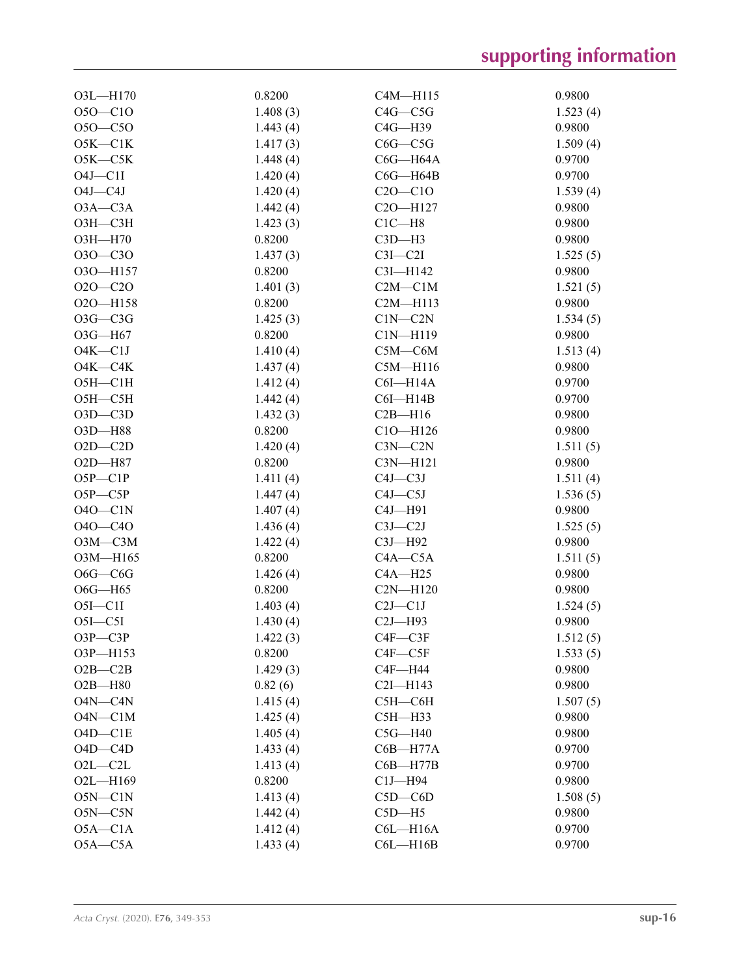| $O3L$ -H170   | 0.8200   | $C4M$ —H115   | 0.9800   |
|---------------|----------|---------------|----------|
| $O5O - C1O$   | 1.408(3) | $C4G - C5G$   | 1.523(4) |
| $O5O-C5O$     | 1.443(4) | $C4G - H39$   | 0.9800   |
| $O5K-C1K$     | 1.417(3) | $C6G - C5G$   | 1.509(4) |
| $O5K-C5K$     | 1.448(4) | $C6G - H64A$  | 0.9700   |
| $O4J$ — $Cl1$ | 1.420(4) | $C6G - H64B$  | 0.9700   |
| $O4J - C4J$   | 1.420(4) | $C20 - C10$   | 1.539(4) |
| $O3A - C3A$   | 1.442(4) | C2O-H127      | 0.9800   |
| ОЗН-СЗН       | 1.423(3) | $C1C - H8$    | 0.9800   |
| O3H-H70       | 0.8200   | $C3D-H3$      | 0.9800   |
| $O3O - C3O$   | 1.437(3) | $C3I - C2I$   | 1.525(5) |
| O3O-H157      | 0.8200   | C3I-H142      | 0.9800   |
| $O2O - C2O$   | 1.401(3) | $C2M - C1M$   | 1.521(5) |
| O2O-H158      | 0.8200   | $C2M - H113$  | 0.9800   |
| $O3G - C3G$   | 1.425(3) | $C1N-C2N$     | 1.534(5) |
| $O3G - H67$   | 0.8200   | $C1N-H119$    | 0.9800   |
| $O4K - C1J$   | 1.410(4) | $C5M-C6M$     | 1.513(4) |
| $O4K - C4K$   | 1.437(4) | $C5M - H116$  | 0.9800   |
| $O5H - C1H$   | 1.412(4) | C6I—H14A      | 0.9700   |
| $O5H - C5H$   | 1.442(4) | $C6I - H14B$  | 0.9700   |
| $O3D - C3D$   | 1.432(3) | $C2B - H16$   | 0.9800   |
| O3D-H88       | 0.8200   | $C10 - H126$  | 0.9800   |
| $O2D - C2D$   | 1.420(4) | $C3N-C2N$     | 1.511(5) |
| O2D-H87       | 0.8200   | $C3N-H121$    | 0.9800   |
| $O5P - C1P$   | 1.411(4) | $C4J - C3J$   | 1.511(4) |
| $O5P - C5P$   | 1.447(4) | $C4J - C5J$   | 1.536(5) |
| $O40$ — $C1N$ | 1.407(4) | $C4J$ -H91    | 0.9800   |
| $O4O - C4O$   | 1.436(4) | $C3J - C2J$   | 1.525(5) |
| $O3M - C3M$   | 1.422(4) | $C3J- H92$    | 0.9800   |
| O3M-H165      | 0.8200   | $C4A - C5A$   | 1.511(5) |
| $O6G$ —C $6G$ | 1.426(4) | $CAA - H25$   | 0.9800   |
| $O6G$ —H65    | 0.8200   | $C2N - H120$  | 0.9800   |
| $O5I - C1I$   | 1.403(4) | $C2J - C1J$   | 1.524(5) |
| $O5I - C5I$   | 1.430(4) | $C2J - H93$   | 0.9800   |
| $O3P$ — $C3P$ | 1.422(3) | $C4F - C3F$   | 1.512(5) |
| O3P-H153      | 0.8200   | $C4F$ — $C5F$ | 1.533(5) |
| $O2B - C2B$   | 1.429(3) | $C4F - H44$   | 0.9800   |
| $O2B - H80$   | 0.82(6)  | $C2I - H143$  | 0.9800   |
| O4N-C4N       | 1.415(4) | $C5H - C6H$   | 1.507(5) |
| $O4N-C1M$     | 1.425(4) | $C5H - H33$   | 0.9800   |
| $O4D-C1E$     | 1.405(4) | $C5G - H40$   | 0.9800   |
| $O4D - C4D$   | 1.433(4) | $C6B - H77A$  | 0.9700   |
| $O2L - C2L$   | 1.413(4) | $C6B - H77B$  | 0.9700   |
| O2L-H169      | 0.8200   | $C1J$ -H94    | 0.9800   |
| $O5N-C1N$     | 1.413(4) | $C5D - C6D$   | 1.508(5) |
| $O5N - C5N$   | 1.442(4) | $C5D-H5$      | 0.9800   |
| $O5A - C1A$   | 1.412(4) | $C6L - H16A$  | 0.9700   |
| $O5A - C5A$   | 1.433(4) | $C6L - H16B$  | 0.9700   |
|               |          |               |          |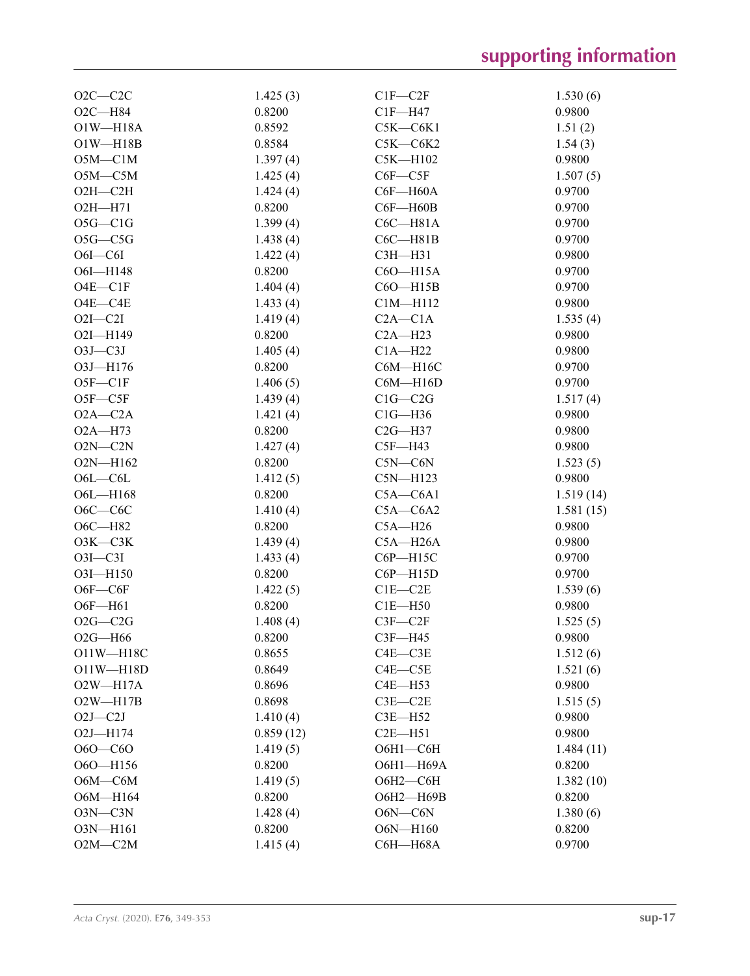| $O2C-C2C$     | 1.425(3)  | $CIF$ —C2F    | 1.530(6)  |
|---------------|-----------|---------------|-----------|
| $O2C - H84$   | 0.8200    | $CIF- H47$    | 0.9800    |
| $O1W - H18A$  | 0.8592    | $C5K-C6K1$    | 1.51(2)   |
| $O1W - H18B$  | 0.8584    | $C5K-C6K2$    | 1.54(3)   |
| $O5M - C1M$   | 1.397(4)  | $C5K - H102$  | 0.9800    |
| $O5M - C5M$   | 1.425(4)  | $C6F - C5F$   | 1.507(5)  |
| $O2H - C2H$   | 1.424(4)  | $C6F - H60A$  | 0.9700    |
| $O2H - H71$   | 0.8200    | $C6F - H60B$  | 0.9700    |
| $O5G - ClG$   | 1.399(4)  | $C6C - H81A$  | 0.9700    |
| $O5G - C5G$   | 1.438(4)  | C6C—H81B      | 0.9700    |
| $O6I - C6I$   | 1.422(4)  | C3H-H31       | 0.9800    |
| O6I-H148      | 0.8200    | C6O-H15A      | 0.9700    |
| $O4E - C1F$   | 1.404(4)  | $C60 - H15B$  | 0.9700    |
| $O4E - C4E$   | 1.433(4)  | $C1M - H112$  | 0.9800    |
| $O2I - C2I$   | 1.419(4)  | $C2A - C1A$   | 1.535(4)  |
| O2I-H149      | 0.8200    | $C2A - H23$   | 0.9800    |
| $O3J - C3J$   | 1.405(4)  | $C1A - H22$   | 0.9800    |
| O3J-H176      | 0.8200    | C6M-H16C      | 0.9700    |
| $O5F - C1F$   | 1.406(5)  | $C6M - H16D$  | 0.9700    |
| $O5F - C5F$   | 1.439(4)  | $C1G - C2G$   | 1.517(4)  |
| $O2A - C2A$   | 1.421(4)  | $C1G - H36$   | 0.9800    |
| $O2A - H73$   | 0.8200    | $C2G - H37$   | 0.9800    |
| $O2N-C2N$     | 1.427(4)  | $C5F - H43$   | 0.9800    |
| $O2N - H162$  | 0.8200    | $C5N-C6N$     | 1.523(5)  |
| $O6L - C6L$   | 1.412(5)  | $CSN-H123$    | 0.9800    |
| O6L-H168      | 0.8200    | $C5A - C6A1$  | 1.519(14) |
| $O6C-C6C$     | 1.410(4)  | $C5A - C6A2$  | 1.581(15) |
| $O6C - H82$   | 0.8200    | $C5A - H26$   | 0.9800    |
| $O3K-C3K$     | 1.439(4)  | $C5A - H26A$  | 0.9800    |
| $O3I - C3I$   | 1.433(4)  | C6P-H15C      | 0.9700    |
| O3I-H150      | 0.8200    | $C6P - H15D$  | 0.9700    |
| $O6F - C6F$   | 1.422(5)  | $C1E - C2E$   | 1.539(6)  |
| $O6F - H61$   | 0.8200    | $C1E - H50$   | 0.9800    |
| $O2G - C2G$   | 1.408(4)  | $C3F - C2F$   | 1.525(5)  |
| $O2G - H66$   | 0.8200    | $C3F - H45$   | 0.9800    |
| O11W-H18C     | 0.8655    | $C4E$ — $C3E$ | 1.512(6)  |
| $O11W - H18D$ | 0.8649    | $C4E - C5E$   | 1.521(6)  |
| $O2W - H17A$  | 0.8696    | $C4E - H53$   | 0.9800    |
| $O2W - H17B$  | 0.8698    | $C3E$ — $C2E$ | 1.515(5)  |
| $O2J - C2J$   | 1.410(4)  | $C3E - H52$   | 0.9800    |
| $O2J$ —H174   | 0.859(12) | $C2E- H51$    | 0.9800    |
| $060 - C60$   | 1.419(5)  | $O6H1-C6H$    | 1.484(11) |
| O6O-H156      | 0.8200    | О6Н1-Н69А     | 0.8200    |
| $O6M - C6M$   | 1.419(5)  | $O6H2-C6H$    | 1.382(10) |
| O6M-H164      | 0.8200    | О6Н2-Н69В     | 0.8200    |
| $O3N-C3N$     | 1.428(4)  | $O6N$ — $C6N$ | 1.380(6)  |
| O3N-H161      | 0.8200    | O6N-H160      | 0.8200    |
| $O2M - C2M$   | 1.415(4)  | C6H-H68A      | 0.9700    |
|               |           |               |           |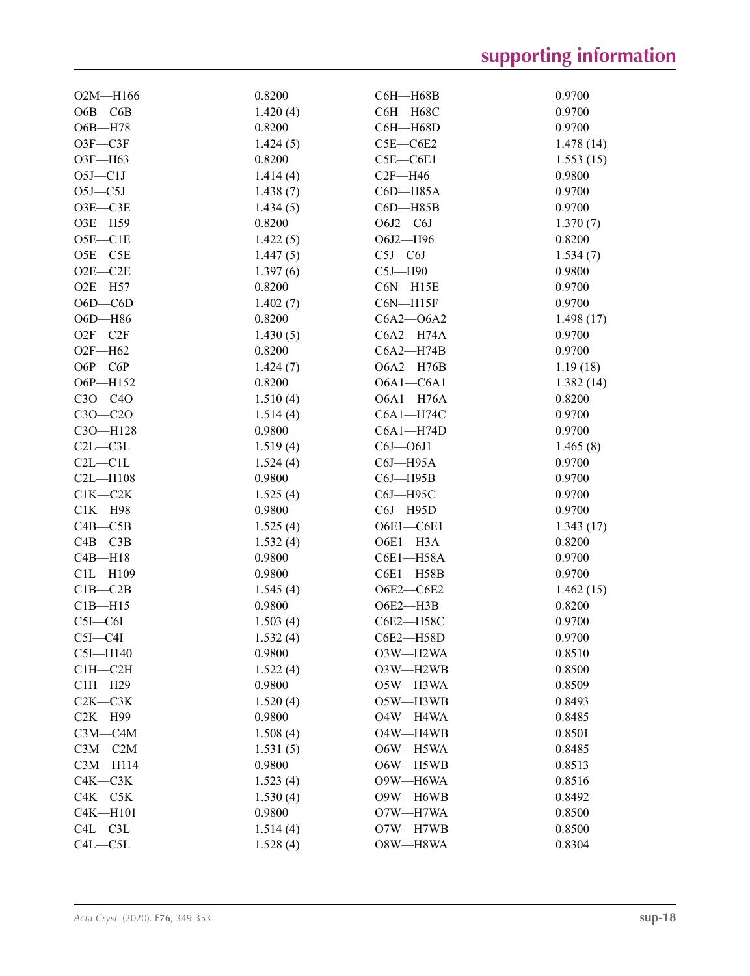| $O2M$ —H166   | 0.8200   | C6H-H68B          | 0.9700    |
|---------------|----------|-------------------|-----------|
| $O6B - C6B$   | 1.420(4) | С6Н-Н68С          | 0.9700    |
| O6B-H78       | 0.8200   | C6H-H68D          | 0.9700    |
| $O3F - C3F$   | 1.424(5) | $C5E - C6E2$      | 1.478(14) |
| O3F-H63       | 0.8200   | $C5E - C6E1$      | 1.553(15) |
| $O5J$ — $ClJ$ | 1.414(4) | $C2F - H46$       | 0.9800    |
| $O5J$ — $C5J$ | 1.438(7) | C6D-H85A          | 0.9700    |
| $O3E - C3E$   | 1.434(5) | $C6D$ -H85B       | 0.9700    |
| O3E-H59       | 0.8200   | $O6J2-C6J$        | 1.370(7)  |
| $O5E - C1E$   | 1.422(5) | O6J2-H96          | 0.8200    |
| $O5E - C5E$   | 1.447(5) | $C5J-C6J$         | 1.534(7)  |
| $O2E - C2E$   | 1.397(6) | $C5J - H90$       | 0.9800    |
| $O2E - H57$   | 0.8200   | $CON-H15E$        | 0.9700    |
| $O6D - CO$    | 1.402(7) | $CON-H15F$        | 0.9700    |
| O6D-H86       | 0.8200   | $C6A2 - O6A2$     | 1.498(17) |
| $O2F - C2F$   | 1.430(5) | $C6A2 - H74A$     | 0.9700    |
| $O2F - H62$   | 0.8200   | $C6A2 - H74B$     | 0.9700    |
| $O6P - C6P$   | 1.424(7) | O6A2-H76B         | 1.19(18)  |
| O6P-H152      | 0.8200   | $O6A1 - C6A1$     | 1.382(14) |
| $C30-C40$     | 1.510(4) | $O6A1 - H76A$     | 0.8200    |
| $C30-C20$     | 1.514(4) | $C6A1 - H74C$     | 0.9700    |
| C3O-H128      | 0.9800   | $C6A1 - H74D$     | 0.9700    |
| $C2L - C3L$   | 1.519(4) | $C6J$ $-$ O $6J1$ | 1.465(8)  |
| $C2L - C1L$   | 1.524(4) | $C6J$ —H95A       | 0.9700    |
| $C2L - H108$  | 0.9800   | $C6J$ -H $95B$    | 0.9700    |
| $C1K-C2K$     | 1.525(4) | C6J-H95C          | 0.9700    |
| $C1K - H98$   | 0.9800   | $C6J$ —H $95D$    | 0.9700    |
| $C4B - C5B$   | 1.525(4) | $O6E1 - C6E1$     | 1.343(17) |
| $C4B - C3B$   | 1.532(4) | O6E1-H3A          | 0.8200    |
| $C4B - H18$   | 0.9800   | C6E1-H58A         | 0.9700    |
| $ClL - H109$  | 0.9800   | C6E1-H58B         | 0.9700    |
| $C1B - C2B$   | 1.545(4) | O6E2-C6E2         | 1.462(15) |
| $C1B - H15$   | 0.9800   | O6E2-H3B          | 0.8200    |
| $C5I - C6I$   | 1.503(4) | C6E2-H58C         | 0.9700    |
| $C5I - C4I$   | 1.532(4) | C6E2-H58D         | 0.9700    |
| $C5I$ —H140   | 0.9800   | O3W-H2WA          | 0.8510    |
| $C1H - C2H$   | 1.522(4) | O3W-H2WB          | 0.8500    |
| $C1H - H29$   | 0.9800   | O5W-H3WA          | 0.8509    |
| $C2K-C3K$     | 1.520(4) | O5W-H3WB          | 0.8493    |
| $C2K - H99$   | 0.9800   | O4W-H4WA          | 0.8485    |
| $C3M - C4M$   | 1.508(4) | O4W-H4WB          | 0.8501    |
| $C3M-C2M$     | 1.531(5) | O6W-H5WA          | 0.8485    |
| C3M-H114      | 0.9800   | O6W-H5WB          | 0.8513    |
| $C4K-C3K$     | 1.523(4) | O9W-H6WA          | 0.8516    |
| $C4K-C5K$     | 1.530(4) | O9W-H6WB          | 0.8492    |
| $C4K - H101$  | 0.9800   | O7W-H7WA          | 0.8500    |
| $C4L - C3L$   | 1.514(4) | O7W-H7WB          | 0.8500    |
| $C4L - C5L$   | 1.528(4) | O8W-H8WA          | 0.8304    |
|               |          |                   |           |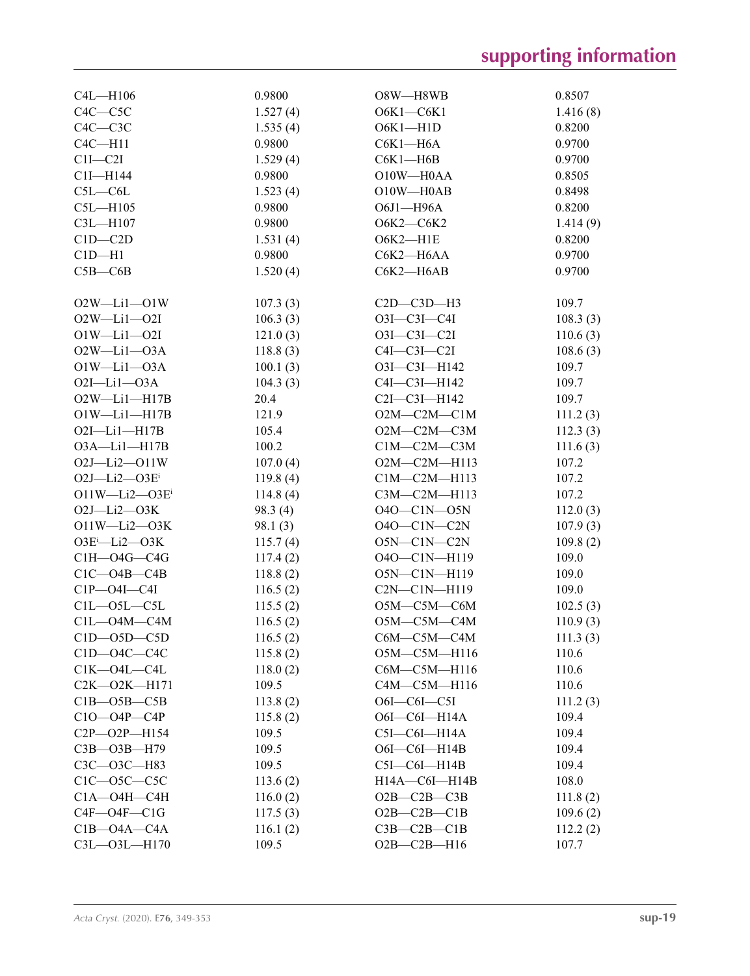| C4L-H106               | 0.9800   | O8W-H8WB               | 0.8507   |
|------------------------|----------|------------------------|----------|
| $C4C - C5C$            | 1.527(4) | $O6K1-C6K1$            | 1.416(8) |
| $C4C - C3C$            | 1.535(4) | $O6K1 - H1D$           | 0.8200   |
| $C4C - H11$            | 0.9800   | $C6K1-H6A$             | 0.9700   |
| $C1I - C2I$            | 1.529(4) | $C6K1 - H6B$           | 0.9700   |
| C1I-H144               | 0.9800   | O10W-H0AA              | 0.8505   |
| $C5L - C6L$            | 1.523(4) | $O10W - H0AB$          | 0.8498   |
| $C5L - H105$           | 0.9800   | O6J1-H96A              | 0.8200   |
| C3L-H107               | 0.9800   | О6К2-С6К2              | 1.414(9) |
| $C1D - C2D$            | 1.531(4) | $O6K2 - H1E$           | 0.8200   |
| $ClD-H1$               | 0.9800   | C6K2-H6AA              | 0.9700   |
| $C5B - C6B$            | 1.520(4) | C6K2-H6AB              | 0.9700   |
|                        |          |                        |          |
| $O2W - Li1 - O1W$      | 107.3(3) | $C2D - C3D - H3$       | 109.7    |
| $O2W - Li1 - O2I$      | 106.3(3) | $O3I - C3I - C4I$      | 108.3(3) |
| $O1W-Li1-O2I$          | 121.0(3) | $O3I - C3I - C2I$      | 110.6(3) |
| $O2W-Li1-O3A$          | 118.8(3) | $C4I - C3I - C2I$      | 108.6(3) |
| $O1W-Li1-O3A$          | 100.1(3) | O3I-C3I-H142           | 109.7    |
| $O2I - Li1 - O3A$      | 104.3(3) | C4I-C3I-H142           | 109.7    |
| $O2W-Li1-H17B$         | 20.4     | C2I-C3I-H142           | 109.7    |
| $O1W-Li1-H17B$         | 121.9    | $O2M$ — $C2M$ — $C1M$  | 111.2(3) |
| $O2I$ -Li $1$ -H $17B$ | 105.4    | $O2M$ — $C2M$ — $C3M$  | 112.3(3) |
| O3A-Li1-H17B           | 100.2    | $C1M-C2M-C3M$          | 111.6(3) |
| $O2J - Li2 - O11W$     | 107.0(4) | O2M-C2M-H113           | 107.2    |
| $O2J - Li2 - O3Ei$     | 119.8(4) | $C1M-C2M-H113$         | 107.2    |
| $O11W - Li2 - O3E$     | 114.8(4) | C3M-C2M-H113           | 107.2    |
| $O2J - Li2 - O3K$      | 98.3(4)  | 040-C1N-05N            | 112.0(3) |
| $O11W-Li2-O3K$         | 98.1(3)  | $O4O-C1N-C2N$          | 107.9(3) |
| $O3E^i$ -Li2- $O3K$    | 115.7(4) | $O5N-C1N-C2N$          | 109.8(2) |
| $CH$ — $O4G$ — $C4G$   | 117.4(2) | 040-C1N-H119           | 109.0    |
| $C1C - O4B - C4B$      | 118.8(2) | O5N-C1N-H119           | 109.0    |
| $C1P - O4I - C4I$      | 116.5(2) | $C2N-C1N-H119$         | 109.0    |
| $C1L - 05L - C5L$      | 115.5(2) | O5M-C5M-C6M            | 102.5(3) |
| $C1L - O4M - C4M$      | 116.5(2) | O5M-C5M-C4M            | 110.9(3) |
| $C1D-05D- C5D$         | 116.5(2) | C6M-C5M-C4M            | 111.3(3) |
| $C1D$ — $O4C$ — $C4C$  | 115.8(2) | $O5M$ — $C5M$ —H116    | 110.6    |
| $C1K-04L-CAL$          | 118.0(2) | C6M-C5M-H116           | 110.6    |
| $C2K-O2K-H171$         | 109.5    | $C4M$ — $C5M$ —H116    | 110.6    |
| $C1B - O5B - C5B$      | 113.8(2) | $O6I$ — $COI$ — $C5I$  | 111.2(3) |
| $C10 - O4P - C4P$      | 115.8(2) | $O6I$ — $COI$ — $H14A$ | 109.4    |
| $C2P - O2P - H154$     | 109.5    | $C5I-C6I-H14A$         | 109.4    |
| $C3B - O3B - H79$      | 109.5    | $O6I$ — $COI$ — $H14B$ | 109.4    |
| C3C-O3C-H83            | 109.5    | $C5I-C6I-H14B$         | 109.4    |
| $C1C$ — $O5C$ — $C5C$  | 113.6(2) | $H14A - C6I - H14B$    | 108.0    |
| $C1A - O4H - C4H$      | 116.0(2) | $O2B - C2B - C3B$      | 111.8(2) |
| $C4F - O4F - C1G$      | 117.5(3) | $O2B-C2B-C1B$          | 109.6(2) |
| $C1B - O4A - C4A$      | 116.1(2) | $C3B - C2B - C1B$      | 112.2(2) |
| C3L-03L-H170           | 109.5    | $O2B-C2B-H16$          | 107.7    |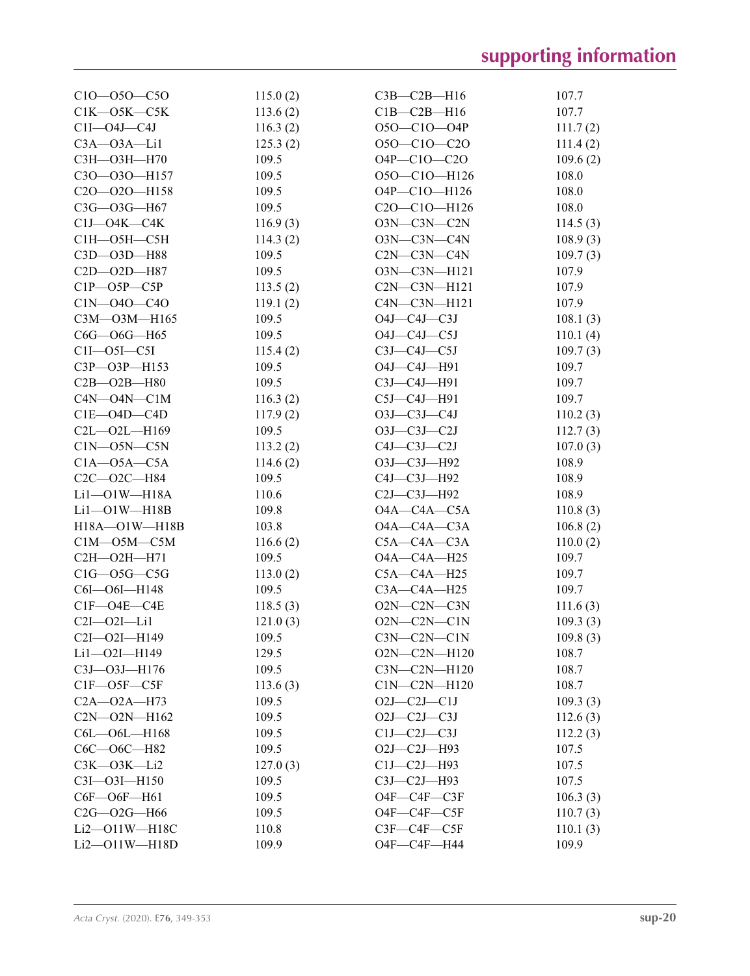| $C10 - 050 - C50$       | 115.0(2) | $C3B - C2B - H16$                                  | 107.7    |
|-------------------------|----------|----------------------------------------------------|----------|
| $C1K$ — $O5K$ — $C5K$   | 113.6(2) | $C1B-C2B-H16$                                      | 107.7    |
| $C1I$ — $O4J$ — $C4J$   | 116.3(2) | $O5O - ClO - O4P$                                  | 111.7(2) |
| $C3A - 03A - Li1$       | 125.3(2) | $O5O-C1O-C2O$                                      | 111.4(2) |
| СЗН-ОЗН-Н70             | 109.5    | $O4P - C1O - C2O$                                  | 109.6(2) |
| C3O-03O-H157            | 109.5    | O5O-C1O-H126                                       | 108.0    |
| C2O-02O-H158            | 109.5    | O4P-C1O-H126                                       | 108.0    |
| C3G-03G-H67             | 109.5    | C <sub>2</sub> O-C <sub>1</sub> O-H <sub>126</sub> | 108.0    |
| $C1J$ — $O4K$ — $C4K$   | 116.9(3) | $O3N$ — $C3N$ — $C2N$                              | 114.5(3) |
| $C1H$ — $O5H$ — $C5H$   | 114.3(2) | O3N-C3N-C4N                                        | 108.9(3) |
| C3D-03D-H88             | 109.5    | $C2N-C3N-C4N$                                      | 109.7(3) |
| C2D-02D-H87             | 109.5    | O3N-C3N-H121                                       | 107.9    |
| $C1P - O5P - C5P$       | 113.5(2) | $C2N-C3N-H121$                                     | 107.9    |
| $C1N - 040 - C40$       | 119.1(2) | $C4N$ — $C3N$ — $H121$                             | 107.9    |
| C3M-03M-H165            | 109.5    | $O4J$ — $C4J$ — $C3J$                              | 108.1(3) |
| C6G-O6G-H65             | 109.5    | $O4J$ — $C4J$ — $C5J$                              | 110.1(4) |
| $C1I$ — $O5I$ — $C5I$   | 115.4(2) | $C3J - C4J - C5J$                                  | 109.7(3) |
| C3P-03P-H153            | 109.5    | O4J-C4J-H91                                        | 109.7    |
| $C2B - O2B - H80$       | 109.5    | C3J-C4J-H91                                        | 109.7    |
| $C4N$ — $O4N$ — $C1M$   | 116.3(2) | $C5J-C4J-H91$                                      | 109.7    |
| $C1E$ - $O4D$ - $C4D$   | 117.9(2) | $O3J-C3J-C4J$                                      | 110.2(3) |
| $C2L - 02L - H169$      | 109.5    | $O3J-C3J-C2J$                                      | 112.7(3) |
| $C1N$ — $O5N$ — $C5N$   | 113.2(2) | $C4J - C3J - C2J$                                  | 107.0(3) |
| $C1A - 05A - C5A$       | 114.6(2) | O3J-C3J-H92                                        | 108.9    |
| C2C-O2C-H84             | 109.5    | C4J-C3J-H92                                        | 108.9    |
| $Li1$ - $O1W$ - $H18A$  | 110.6    | C2J-C3J-H92                                        | 108.9    |
| $Li1$ - $O1W$ - $H18B$  | 109.8    | $O4A - C4A - C5A$                                  | 110.8(3) |
| $H18A - O1W - H18B$     | 103.8    | $O4A - C4A - C3A$                                  | 106.8(2) |
| $C1M$ — $O5M$ — $C5M$   | 116.6(2) | $C5A - C4A - C3A$                                  | 110.0(2) |
| $C2H$ — $O2H$ — $H71$   | 109.5    | O4A-C4A-H25                                        | 109.7    |
| $C1G - 05G - C5G$       | 113.0(2) | $C5A - C4A - H25$                                  | 109.7    |
| C6I-O6I-H148            | 109.5    | $C3A - C4A - H25$                                  | 109.7    |
| $CIF-O4E-CAE$           | 118.5(3) | O2N-C2N-C3N                                        | 111.6(3) |
| $C2I - O2I - Li1$       | 121.0(3) | O2N-C2N-C1N                                        | 109.3(3) |
| C2I-O2I-H149            | 109.5    | $C3N-C2N-C1N$                                      | 109.8(3) |
| $Li1 - O2I - H149$      | 129.5    | $O2N-C2N-H120$                                     | 108.7    |
| C3J-03J-H176            | 109.5    | C3N-C2N-H120                                       | 108.7    |
| $CIF$ — $O5F$ — $C5F$   | 113.6(3) | $C1N-C2N-H120$                                     | 108.7    |
| $C2A - 02A - H73$       | 109.5    | $O2J-C2J-C1J$                                      | 109.3(3) |
| C2N-02N-H162            | 109.5    | $O2J-C2J-C3J$                                      | 112.6(3) |
| $C6L - O6L - H168$      | 109.5    | $C1J-C2J-C3J$                                      | 112.2(3) |
| C6C-O6C-H82             | 109.5    | O2J-C2J-H93                                        | 107.5    |
| $C3K - 03K - Li2$       | 127.0(3) | $C1J-C2J-H93$                                      | 107.5    |
| C3I-O3I-H150            | 109.5    | C3J-C2J-H93                                        | 107.5    |
| C6F-O6F-H61             | 109.5    | O4F-C4F-C3F                                        | 106.3(3) |
| C2G-02G-H66             | 109.5    | $O4F$ — $C4F$ — $C5F$                              | 110.7(3) |
| $Li2$ — $O11W$ — $H18C$ | 110.8    | $C3F - C4F - C5F$                                  | 110.1(3) |
| $Li2$ - $O11W$ - $H18D$ | 109.9    | O4F-C4F-H44                                        | 109.9    |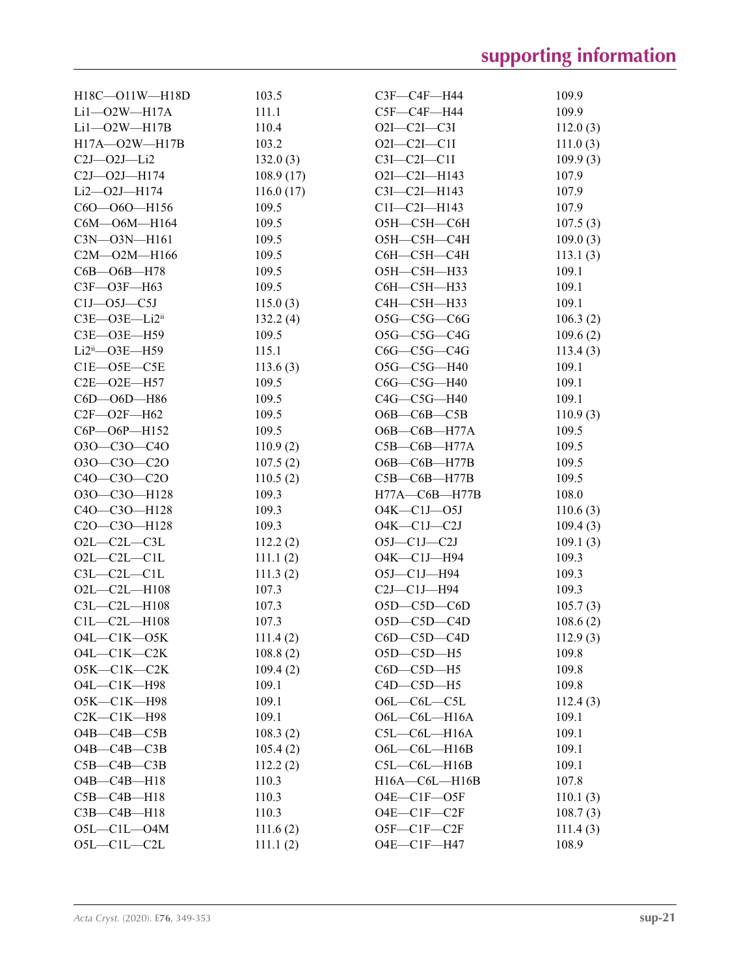| $H18C - O11W - H18D$                               | 103.5     | C3F-C4F-H44            | 109.9    |
|----------------------------------------------------|-----------|------------------------|----------|
| $Li1 - O2W - H17A$                                 | 111.1     | C5F—C4F—H44            | 109.9    |
| $Li1 - O2W - H17B$                                 | 110.4     | $O2I - C2I - C3I$      | 112.0(3) |
| H17A-O2W-H17B                                      | 103.2     | $O2I - C2I - C1I$      | 111.0(3) |
| $C2J - 02J - Li2$                                  | 132.0(3)  | $C3I - C2I - C1I$      | 109.9(3) |
| $C2J - 02J - H174$                                 | 108.9(17) | $O2I - C2I - H143$     | 107.9    |
| Li2-02J-H174                                       | 116.0(17) | $C3I - C2I - H143$     | 107.9    |
| $C60 - 060 - H156$                                 | 109.5     | $ClI-C2I-H143$         | 107.9    |
| C6M-O6M-H164                                       | 109.5     | О5Н—С5Н—С6Н            | 107.5(3) |
| C3N-03N-H161                                       | 109.5     | O5H-C5H-C4H            | 109.0(3) |
| $C2M - 02M - H166$                                 | 109.5     | С6Н-С5Н-С4Н            | 113.1(3) |
| $C6B$ — $O6B$ —H78                                 | 109.5     | О5Н-С5Н-Н33            | 109.1    |
| C3F-O3F-H63                                        | 109.5     | С6Н-С5Н-Н33            | 109.1    |
| $C1J$ — $O5J$ — $C5J$                              | 115.0(3)  | С4Н-С5Н-Н33            | 109.1    |
| $C3E$ — $O3E$ — $Li2ii$                            | 132.2(4)  | $O5G-C5G-C6G$          | 106.3(2) |
| C3E-O3E-H59                                        | 109.5     | $O5G-C5G-C4G$          | 109.6(2) |
| $Li2ii$ - $O3E$ - $H59$                            | 115.1     | $C6G-C5G-C4G$          | 113.4(3) |
| $C1E$ — $O5E$ — $C5E$                              | 113.6(3)  | O5G-C5G-H40            | 109.1    |
| $C2E - 02E - H57$                                  | 109.5     | $C6G-C5G-H40$          | 109.1    |
| C6D-O6D-H86                                        | 109.5     | $C4G-C5G-H40$          | 109.1    |
| $C2F - 02F - H62$                                  | 109.5     | O6B—C6B—C5B            | 110.9(3) |
| C6P-O6P-H152                                       | 109.5     | O6B-C6B-H77A           | 109.5    |
| 030-C30-C40                                        | 110.9(2)  | $C5B$ — $C6B$ —H77A    | 109.5    |
| $O3O-C3O-C2O$                                      | 107.5(2)  | $O6B$ — $C6B$ —H77B    | 109.5    |
| C4O-C3O-C2O                                        | 110.5(2)  | $C5B-C6B-H77B$         | 109.5    |
| O3O-C3O-H128                                       | 109.3     | $H77A - C6B - H77B$    | 108.0    |
| C4O-C3O-H128                                       | 109.3     | $O4K - C1J - O5J$      | 110.6(3) |
| C <sub>2</sub> O-C <sub>3</sub> O-H <sub>128</sub> | 109.3     | $O4K$ — $Cl$ J— $C2J$  | 109.4(3) |
| $O2L-C2L-C3L$                                      | 112.2(2)  | $O5J$ — $Cl$ J— $C2J$  | 109.1(3) |
| $O2L - C2L - C1L$                                  | 111.1(2)  | O4K-C1J-H94            | 109.3    |
| $C3L - C2L - C1L$                                  | 111.3(2)  | $O5J$ — $ClJ$ — $H94$  | 109.3    |
| $O2L - C2L - H108$                                 | 107.3     | $C2J-C1J-H94$          | 109.3    |
| $C3L - C2L - H108$                                 | 107.3     | $O5D$ — $C5D$ — $C6D$  | 105.7(3) |
| $C1L - C2L - H108$                                 | 107.3     | $O5D - C5D - C4D$      | 108.6(2) |
| $O4L-C1K-O5K$                                      | 111.4(2)  | $C6D$ — $C5D$ — $C4D$  | 112.9(3) |
| $O4L$ — $C1K$ — $C2K$                              | 108.8(2)  | $O5D-C5D-H5$           | 109.8    |
| O5K-C1K-C2K                                        | 109.4(2)  | $C6D - C5D - H5$       | 109.8    |
| O4L-C1K-H98                                        | 109.1     | $C4D - C5D - H5$       | 109.8    |
| O5K-C1K-H98                                        | 109.1     | $O6L - C6L - C5L$      | 112.4(3) |
| $C2K-C1K-H98$                                      | 109.1     | $O6L$ - $COL$ - $H16A$ | 109.1    |
| $O4B - C4B - C5B$                                  | 108.3(2)  | $C5L-C6L-H16A$         | 109.1    |
| $O4B - C4B - C3B$                                  | 105.4(2)  | $O6L$ - $COL$ - $H16B$ | 109.1    |
| $C5B - C4B - C3B$                                  | 112.2(2)  | $C5L - C6L - H16B$     | 109.1    |
| $O4B - C4B - H18$                                  | 110.3     | $H16A - C6L - H16B$    | 107.8    |
| $C5B - C4B - H18$                                  | 110.3     | $O4E$ — $ClF$ — $O5F$  | 110.1(3) |
| $C3B - C4B - H18$                                  | 110.3     | $O4E$ — $ClF$ — $C2F$  | 108.7(3) |
| $O5L - C1L - O4M$                                  | 111.6(2)  | $O5F-C1F-C2F$          | 111.4(3) |
| $O5L-C1L-C2L$                                      | 111.1(2)  | O4E-C1F-H47            | 108.9    |
|                                                    |           |                        |          |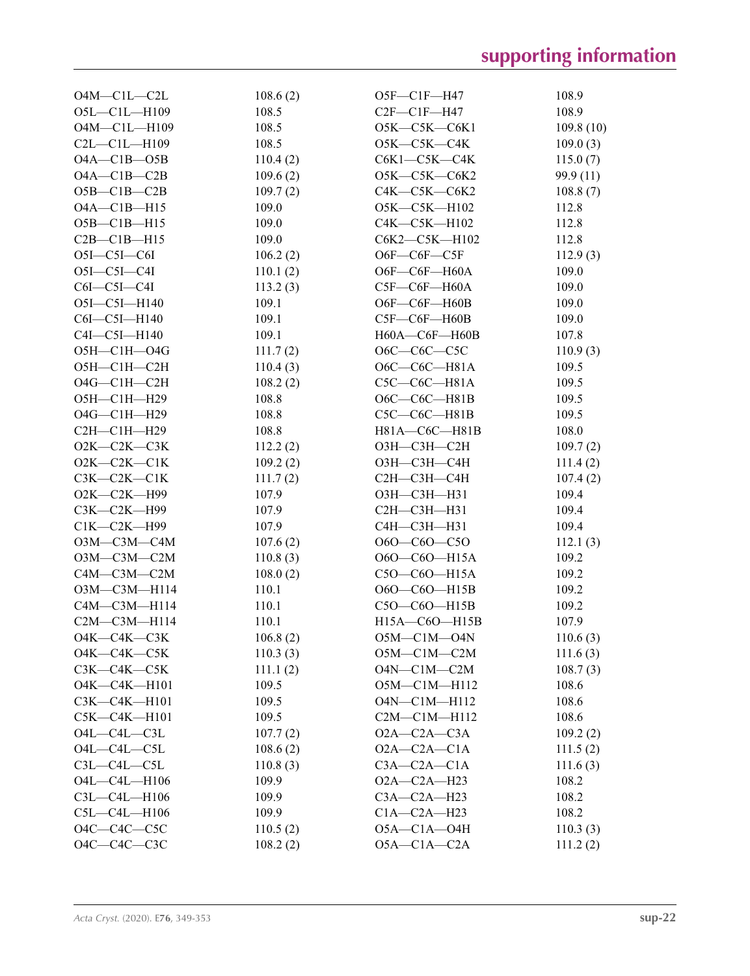| $O4M - C1L - C2L$     | 108.6(2)       | $O5F$ — $ClF$ —H47     | 108.9             |
|-----------------------|----------------|------------------------|-------------------|
| O5L-C1L-H109          | 108.5          | $C2F-C1F-H47$          | 108.9             |
| O4M-C1L-H109          | 108.5          | O5K—C5K—C6K1           | 109.8(10)         |
| $C2L - C1L - H109$    | 108.5          | O5K—C5K—C4K            | 109.0(3)          |
| $O4A - C1B - O5B$     | 110.4(2)       | $C6K1-C5K-C4K$         | 115.0(7)          |
| $O4A - C1B - C2B$     | 109.6(2)       | $O5K-C5K-C6K2$         | 99.9(11)          |
| $O5B-C1B-C2B$         | 109.7(2)       | $C4K$ — $C5K$ — $C6K2$ | 108.8(7)          |
| $O4A - C1B - H15$     | 109.0          | O5K-C5K-H102           | 112.8             |
| $O5B - ClB - H15$     | 109.0          | C4K-C5K-H102           | 112.8             |
| $C2B - C1B - H15$     | 109.0          | C6K2-C5K-H102          | 112.8             |
| $O5I - C5I - C6I$     | 106.2(2)       | $O6F$ — $C6F$ — $C5F$  | 112.9(3)          |
| $O5I-C5I-C4I$         | 110.1(2)       | O6F-C6F-H60A           | 109.0             |
| $C6I - C5I - C4I$     | 113.2(3)       | $C5F-C6F-H60A$         | 109.0             |
| $O5I - C5I - H140$    | 109.1          | O6F-C6F-H60B           | 109.0             |
| $C6I - C5I - H140$    | 109.1          | $C5F-C6F-H60B$         | 109.0             |
| $C4I - C5I - H140$    | 109.1          | H60A-C6F-H60B          | 107.8             |
| $O5H$ — $C1H$ — $O4G$ | 111.7(2)       | $O6C-C6C-C5C$          | 110.9(3)          |
| O5H-C1H-C2H           | 110.4(3)       | O6C—C6C—H81A           | 109.5             |
| $O4G-C1H-C2H$         | 108.2(2)       | $C5C-C6C-H81A$         | 109.5             |
| О5Н-С1Н-Н29           | 108.8          | O6C—C6C—H81B           | 109.5             |
| O4G-C1H-H29           | 108.8          | $C5C-C6C-H81B$         | 109.5             |
| $C2H$ — $C1H$ — $H29$ | 108.8          | H81A-C6C-H81B          | 108.0             |
| O2K-C2K-C3K           | 112.2(2)       | ОЗН—СЗН—С2Н            | 109.7(2)          |
| $O2K-C2K-C1K$         | 109.2(2)       | ОЗН—СЗН—С4Н            | 111.4(2)          |
| $C3K-C2K-C1K$         | 111.7(2)       | С2Н-С3Н-С4Н            | 107.4(2)          |
| O2K-C2K-H99           | 107.9          | ОЗН-СЗН-НЗ1            | 109.4             |
| СЗК—С2К—Н99           | 107.9          | С2Н-С3Н-Н31            | 109.4             |
| $C1K-C2K-H99$         | 107.9          | С4Н-С3Н-Н31            | 109.4             |
| 03M—C3M—C4M           | 107.6(2)       | 060—C60—C50            | 112.1(3)          |
| $O3M$ — $C3M$ — $C2M$ | 110.8(3)       | O6O-C6O-H15A           | 109.2             |
| C4M-C3M-C2M           | 108.0(2)       | $C50-C60-H15A$         | 109.2             |
| ОЗМ-СЗМ-Н114          | 110.1          | O6O-C6O-H15B           | 109.2             |
| C4M-C3M-H114          | 110.1          | $C50-C60-H15B$         | 109.2             |
| C2M-C3M-H114          | 110.1          | H15A-C6O-H15B          | 107.9             |
| $O4K$ — $C4K$ — $C3K$ | 106.8(2)       | $O5M$ —C1M—O4N         | 110.6(3)          |
| $O4K$ — $C4K$ — $C5K$ | 110.3(3)       | $O5M-C1M-C2M$          | 111.6(3)          |
| $C3K-C4K-C5K$         | 111.1(2)       | $O4N-C1M-C2M$          | 108.7(3)          |
| O4K-C4K-H101          | 109.5          | O5M-C1M-H112           | 108.6             |
| C3K-C4K-H101          | 109.5          | O4N-C1M-H112           | 108.6             |
| $C5K-C4K-H101$        | 109.5          | $C2M - C1M - H112$     | 108.6             |
| $O4L - C4L - C3L$     | 107.7(2)       | $O2A - C2A - C3A$      | 109.2(2)          |
| $O4L$ — $C4L$ — $C5L$ | 108.6(2)       | $O2A - C2A - C1A$      | 111.5(2)          |
| $C3L - C4L - C5L$     | 110.8(3)       | $C3A - C2A - C1A$      |                   |
| O4L-C4L-H106          | 109.9          | $O2A - C2A - H23$      | 111.6(3)<br>108.2 |
| $C3L - C4L - H106$    |                | $C3A - C2A - H23$      | 108.2             |
| $C5L - C4L - H106$    | 109.9<br>109.9 | $C1A - C2A - H23$      | 108.2             |
| O4C-C4C-C5C           | 110.5(2)       | $O5A - C1A - O4H$      | 110.3(3)          |
|                       |                |                        |                   |
| O4C-C4C-C3C           | 108.2(2)       | $O5A - C1A - C2A$      | 111.2(2)          |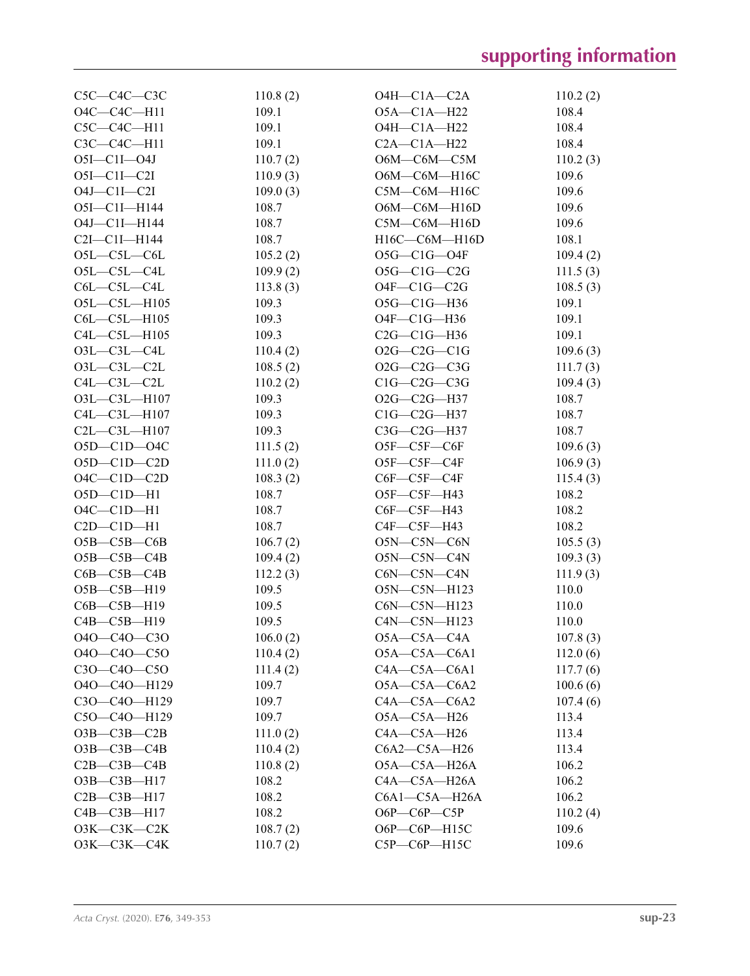| $C5C-C4C-C3C$          | 110.8(2) | $O4H$ — $C1A$ — $C2A$              | 110.2(2)             |
|------------------------|----------|------------------------------------|----------------------|
| O4C-C4C-H11            | 109.1    | $O5A - C1A - H22$                  | 108.4                |
| $C5C-C4C-H11$          | 109.1    | $O4H - C1A - H22$                  | 108.4                |
| C3C-C4C-H11            | 109.1    | $C2A - C1A - H22$                  | 108.4                |
| $O5I - ClI - O4J$      | 110.7(2) | O6M-C6M-C5M                        | 110.2(3)             |
| $O5I - C1I - C2I$      | 110.9(3) | O6M-C6M-H16C                       | 109.6                |
| $O4J$ — $Cl$ I— $Cl$ I | 109.0(3) | C5M-C6M-H16C                       | 109.6                |
| $O5I - C1I - H144$     | 108.7    | O6M-C6M-H16D                       | 109.6                |
| O4J-C1I-H144           | 108.7    | $C5M$ — $C6M$ —H16D                | 109.6                |
| $C2I - C1I - H144$     | 108.7    | H16C-C6M-H16D                      | 108.1                |
| $O5L-C5L-C6L$          | 105.2(2) | $O5G-C1G-O4F$                      | 109.4(2)             |
| $O5L - C5L - C4L$      | 109.9(2) | $O5G-C1G-C2G$                      | 111.5(3)             |
| $C6L - C5L - C4L$      | 113.8(3) | $O4F-C1G-C2G$                      | 108.5(3)             |
| $O5L - C5L - H105$     | 109.3    | O5G-C1G-H36                        | 109.1                |
| $C6L - C5L - H105$     | 109.3    | $O4F - C1G - H36$                  | 109.1                |
| $C4L - C5L - H105$     | 109.3    | $C2G-C1G-H36$                      | 109.1                |
| $O3L - C3L - C4L$      | 110.4(2) | $O2G-C2G-C1G$                      | 109.6(3)             |
| $O3L - C3L - C2L$      | 108.5(2) | $O2G-C2G-C3G$                      | 111.7(3)             |
| $C4L - C3L - C2L$      | 110.2(2) | $C1G-C2G-C3G$                      | 109.4(3)             |
| O3L-C3L-H107           | 109.3    | $O2G-C2G-H37$                      | 108.7                |
| C4L-C3L-H107           | 109.3    | $C1G-C2G-H37$                      | 108.7                |
| $C2L - C3L - H107$     | 109.3    | C3G-C2G-H37                        | 108.7                |
| $O5D-C1D-O4C$          | 111.5(2) | $O5F$ — $C5F$ — $C6F$              | 109.6(3)             |
| $O5D-C1D-C2D$          | 111.0(2) | O5F-C5F-C4F                        | 106.9(3)             |
| $O4C-C1D-C2D$          | 108.3(2) | $C6F - C5F - C4F$                  | 115.4(3)             |
| $O5D-C1D-H1$           | 108.7    | O5F-C5F-H43                        | 108.2                |
| $O4C-C1D-H1$           | 108.7    | $C6F - C5F - H43$                  | 108.2                |
| $C2D - C1D - H1$       | 108.7    | $C4F - C5F - H43$                  | 108.2                |
| $O5B - C5B - C6B$      | 106.7(2) | O5N-C5N-C6N                        | 105.5(3)             |
| $O5B - C5B - C4B$      | 109.4(2) | O5N-C5N-C4N                        | 109.3(3)             |
| $C6B - C5B - C4B$      | 112.2(3) | C6N-C5N-C4N                        | 111.9(3)             |
| O5B-C5B-H19            | 109.5    | O5N-C5N-H123                       | 110.0                |
| $C6B - C5B - H19$      | 109.5    | C6N-C5N-H123                       | 110.0                |
| $C4B - C5B - H19$      | 109.5    | C4N-C5N-H123                       | 110.0                |
| 040-C40-C30            | 106.0(2) | $O5A - C5A - C4A$                  | 107.8(3)             |
| 040-C40-C50            | 110.4(2) | $O5A - C5A - C6A1$                 | 112.0(6)             |
| C3O-C4O-C5O            | 111.4(2) | $C4A - C5A - C6A1$                 | 117.7(6)             |
| O4O-C4O-H129           | 109.7    | $O5A - C5A - C6A2$                 |                      |
| C3O-C4O-H129           | 109.7    | $C4A - C5A - C6A2$                 | 100.6(6)<br>107.4(6) |
| C5O-C4O-H129           | 109.7    | $O5A - C5A - H26$                  |                      |
| $O3B - C3B - C2B$      |          | $CAA - C5A - H26$                  | 113.4                |
|                        | 111.0(2) | $C6A2-C5A-H26$                     | 113.4<br>113.4       |
| $O3B$ — $C3B$ — $C4B$  | 110.4(2) |                                    |                      |
| $C2B - C3B - C4B$      | 110.8(2) | O5A-C5A-H26A<br>$C4A - C5A - H26A$ | 106.2                |
| $O3B$ — $C3B$ —H17     | 108.2    |                                    | 106.2                |
| $C2B - C3B - H17$      | 108.2    | $C6A1 - C5A - H26A$                | 106.2                |
| $C4B - C3B - H17$      | 108.2    | $O6P$ - $C6P$ - $C5P$              | 110.2(4)             |
| $O3K-C3K-C2K$          | 108.7(2) | O6P-C6P-H15C                       | 109.6                |
| ОЗК-СЗК-С4К            | 110.7(2) | C5P-C6P-H15C                       | 109.6                |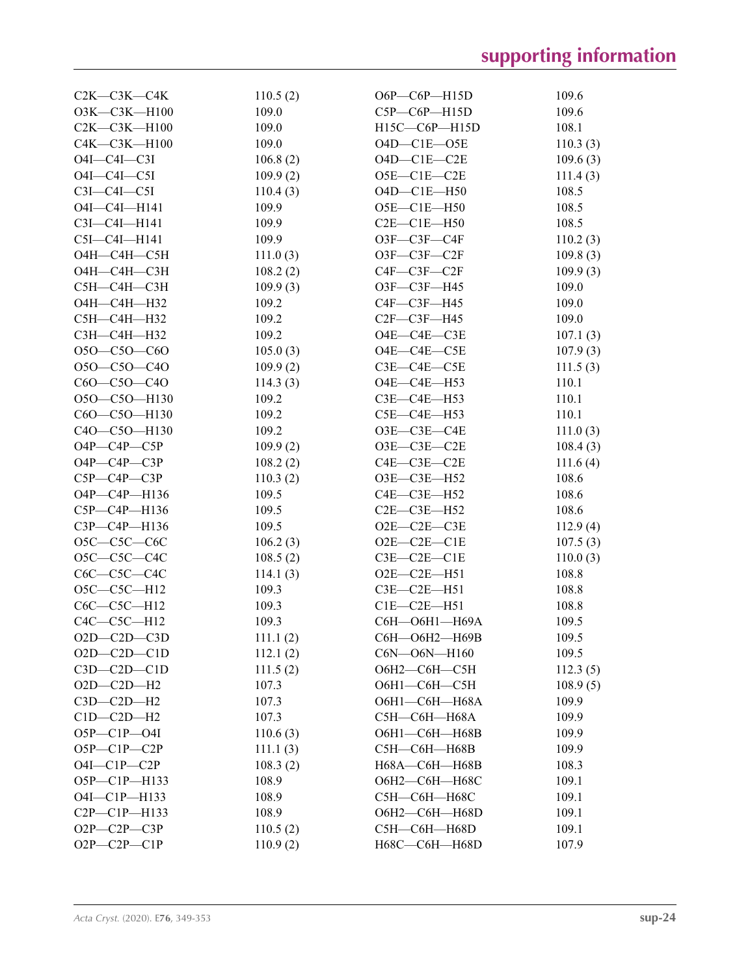| $C2K-C3K-C4K$         | 110.5(2) | $O6P - C6P - H15D$     | 109.6    |
|-----------------------|----------|------------------------|----------|
| O3K-C3K-H100          | 109.0    | $C5P - C6P - H15D$     | 109.6    |
| $C2K-C3K-H100$        | 109.0    | H15C-C6P-H15D          | 108.1    |
| C4K-C3K-H100          | 109.0    | $O4D-C1E-OSE$          | 110.3(3) |
| $O4I - C4I - C3I$     | 106.8(2) | $O4D-C1E-C2E$          | 109.6(3) |
| $O4I - C4I - C5I$     | 109.9(2) | O5E-C1E-C2E            | 111.4(3) |
| $C3I - C4I - C5I$     | 110.4(3) | $O4D-C1E-H50$          | 108.5    |
| O4I-C4I-H141          | 109.9    | O5E-C1E-H50            | 108.5    |
| C3I-C4I-H141          | 109.9    | $C2E-C1E-H50$          | 108.5    |
| $C5I - C4I - H141$    | 109.9    | O3F-C3F-C4F            | 110.2(3) |
| O4H-C4H-C5H           | 111.0(3) | O3F-C3F-C2F            | 109.8(3) |
| О4Н-С4Н-С3Н           | 108.2(2) | $C4F - C3F - C2F$      | 109.9(3) |
| С5Н-С4Н-С3Н           | 109.9(3) | O3F-C3F-H45            | 109.0    |
| О4Н-С4Н-Н32           | 109.2    | $C4F - C3F - H45$      | 109.0    |
| С5Н-С4Н-Н32           | 109.2    | $C2F-C3F-H45$          | 109.0    |
| СЗН-С4Н-НЗ2           | 109.2    | O4E-C4E-C3E            | 107.1(3) |
| $O5O-C5O-C6O$         | 105.0(3) | O4E-C4E-C5E            | 107.9(3) |
| O5O-C5O-C4O           | 109.9(2) | $C3E - C4E - C5E$      | 111.5(3) |
| C6O-C5O-C4O           | 114.3(3) | O4E-C4E-H53            | 110.1    |
| O5O-C5O-H130          | 109.2    | $C3E - C4E - H53$      | 110.1    |
| C6O-C5O-H130          | 109.2    | $C5E-C4E-H53$          | 110.1    |
| C4O-C5O-H130          | 109.2    | O3E-C3E-C4E            | 111.0(3) |
| $O4P$ — $C4P$ — $C5P$ | 109.9(2) | $O3E$ - $C3E$ - $C2E$  | 108.4(3) |
| $O4P$ — $C4P$ — $C3P$ | 108.2(2) | $C4E - C3E - C2E$      | 111.6(4) |
| $C5P - C4P - C3P$     | 110.3(2) | O3E-C3E-H52            | 108.6    |
| O4P-C4P-H136          | 109.5    | $C4E - C3E - H52$      | 108.6    |
| $C5P - C4P - H136$    | 109.5    | $C2E$ — $C3E$ —H52     | 108.6    |
| C3P-C4P-H136          | 109.5    | $O2E-C2E-C3E$          | 112.9(4) |
| $O5C-C5C-C6C$         | 106.2(3) | $O2E-C2E-C1E$          | 107.5(3) |
| O5C-C5C-C4C           | 108.5(2) | $C3E - C2E - C1E$      | 110.0(3) |
| $C6C-C5C-C4C$         | 114.1(3) | $O2E-C2E-H51$          | 108.8    |
| O5C-C5C-H12           | 109.3    | $C3E-C2E-H51$          | 108.8    |
| $C6C-C5C-H12$         | 109.3    | $C1E-C2E-H51$          | 108.8    |
| $C4C-C5C-H12$         | 109.3    | С6Н-О6Н1-Н69А          | 109.5    |
| $O2D-C2D-C3D$         | 111.1(2) | С6Н-О6Н2-Н69В          | 109.5    |
| $O2D - C2D - C1D$     | 112.1(2) | $CON$ — $O6N$ — $H160$ | 109.5    |
| $C3D-C2D-C1D$         | 111.5(2) | О6Н2-С6Н-С5Н           | 112.3(5) |
| $O2D-C2D-H2$          | 107.3    | О6Н1—С6Н—С5Н           | 108.9(5) |
| $C3D-C2D-H2$          | 107.3    | ОбН1-СбН-Н68А          | 109.9    |
| $C1D-C2D-H2$          | 107.3    | С5Н-С6Н-Н68А           | 109.9    |
| $O5P - C1P - O4I$     | 110.6(3) | О6Н1-С6Н-Н68В          | 109.9    |
| $O5P - C1P - C2P$     | 111.1(3) | С5Н-С6Н-Н68В           | 109.9    |
| $O4I$ — $ClP$ — $C2P$ | 108.3(2) | Н68А-С6Н-Н68В          | 108.3    |
| O5P-C1P-H133          | 108.9    | О6Н2—С6Н—Н68С          | 109.1    |
| O4I-C1P-H133          | 108.9    | С5Н-С6Н-Н68С           | 109.1    |
| C2P-C1P-H133          | 108.9    | О6Н2-С6Н-Н68D          | 109.1    |
| O2P-C2P-C3P           | 110.5(2) | C5H-C6H-H68D           | 109.1    |
| $O2P - C2P - C1P$     | 110.9(2) | H68C-C6H-H68D          | 107.9    |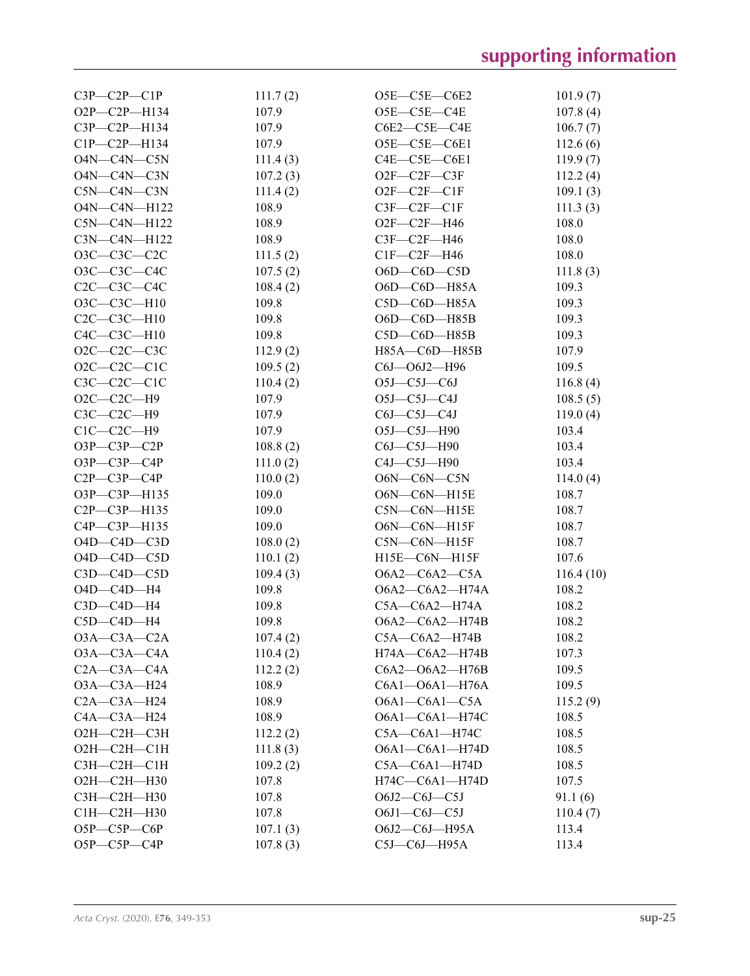| $C3P - C2P - C1P$      | 111.7(2) | O5E-C5E-C6E2            | 101.9(7)  |
|------------------------|----------|-------------------------|-----------|
| O2P-C2P-H134           | 107.9    | $O5E$ — $C5E$ — $C4E$   | 107.8(4)  |
| $C3P - C2P - H134$     | 107.9    | $C6E2-C5E-C4E$          | 106.7(7)  |
| $C1P - C2P - H134$     | 107.9    | $O5E$ — $C5E$ — $C6E1$  | 112.6(6)  |
| O4N-C4N-C5N            | 111.4(3) | $C4E - C5E - C6E1$      | 119.9(7)  |
| O4N-C4N-C3N            | 107.2(3) | $O2F-C2F-C3F$           | 112.2(4)  |
| $C5N-C4N-C3N$          | 111.4(2) | $O2F-C2F-C1F$           | 109.1(3)  |
| $O4N$ — $C4N$ — $H122$ | 108.9    | $C3F - C2F - C1F$       | 111.3(3)  |
| $C5N-C4N-H122$         | 108.9    | $O2F-C2F-H46$           | 108.0     |
| $C3N-C4N-H122$         | 108.9    | $C3F-C2F-H46$           | 108.0     |
| O3C-C3C-C2C            | 111.5(2) | $CIF-C2F-H46$           | 108.0     |
| O3C-C3C-C4C            | 107.5(2) | $O6D$ — $C6D$ — $C5D$   | 111.8(3)  |
| $C2C-C3C-C4C$          | 108.4(2) | $O6D$ — $C6D$ — $H85A$  | 109.3     |
| O3C-C3C-H10            | 109.8    | $C5D$ — $C6D$ — $H85A$  | 109.3     |
| $C2C-C3C-H10$          | 109.8    | $O6D$ — $C6D$ — $H85B$  | 109.3     |
| $C4C-C3C-H10$          | 109.8    | $C5D$ — $C6D$ —H85B     | 109.3     |
| $O2C-C2C-C3C$          | 112.9(2) | H85A-C6D-H85B           | 107.9     |
| $O2C-C2C-C1C$          | 109.5(2) | C6J-06J2-H96            | 109.5     |
| $C3C-C2C-C1C$          | 110.4(2) | $O5J-C5J-C6J$           | 116.8(4)  |
| $O2C-C2C-H9$           | 107.9    | $O5J-C5J-C4J$           | 108.5(5)  |
| $C3C-C2C-H9$           | 107.9    | $C6J-C5J-C4J$           | 119.0(4)  |
| $C1C-C2C-H9$           | 107.9    | O5J-C5J-H90             | 103.4     |
| $O3P$ — $C3P$ — $C2P$  | 108.8(2) | $C6J-C5J-H90$           | 103.4     |
| $O3P$ — $C3P$ — $C4P$  | 111.0(2) | C4J-C5J-H90             | 103.4     |
| $C2P - C3P - C4P$      | 110.0(2) | $O6N-C6N-C5N$           | 114.0(4)  |
| O3P-C3P-H135           | 109.0    | O6N-C6N-H15E            | 108.7     |
| $C2P - C3P - H135$     | 109.0    | $C5N-C6N-H15E$          | 108.7     |
| C4P-C3P-H135           | 109.0    | $O6N$ — $CON$ — $H15F$  | 108.7     |
| $O4D$ — $C4D$ — $C3D$  | 108.0(2) | $C5N-C6N-H15F$          | 108.7     |
| $O4D$ — $C4D$ — $C5D$  | 110.1(2) | $H15E$ — $C6N$ — $H15F$ | 107.6     |
| $C3D$ - $C4D$ - $C5D$  | 109.4(3) | $O6A2-C6A2-C5A$         | 116.4(10) |
| $O4D - C4D - H4$       | 109.8    | O6A2-C6A2-H74A          | 108.2     |
| $C3D-C4D-H4$           | 109.8    | $C5A - C6A2 - H74A$     | 108.2     |
| $C5D-C4D-H4$           | 109.8    | O6A2-C6A2-H74B          | 108.2     |
| $O3A-C3A-C2A$          | 107.4(2) | $C5A - C6A2 - H74B$     | 108.2     |
| $O3A-C3A-C4A$          | 110.4(2) | H74A-C6A2-H74B          | 107.3     |
| $C2A - C3A - C4A$      | 112.2(2) | C6A2-O6A2-H76B          | 109.5     |
| O3A-C3A-H24            | 108.9    | C6A1-O6A1-H76A          | 109.5     |
| $C2A - C3A - H24$      | 108.9    | $O6A1-C6A1-C5A$         | 115.2(9)  |
| $C4A - C3A - H24$      | 108.9    | O6A1-C6A1-H74C          | 108.5     |
| О2Н-С2Н-С3Н            | 112.2(2) | $C5A - C6A1 - H74C$     | 108.5     |
| $O2H$ — $C2H$ — $C1H$  | 111.8(3) | $O6A1-C6A1-H74D$        | 108.5     |
| СЗН-С2Н-С1Н            | 109.2(2) | $C5A - C6A1 - H74D$     | 108.5     |
| О2Н-С2Н-Н30            | 107.8    | $H74C$ $-C6A1$ $-H74D$  | 107.5     |
| СЗН-С2Н-Н30            | 107.8    | $O6J2-C6J-C5J$          | 91.1(6)   |
| $C1H - C2H - H30$      | 107.8    | $O6J1-C6J-C5J$          | 110.4(7)  |
| $O5P$ — $C5P$ — $C6P$  | 107.1(3) | O6J2-C6J-H95A           | 113.4     |
| O5P-C5P-C4P            | 107.8(3) | $C5J-C6J-H95A$          | 113.4     |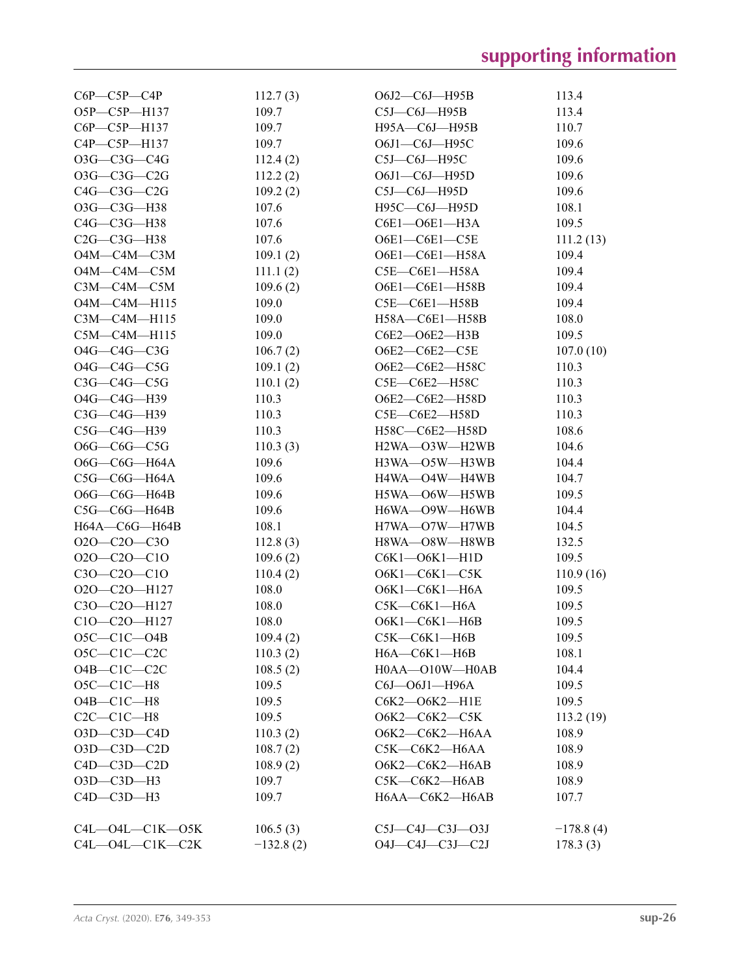| C6P-C5P-C4P                   | 112.7(3)          | $O6J2-C6J$ —H95B       | 113.4       |
|-------------------------------|-------------------|------------------------|-------------|
| O5P-C5P-H137                  | 109.7             | $C5J-C6J-H95B$         | 113.4       |
| $C6P - C5P - H137$            | 109.7             | H95A-C6J-H95B          | 110.7       |
| C4P-C5P-H137                  | 109.7             | O6J1-C6J-H95C          | 109.6       |
| O3G-C3G-C4G                   | 112.4(2)          | $C5J-C6J-H95C$         | 109.6       |
| $O3G-C3G-C2G$                 | 112.2(2)          | O6J1-C6J-H95D          | 109.6       |
| $C4G-C3G-C2G$                 | 109.2(2)          | $C5J-C6J-H95D$         | 109.6       |
| O3G-C3G-H38                   | 107.6             | H95C—C6J—H95D          | 108.1       |
| $C4G-C3G-H38$                 | 107.6             | C6E1-O6E1-H3A          | 109.5       |
| $C2G-C3G-H38$                 | 107.6             | O6E1-C6E1-C5E          | 111.2(13)   |
| О4М—С4М—С3М                   | 109.1(2)          | O6E1-C6E1-H58A         | 109.4       |
| $O4M$ — $C4M$ — $C5M$         | 111.1(2)          | $C5E-C6E1-H58A$        | 109.4       |
| $C3M-C4M-C5M$                 | 109.6(2)          | O6E1-C6E1-H58B         | 109.4       |
| $O4M - C4M - H115$            | 109.0             | C5E-C6E1-H58B          | 109.4       |
| $C3M-C4M-H115$                | 109.0             | H58A—C6E1—H58B         | 108.0       |
| $C5M-C4M-H115$                | 109.0             | C6E2-O6E2-H3B          | 109.5       |
| $O4G$ — $C4G$ — $C3G$         | 106.7(2)          | O6E2-C6E2-C5E          | 107.0(10)   |
| O4G-C4G-C5G                   | 109.1(2)          | O6E2-C6E2-H58C         | 110.3       |
| $C3G-C4G-C5G$                 | 110.1(2)          | C5E-C6E2-H58C          | 110.3       |
| O4G-C4G-H39                   | 110.3             | O6E2-C6E2-H58D         | 110.3       |
| C3G-C4G-H39                   | 110.3             | C5E—C6E2—H58D          | 110.3       |
| $C5G-C4G-H39$                 | 110.3             | H58C-C6E2-H58D         | 108.6       |
| $O6G$ — $C6G$ — $C5G$         |                   | H2WA-O3W-H2WB          | 104.6       |
|                               | 110.3(3)<br>109.6 |                        |             |
| O6G—C6G—H64A                  |                   | H3WA—O5W—H3WB          | 104.4       |
| $C5G-C6G-H64A$                | 109.6             | H4WA-O4W-H4WB          | 104.7       |
| $O6G$ — $C6G$ —H64B           | 109.6             | H5WA-O6W-H5WB          | 109.5       |
| $C5G-C6G-H64B$                | 109.6             | H6WA—O9W—H6WB          | 104.4       |
| H64A-C6G-H64B                 | 108.1             | H7WA-O7W-H7WB          | 104.5       |
| $O2O-C2O-C3O$                 | 112.8(3)          | H8WA—O8W—H8WB          | 132.5       |
| $O2O-C2O-C1O$                 | 109.6(2)          | C6K1-O6K1-H1D          | 109.5       |
| C3O-C2O-C1O                   | 110.4(2)          | $O6K1-C6K1-C5K$        | 110.9(16)   |
| O2O-C2O-H127                  | 108.0             | О6К1-С6К1-Н6А          | 109.5       |
| C3O-C2O-H127                  | 108.0             | С5К—С6К1—Н6А           | 109.5       |
| C10-C20-H127                  | 108.0             | О6К1-С6К1-Н6В          | 109.5       |
| $O5C-C1C-O4B$                 | 109.4(2)          | С5К—С6К1—Н6В           | 109.5       |
| $O5C-C1C-C2C$                 | 110.3(2)          | $H6A$ — $C6K1$ — $H6B$ | 108.1       |
| $O4B-C1C-C2C$                 | 108.5(2)          | H0AA-O10W-H0AB         | 104.4       |
| $O5C-C1C-H8$                  | 109.5             | C6J-O6J1-H96A          | 109.5       |
| $O4B - ClC - H8$              | 109.5             | C6K2-O6K2-H1E          | 109.5       |
| $C2C-C1C-H8$                  | 109.5             | О6К2—С6К2—С5К          | 113.2 (19)  |
| $O3D$ - $C3D$ - $C4D$         | 110.3(2)          | О6К2-С6К2-Н6АА         | 108.9       |
| $O3D$ - $C3D$ - $C2D$         | 108.7(2)          | C5K-C6K2-H6AA          | 108.9       |
| $C4D-C3D-C2D$                 | 108.9(2)          | О6К2-С6К2-Н6АВ         | 108.9       |
| O3D-C3D-H3                    | 109.7             | С5К-С6К2-Н6АВ          | 108.9       |
| $C4D - C3D - H3$              | 109.7             | H6AA-C6K2-H6AB         | 107.7       |
| $C4L$ — $O4L$ — $C1K$ — $O5K$ | 106.5(3)          | $C5J-C4J-C3J-O3J$      | $-178.8(4)$ |
| $C4L$ — $O4L$ — $C1K$ — $C2K$ | $-132.8(2)$       | O4J-C4J-C3J-C2J        | 178.3(3)    |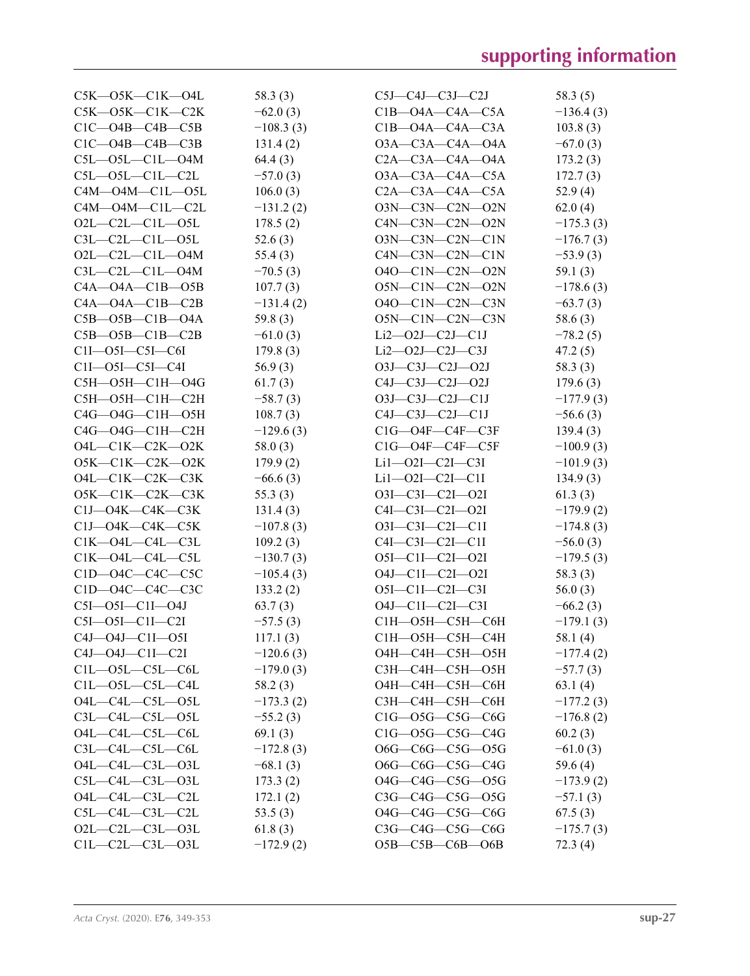| $C5K$ — $O5K$ — $C1K$ — $O4L$ | 58.3(3)     | $C5J-C4J-C3J-C2J$              | 58.3 (5)    |
|-------------------------------|-------------|--------------------------------|-------------|
| $C5K$ — $O5K$ — $C1K$ — $C2K$ | $-62.0(3)$  | $C1B$ -O4A- $C4A$ -C5A         | $-136.4(3)$ |
| $C1C - O4B - C4B - C5B$       | $-108.3(3)$ | $C1B$ -O4A-C4A-C3A             | 103.8(3)    |
| $C1C$ — $O4B$ — $C4B$ — $C3B$ | 131.4(2)    | $O3A - C3A - C4A - O4A$        | $-67.0(3)$  |
| $C5L - O5L - C1L - O4M$       | 64.4(3)     | $C2A - C3A - C4A - O4A$        | 173.2(3)    |
| $C5L - O5L - C1L - C2L$       | $-57.0(3)$  | $O3A$ — $C3A$ — $C4A$ — $C5A$  | 172.7(3)    |
| $C4M - O4M - C1L - O5L$       | 106.0(3)    | $C2A - C3A - C4A - C5A$        | 52.9(4)     |
| $C4M$ — $O4M$ — $C1L$ — $C2L$ | $-131.2(2)$ | O3N-C3N-C2N-O2N                | 62.0(4)     |
| $O2L$ — $C2L$ — $C1L$ — $O5L$ | 178.5(2)    | $C4N$ — $C3N$ — $C2N$ — $O2N$  | $-175.3(3)$ |
| $C3L-C2L-C1L-OSL$             | 52.6(3)     | $O3N$ — $C3N$ — $C2N$ — $C1N$  | $-176.7(3)$ |
| $O2L$ -C2L-C1L-O4M            | 55.4(3)     | $C4N$ — $C3N$ — $C2N$ — $C1N$  | $-53.9(3)$  |
| $C3L - C2L - C1L - O4M$       | $-70.5(3)$  | $O4O$ — $C1N$ — $C2N$ — $O2N$  | 59.1 $(3)$  |
| $C4A - O4A - C1B - O5B$       | 107.7(3)    | $O5N$ — $C1N$ — $C2N$ — $O2N$  | $-178.6(3)$ |
| $C4A - O4A - C1B - C2B$       | $-131.4(2)$ | $O4O$ — $C1N$ — $C2N$ — $C3N$  | $-63.7(3)$  |
| $C5B - O5B - C1B - O4A$       | 59.8(3)     | O5N-C1N-C2N-C3N                | 58.6(3)     |
| $C5B - O5B - C1B - C2B$       | $-61.0(3)$  | $Li2$ — $O2$ J— $C2$ J— $C1$ J | $-78.2(5)$  |
| $CII$ — $O5I$ — $C5I$ — $C6I$ | 179.8(3)    | $Li2$ — $O2J$ — $C2J$ — $C3J$  | 47.2(5)     |
| $C1I$ — $O5I$ — $C5I$ — $C4I$ | 56.9(3)     | $O3J$ — $C3J$ — $C2J$ — $O2J$  | 58.3(3)     |
| C5H-O5H-C1H-O4G               | 61.7(3)     | $C4J-C3J-C2J-O2J$              | 179.6(3)    |
| С5Н—О5Н—С1Н—С2Н               | $-58.7(3)$  | $O3J$ — $C3J$ — $C2J$ — $C1J$  | $-177.9(3)$ |
| C4G-04G-C1H-05H               | 108.7(3)    | $C4J-C3J-C2J-C1J$              | $-56.6(3)$  |
| C4G-04G-C1H-C2H               | $-129.6(3)$ | $C1G$ — $O4F$ — $C4F$ — $C3F$  | 139.4(3)    |
| $O4L-C1K-C2K-O2K$             | 58.0(3)     | $C1G$ — $O4F$ — $C4F$ — $C5F$  | $-100.9(3)$ |
| $O5K-C1K-C2K-O2K$             | 179.9(2)    | $Li1 - O2I - C2I - C3I$        | $-101.9(3)$ |
| $O4L$ — $C1K$ — $C2K$ — $C3K$ | $-66.6(3)$  | $Li1 - O2I - C2I - C1I$        | 134.9(3)    |
| $O5K-C1K-C2K-C3K$             | 55.3(3)     | $O3I - C3I - C2I - O2I$        | 61.3(3)     |
| $C1J$ — $O4K$ — $C4K$ — $C3K$ | 131.4(3)    | $C4I - C3I - C2I - O2I$        | $-179.9(2)$ |
| $C1J$ — $O4K$ — $C4K$ — $C5K$ | $-107.8(3)$ | 03I-C3I-C2I-C1I                | $-174.8(3)$ |
| $C1K$ — $O4L$ — $C4L$ — $C3L$ | 109.2(3)    | $C4I - C3I - C2I - C1I$        | $-56.0(3)$  |
| $C1K$ — $O4L$ — $C4L$ — $C5L$ | $-130.7(3)$ | $O5I - C1I - C2I - O2I$        | $-179.5(3)$ |
| $C1D$ — $O4C$ — $C4C$ — $C5C$ | $-105.4(3)$ | $O4J$ — $Cl$ I— $Cl$ — $O2I$   | 58.3 (3)    |
| C1D-04C-C4C-C3C               | 133.2(2)    | O5I-C1I-C2I-C3I                | 56.0(3)     |
| $C5I$ — $O5I$ — $C1I$ — $O4J$ | 63.7(3)     | $O4J - C1I - C2I - C3I$        | $-66.2(3)$  |
| $C5I - O5I - C1I - C2I$       | $-57.5(3)$  | С1Н-О5Н-С5Н-С6Н                | $-179.1(3)$ |
| $C4J$ — $O4J$ — $C1I$ — $O5I$ | 117.1(3)    | С1Н—О5Н—С5Н—С4Н                | 58.1 $(4)$  |
| $C4J - O4J - C1I - C2I$       | $-120.6(3)$ | О4Н-С4Н-С5Н-О5Н                | $-177.4(2)$ |
| $C1L - 05L - C5L - C6L$       | $-179.0(3)$ | СЗН-С4Н-С5Н-О5Н                | $-57.7(3)$  |
| $C1L$ — $O5L$ — $C5L$ — $C4L$ | 58.2(3)     | О4Н-С4Н-С5Н-С6Н                | 63.1(4)     |
| $O4L$ — $C4L$ — $C5L$ — $O5L$ | $-173.3(2)$ | СЗН-С4Н-С5Н-С6Н                | $-177.2(3)$ |
| $C3L$ — $C4L$ — $C5L$ — $O5L$ | $-55.2(3)$  | $C1G$ — $O5G$ — $C5G$ — $C6G$  | $-176.8(2)$ |
| O4L-C4L-C5L-C6L               | 69.1(3)     | $C1G$ — $O5G$ — $C5G$ — $C4G$  | 60.2(3)     |
| $C3L$ — $C4L$ — $C5L$ — $C6L$ | $-172.8(3)$ | O6G-C6G-C5G-O5G                | $-61.0(3)$  |
| O4L-C4L-C3L-O3L               | $-68.1(3)$  | O6G-C6G-C5G-C4G                | 59.6(4)     |
| $C5L-C4L-C3L-O3L$             | 173.3(2)    | 04G-C4G-C5G-05G                | $-173.9(2)$ |
| O4L-C4L-C3L-C2L               | 172.1(2)    | $C3G-C4G-C5G$ — $O5G$          | $-57.1(3)$  |
| $C5L-C4L-C3L-C2L$             | 53.5 $(3)$  | O4G-C4G-C5G-C6G                | 67.5(3)     |
| $O2L-C2L-C3L-O3L$             | 61.8(3)     | $C3G$ — $C4G$ — $C5G$ — $C6G$  | $-175.7(3)$ |
| $C1L - C2L - C3L - 03L$       | $-172.9(2)$ | $O5B$ — $C5B$ — $C6B$ — $O6B$  | 72.3(4)     |
|                               |             |                                |             |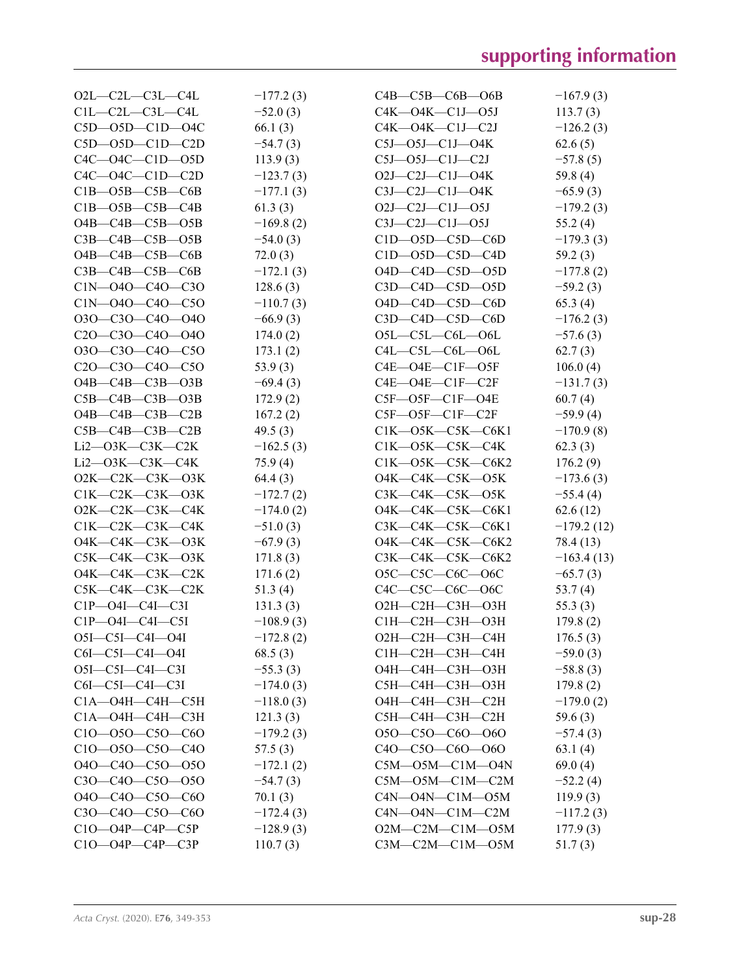| $O2L$ — $C2L$ — $C3L$ — $C4L$ | $-177.2(3)$ | $C4B - C5B - C6B - O6B$        | $-167.9(3)$  |
|-------------------------------|-------------|--------------------------------|--------------|
| $C1L - C2L - C3L - C4L$       | $-52.0(3)$  | $C4K - O4K - C1J - O5J$        | 113.7(3)     |
| $C5D$ — $O5D$ — $C1D$ — $O4C$ | 66.1 $(3)$  | $C4K$ — $O4K$ — $C1J$ — $C2J$  | $-126.2(3)$  |
| $C5D$ — $O5D$ — $C1D$ — $C2D$ | $-54.7(3)$  | $C5J$ — $O5J$ — $C1J$ — $O4K$  | 62.6(5)      |
| $C4C$ — $O4C$ — $C1D$ — $O5D$ | 113.9(3)    | $C5J$ — $O5J$ — $C1J$ — $C2J$  | $-57.8(5)$   |
| $C4C$ — $O4C$ — $C1D$ — $C2D$ | $-123.7(3)$ | $O2J-C2J-C1J-O4K$              | 59.8 (4)     |
| $C1B - O5B - C5B - C6B$       | $-177.1(3)$ | $C3J-C2J-C1J-O4K$              | $-65.9(3)$   |
| $C1B - O5B - C5B - C4B$       | 61.3(3)     | $O2J - C2J - C1J - O5J$        | $-179.2(3)$  |
| $O4B$ — $C4B$ — $C5B$ — $O5B$ | $-169.8(2)$ | $C3J-C2J-C1J-O5J$              | 55.2(4)      |
| $C3B - C4B - C5B - O5B$       | $-54.0(3)$  | $C1D$ — $O5D$ — $C5D$ — $C6D$  | $-179.3(3)$  |
| $O4B$ — $C4B$ — $C5B$ — $C6B$ | 72.0(3)     | $C1D$ -O5D-C5D-C4D             | 59.2(3)      |
| $C3B - C4B - C5B - C6B$       | $-172.1(3)$ | $O4D$ — $C4D$ — $C5D$ — $O5D$  | $-177.8(2)$  |
| $C1N - 040 - C40 - C30$       | 128.6(3)    | $C3D-C4D-C5D-O5D$              | $-59.2(3)$   |
| C1N-040-C40-C50               | $-110.7(3)$ | $O4D$ — $C4D$ — $C5D$ — $C6D$  | 65.3(4)      |
| $O3O-C3O-C4O-O4O$             | $-66.9(3)$  | $C3D$ — $C4D$ — $C5D$ — $C6D$  | $-176.2(3)$  |
| $C20-C30-C40-040$             | 174.0(2)    | $O5L-C5L-C6L-O6L$              | $-57.6(3)$   |
| $O3O-C3O-C4O-C5O$             | 173.1(2)    | $C4L$ — $C5L$ — $C6L$ — $O6L$  | 62.7(3)      |
| $C20-C30-C40-C50$             | 53.9 $(3)$  | $C4E$ — $O4E$ — $C1F$ — $O5F$  | 106.0(4)     |
| $O4B$ — $C4B$ — $C3B$ — $O3B$ | $-69.4(3)$  | $C4E$ — $O4E$ — $C1F$ — $C2F$  | $-131.7(3)$  |
| $C5B - C4B - C3B - O3B$       | 172.9(2)    | $C5F$ — $O5F$ — $C1F$ — $O4E$  | 60.7(4)      |
| $O4B$ — $C4B$ — $C3B$ — $C2B$ | 167.2(2)    | $C5F$ — $O5F$ — $C1F$ — $C2F$  | $-59.9(4)$   |
| $C5B - C4B - C3B - C2B$       | 49.5(3)     | $C1K$ — $O5K$ — $C5K$ — $C6K1$ | $-170.9(8)$  |
| $Li2$ — $O3K$ — $C3K$ — $C2K$ | $-162.5(3)$ | $C1K$ — $O5K$ — $C5K$ — $C4K$  | 62.3(3)      |
| $Li2$ — $O3K$ — $C3K$ — $C4K$ | 75.9(4)     | $C1K$ — $O5K$ — $C5K$ — $C6K2$ | 176.2(9)     |
| $O2K-C2K-C3K-O3K$             | 64.4(3)     | $O4K$ — $C4K$ — $C5K$ — $O5K$  | $-173.6(3)$  |
| $C1K-C2K-C3K$ — $O3K$         | $-172.7(2)$ | $C3K$ — $C4K$ — $C5K$ — $O5K$  | $-55.4(4)$   |
| $O2K$ — $C2K$ — $C3K$ — $C4K$ | $-174.0(2)$ | $O4K$ — $C4K$ — $C5K$ — $C6K1$ | 62.6(12)     |
| $C1K-C2K-C3K-C4K$             | $-51.0(3)$  | $C3K$ — $C4K$ — $C5K$ — $C6K1$ | $-179.2(12)$ |
| О4К—С4К—С3К—О3К               | $-67.9(3)$  | O4K-C4K-C5K-C6K2               | 78.4 (13)    |
| C5K-C4K-C3K-O3K               | 171.8(3)    | $C3K$ — $C4K$ — $C5K$ — $C6K2$ | $-163.4(13)$ |
| O4K-C4K-C3K-C2K               | 171.6(2)    | O5C-C5C-C6C-O6C                | $-65.7(3)$   |
| $C5K$ — $C4K$ — $C3K$ — $C2K$ | 51.3(4)     | C4C-C5C-C6C-O6C                | 53.7(4)      |
| $C1P$ — $O4I$ — $C4I$ — $C3I$ | 131.3(3)    | О2Н—С2Н—С3Н—О3Н                | 55.3(3)      |
| $C1P - O4I - C4I - C5I$       | $-108.9(3)$ | С1Н-С2Н-С3Н-О3Н                | 179.8(2)     |
| $O5I$ — $C5I$ — $C4I$ — $O4I$ | $-172.8(2)$ | О2Н-С2Н-С3Н-С4Н                | 176.5(3)     |
| $C6I$ — $C5I$ — $C4I$ — $O4I$ | 68.5(3)     | С1Н—С2Н—С3Н—С4Н                | $-59.0(3)$   |
| $O5I$ — $C5I$ — $C4I$ — $C3I$ | $-55.3(3)$  | О4Н-С4Н-С3Н-О3Н                | $-58.8(3)$   |
| $C6I$ — $C5I$ — $C4I$ — $C3I$ | $-174.0(3)$ | С5Н-С4Н-С3Н-О3Н                | 179.8(2)     |
| $C1A - O4H - C4H - C5H$       | $-118.0(3)$ | О4Н—С4Н—С3Н—С2Н                | $-179.0(2)$  |
| С1А-О4Н-С4Н-С3Н               | 121.3(3)    | С5Н—С4Н—С3Н—С2Н                | 59.6(3)      |
| $C10 - 050 - C50 - C60$       | $-179.2(3)$ | O5O-C5O-C6O-O6O                | $-57.4(3)$   |
| $C10 - 050 - C50 - C40$       | 57.5(3)     | $C40-C50-C60-060$              | 63.1(4)      |
| 040-C40-C50-050               | $-172.1(2)$ | $C5M$ — $O5M$ — $C1M$ — $O4N$  | 69.0(4)      |
| $C30 - C40 - C50 - 050$       | $-54.7(3)$  | $C5M - O5M - C1M - C2M$        | $-52.2(4)$   |
| 040-C40-C50-C60               | 70.1(3)     | $C4N$ — $O4N$ — $C1M$ — $O5M$  | 119.9(3)     |
| C3O-C4O-C5O-C6O               | $-172.4(3)$ | $C4N$ — $O4N$ — $C1M$ — $C2M$  | $-117.2(3)$  |
| $C10$ — $O4P$ — $C4P$ — $C5P$ | $-128.9(3)$ | $O2M$ — $C2M$ — $C1M$ — $O5M$  | 177.9(3)     |
| $C10 - O4P - C4P - C3P$       | 110.7(3)    | $C3M-C2M-C1M$ — $O5M$          | 51.7(3)      |
|                               |             |                                |              |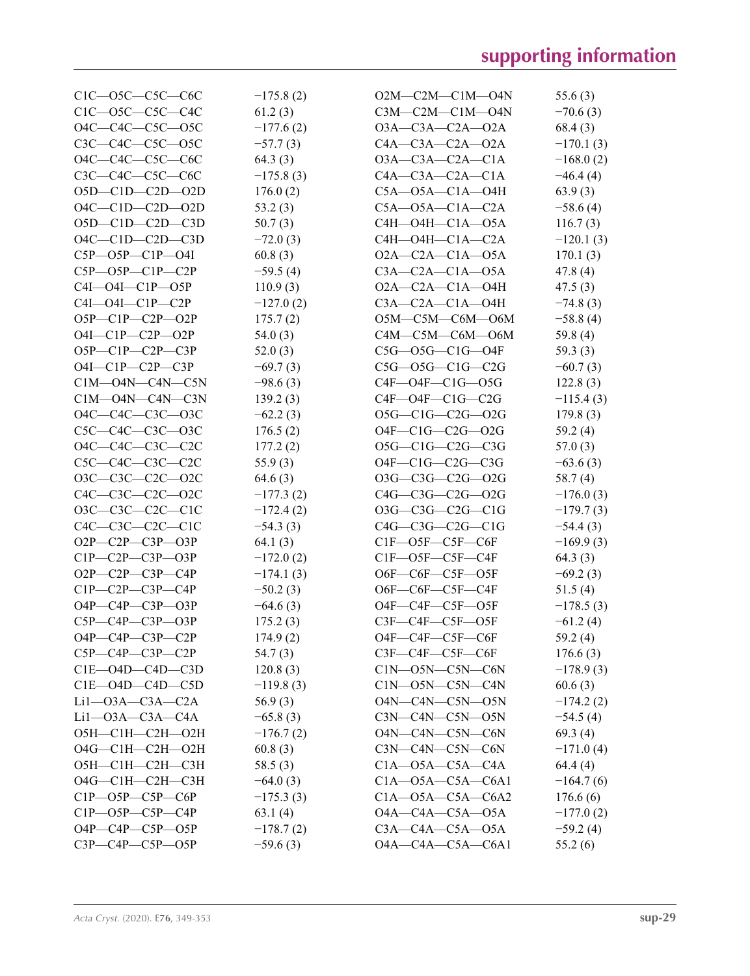| $C1C$ — $O5C$ — $C5C$ — $C6C$ | $-175.8(2)$ | $O2M$ — $C2M$ — $C1M$ — $O4N$ | 55.6(3)     |
|-------------------------------|-------------|-------------------------------|-------------|
| $C1C$ — $O5C$ — $C5C$ — $C4C$ | 61.2(3)     | $C3M-C2M-C1M-O4N$             | $-70.6(3)$  |
| 04C-C4C-C5C-05C               | $-177.6(2)$ | $O3A - C3A - C2A - O2A$       | 68.4(3)     |
| C3C-C4C-C5C-O5C               | $-57.7(3)$  | $C4A - C3A - C2A - 02A$       | $-170.1(3)$ |
| O4C-C4C-C5C-C6C               | 64.3(3)     | $O3A-C3A-C2A-C1A$             | $-168.0(2)$ |
| $C3C$ — $C4C$ — $C5C$ — $C6C$ | $-175.8(3)$ | $C4A - C3A - C2A - C1A$       | $-46.4(4)$  |
| $O5D-C1D-C2D-O2D$             | 176.0(2)    | $C5A - O5A - C1A - O4H$       | 63.9(3)     |
| $O4C$ — $C1D$ — $C2D$ — $O2D$ | 53.2(3)     | $C5A - O5A - C1A - C2A$       | $-58.6(4)$  |
| $O5D$ — $C1D$ — $C2D$ — $C3D$ | 50.7(3)     | $C4H$ — $O4H$ — $C1A$ — $O5A$ | 116.7(3)    |
| $O4C$ — $C1D$ — $C2D$ — $C3D$ | $-72.0(3)$  | $C4H$ — $O4H$ — $C1A$ — $C2A$ | $-120.1(3)$ |
| $C5P - O5P - C1P - O4I$       | 60.8(3)     | $O2A - C2A - C1A - O5A$       | 170.1(3)    |
| $C5P - O5P - C1P - C2P$       | $-59.5(4)$  | $C3A - C2A - C1A - 05A$       | 47.8(4)     |
| $C4I - O4I - C1P - O5P$       | 110.9(3)    | $O2A - C2A - C1A - O4H$       | 47.5(3)     |
| $C4I$ — $O4I$ — $C1P$ — $C2P$ | $-127.0(2)$ | $C3A - C2A - C1A - O4H$       | $-74.8(3)$  |
| $O5P - C1P - C2P - O2P$       | 175.7(2)    | $O5M$ — $C5M$ — $C6M$ — $O6M$ | $-58.8(4)$  |
| $O4I - C1P - C2P - O2P$       | 54.0 $(3)$  | C4M-C5M-C6M-O6M               | 59.8 (4)    |
| $O5P - C1P - C2P - C3P$       | 52.0(3)     | $C5G - O5G - ClG - O4F$       | 59.3(3)     |
| $O4I$ — $ClP$ — $C2P$ — $C3P$ | $-69.7(3)$  | $C5G$ — $O5G$ — $C1G$ — $C2G$ | $-60.7(3)$  |
| $C1M$ — $O4N$ — $C4N$ — $C5N$ | $-98.6(3)$  | $C4F$ — $O4F$ — $C1G$ — $O5G$ | 122.8(3)    |
| $C1M$ —O4N—C4N—C3N            | 139.2(3)    | $C4F$ — $O4F$ — $C1G$ — $C2G$ | $-115.4(3)$ |
| O4C-C4C-C3C-O3C               | $-62.2(3)$  | $O5G-C1G-C2G-O2G$             | 179.8(3)    |
| C5C-C4C-C3C-O3C               | 176.5(2)    | $O4F - C1G - C2G - O2G$       | 59.2(4)     |
| O4C-C4C-C3C-C2C               | 177.2(2)    | $O5G-C1G-C2G-C3G$             | 57.0(3)     |
| $C5C$ — $C4C$ — $C3C$ — $C2C$ | 55.9(3)     | $O4F-C1G-C2G-C3G$             | $-63.6(3)$  |
| O3C-C3C-C2C-O2C               | 64.6(3)     | $O3G-C3G-C2G-O2G$             | 58.7(4)     |
| C4C-C3C-C2C-O2C               | $-177.3(2)$ | $C4G-C3G-C2G-02G$             | $-176.0(3)$ |
| $O3C-C3C-C2C-C1C$             | $-172.4(2)$ | $O3G$ — $C3G$ — $C2G$ — $C1G$ | $-179.7(3)$ |
| $C4C-C3C-C2C-C1C$             | $-54.3(3)$  | $C4G-C3G-C2G-C1G$             | $-54.4(3)$  |
| $O2P - C2P - C3P - O3P$       | 64.1(3)     | $CIF$ — $O5F$ — $C5F$ — $C6F$ | $-169.9(3)$ |
| $C1P - C2P - C3P - O3P$       | $-172.0(2)$ | $CIF$ — $O5F$ — $C5F$ — $C4F$ | 64.3 (3)    |
| $O2P - C2P - C3P - C4P$       | $-174.1(3)$ | $O6F$ — $C6F$ — $C5F$ — $O5F$ | $-69.2(3)$  |
| $C1P - C2P - C3P - C4P$       | $-50.2(3)$  | O6F-C6F-C5F-C4F               | 51.5(4)     |
| $O4P - C4P - C3P - O3P$       | $-64.6(3)$  | O4F-C4F-C5F-O5F               | $-178.5(3)$ |
| $C5P - C4P - C3P - O3P$       | 175.2(3)    | C3F—C4F—C5F—O5F               | $-61.2(4)$  |
| $O4P$ — $C4P$ — $C3P$ — $C2P$ | 174.9(2)    | O4F-C4F-C5F-C6F               | 59.2 (4)    |
| $C5P - C4P - C3P - C2P$       | 54.7(3)     | C3F—C4F—C5F—C6F               | 176.6(3)    |
| $CIE$ —O4D—C4D—C3D            | 120.8(3)    | $C1N$ — $O5N$ — $C5N$ — $C6N$ | $-178.9(3)$ |
| $C1E$ — $O4D$ — $C4D$ — $C5D$ | $-119.8(3)$ | $C1N$ — $O5N$ — $C5N$ — $C4N$ | 60.6(3)     |
| $Li1 - O3A - C3A - C2A$       | 56.9(3)     | O4N-C4N-C5N-O5N               | $-174.2(2)$ |
| $Li1$ — $O3A$ — $C3A$ — $C4A$ | $-65.8(3)$  | $C3N-C4N-C5N-05N$             | $-54.5(4)$  |
| О5Н-С1Н-С2Н-О2Н               | $-176.7(2)$ | O4N-C4N-C5N-C6N               | 69.3(4)     |
| О4G—C1H—C2H—O2H               | 60.8(3)     | $C3N-C4N-C5N-C6N$             | $-171.0(4)$ |
| О5Н-С1Н-С2Н-С3Н               | 58.5 (3)    | $C1A - 05A - C5A - C4A$       | 64.4(4)     |
| O4G-C1H-C2H-C3H               | $-64.0(3)$  | $C1A - O5A - C5A - C6A1$      | $-164.7(6)$ |
| $C1P$ — $O5P$ — $C5P$ — $C6P$ | $-175.3(3)$ | $C1A - 05A - C5A - C6A2$      | 176.6(6)    |
| C1P-O5P-C5P-C4P               | 63.1(4)     | $O4A - C4A - C5A - O5A$       | $-177.0(2)$ |
| $O4P$ — $C4P$ — $C5P$ — $O5P$ | $-178.7(2)$ | $C3A - C4A - C5A - 05A$       | $-59.2(4)$  |
| $C3P - C4P - C5P - O5P$       | $-59.6(3)$  | O4A-C4A-C5A-C6A1              | 55.2(6)     |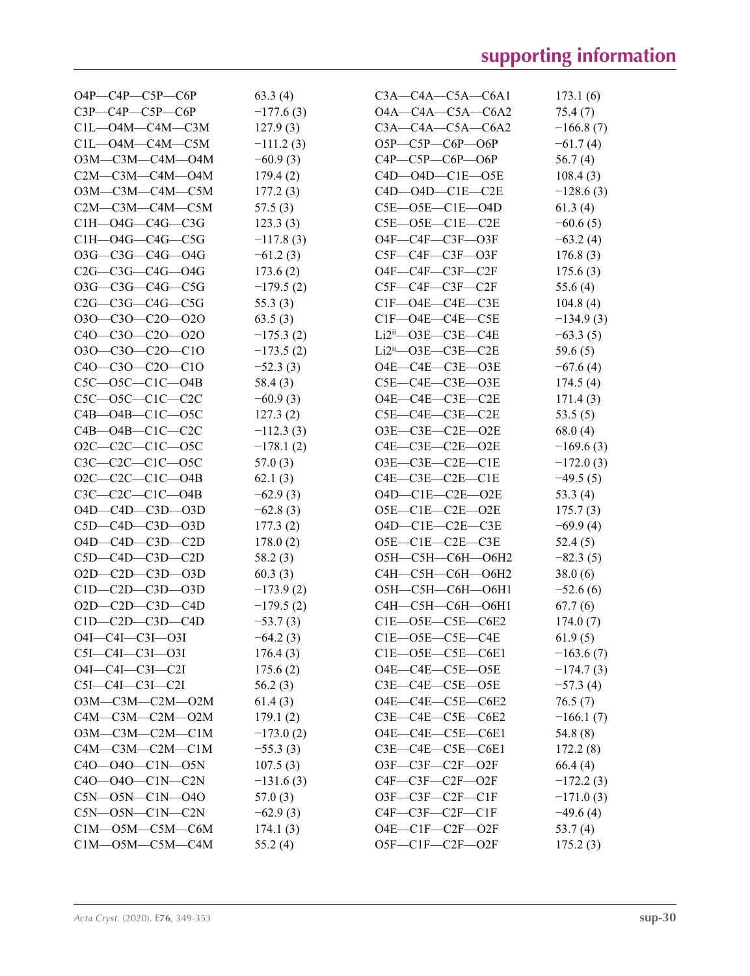| $O4P$ — $C4P$ — $C5P$ — $C6P$ | 63.3(4)     | $C3A - C4A - C5A - C6A1$        | 173.1(6)    |
|-------------------------------|-------------|---------------------------------|-------------|
| $C3P - C4P - C5P - C6P$       | $-177.6(3)$ | $O4A - C4A - C5A - C6A2$        | 75.4(7)     |
| $C1L$ — $O4M$ — $C4M$ — $C3M$ | 127.9(3)    | $C3A - C4A - C5A - C6A2$        | $-166.8(7)$ |
| $C1L$ — $O4M$ — $C4M$ — $C5M$ | $-111.2(3)$ | $O5P$ — $C5P$ — $C6P$ — $O6P$   | $-61.7(4)$  |
| 03M—C3M—C4M—04M               | $-60.9(3)$  | $C4P$ — $C5P$ — $C6P$ — $O6P$   | 56.7(4)     |
| $C2M$ — $C3M$ — $C4M$ — $O4M$ | 179.4(2)    | $C4D$ — $O4D$ — $C1E$ — $O5E$   | 108.4(3)    |
| O3M-C3M-C4M-C5M               | 177.2(3)    | $C4D$ — $O4D$ — $C1E$ — $C2E$   | $-128.6(3)$ |
| $C2M$ — $C3M$ — $C4M$ — $C5M$ | 57.5(3)     | $C5E$ — $O5E$ — $C1E$ — $O4D$   | 61.3(4)     |
| C1H-04G-C4G-C3G               | 123.3(3)    | $C5E$ — $O5E$ — $C1E$ — $C2E$   | $-60.6(5)$  |
| $C1H$ — $O4G$ — $C4G$ — $C5G$ | $-117.8(3)$ | $O4F$ — $C4F$ — $C3F$ — $O3F$   | $-63.2(4)$  |
| 03G-C3G-C4G-04G               | $-61.2(3)$  | C5F—C4F—C3F—O3F                 | 176.8(3)    |
| $C2G$ — $C3G$ — $C4G$ — $O4G$ | 173.6(2)    | $O4F$ — $C4F$ — $C3F$ — $C2F$   | 175.6(3)    |
| 03G-C3G-C4G-C5G               | $-179.5(2)$ | C5F—C4F—C3F—C2F                 | 55.6 $(4)$  |
| $C2G$ — $C3G$ — $C4G$ — $C5G$ | 55.3(3)     | $CIF\_O4E\_C4E\_C3E$            | 104.8(4)    |
| $O3O-C3O-C2O-O2O$             | 63.5(3)     | $CIF\_O4E\_C4E\_C5E$            | $-134.9(3)$ |
| C40-C30-C20-O2O               | $-175.3(2)$ | $Li2ii$ — $O3E$ — $C3E$ — $C4E$ | $-63.3(5)$  |
| 030-C30-C20-C10               | $-173.5(2)$ | $Li2ii$ — $O3E$ — $C3E$ — $C2E$ | 59.6(5)     |
| $C40-C30-C20-C10$             | $-52.3(3)$  | $O4E$ — $C4E$ — $C3E$ — $O3E$   | $-67.6(4)$  |
| $C5C$ — $O5C$ — $C1C$ — $O4B$ | 58.4(3)     | $C5E-C4E-C3E$ — $O3E$           | 174.5(4)    |
| $C5C$ — $O5C$ — $C1C$ — $C2C$ | $-60.9(3)$  | O4E-C4E-C3E-C2E                 | 171.4(3)    |
| $C4B - O4B - C1C - O5C$       | 127.3(2)    | $C5E\_C4E\_C3E\_C2E$            | 53.5 $(5)$  |
| $C4B - O4B - C1C - C2C$       | $-112.3(3)$ | $O3E-C3E-C2E$ -O2E              | 68.0(4)     |
| $O2C-C2C-C1C-O5C$             | $-178.1(2)$ | $C4E$ — $C3E$ — $C2E$ — $O2E$   | $-169.6(3)$ |
| $C3C-C2C-C1C$ -O5C            | 57.0(3)     | $O3E$ — $C3E$ — $C2E$ — $C1E$   | $-172.0(3)$ |
| $O2C-C2C-C1C-O4B$             | 62.1(3)     | $C4E - C3E - C2E - C1E$         | $-49.5(5)$  |
| $C3C-C2C-C1C-04B$             | $-62.9(3)$  | $O4D-C1E-C2E$ - $O2E$           | 53.3 $(4)$  |
| $O4D$ — $C4D$ — $C3D$ — $O3D$ | $-62.8(3)$  | $O5E-C1E-C2E-O2E$               | 175.7(3)    |
| $C5D-C4D-C3D-O3D$             | 177.3(2)    | $O4D-C1E-C2E-C3E$               | $-69.9(4)$  |
| O4D-C4D-C3D-C2D               | 178.0(2)    | $O5E-C1E-C2E-C3E$               | 52.4(5)     |
| $C5D$ — $C4D$ — $C3D$ — $C2D$ | 58.2(3)     | О5Н—С5Н—С6Н—О6Н2                | $-82.3(5)$  |
| $O2D - C2D - C3D - O3D$       | 60.3(3)     | С4Н-С5Н-С6Н-О6Н2                | 38.0(6)     |
| $C1D - C2D - C3D - O3D$       | $-173.9(2)$ | О5Н-С5Н-С6Н-О6Н1                | $-52.6(6)$  |
| $O2D$ — $C2D$ — $C3D$ — $C4D$ | $-179.5(2)$ | С4Н-С5Н-С6Н-О6Н1                | 67.7(6)     |
| $C1D-C2D-C3D-C4D$             | $-53.7(3)$  | $C1E$ $-$ O5E $-$ C5E $-$ C6E2  | 174.0(7)    |
| O4I-C4I-C3I-O3I               | $-64.2(3)$  | $CIE$ — $O5E$ — $C5E$ — $C4E$   | 61.9(5)     |
| $C5I - C4I - C3I - 03I$       | 176.4(3)    | $CIE$ — $O5E$ — $C5E$ — $C6E1$  | $-163.6(7)$ |
| O4I-C4I-C3I-C2I               | 175.6(2)    | O4E-C4E-C5E-O5E                 | $-174.7(3)$ |
| $C5I-C4I-C3I-C2I$             | 56.2(3)     | $C3E-C4E-C5E$ — $O5E$           | $-57.3(4)$  |
| O3M-C3M-C2M-O2M               | 61.4(3)     | O4E-C4E-C5E-C6E2                | 76.5(7)     |
| C4M-C3M-C2M-O2M               | 179.1(2)    | $C3E-C4E-C5E-C6E2$              | $-166.1(7)$ |
| $O3M$ — $C3M$ — $C2M$ — $C1M$ | $-173.0(2)$ | $O4E$ — $C4E$ — $C5E$ — $C6E1$  | 54.8 (8)    |
| $C4M$ — $C3M$ — $C2M$ — $C1M$ | $-55.3(3)$  | $C3E-C4E-C5E-C6E1$              | 172.2(8)    |
| $C40 - 040 - C1N - 05N$       | 107.5(3)    | O3F-C3F-C2F-O2F                 | 66.4(4)     |
| C4O-04O-C1N-C2N               | $-131.6(3)$ | $C4F-C3F-C2F-O2F$               | $-172.2(3)$ |
| $C5N$ — $O5N$ — $C1N$ — $O4O$ | 57.0(3)     | $O3F$ — $C3F$ — $C2F$ — $C1F$   | $-171.0(3)$ |
| $C5N$ — $O5N$ — $C1N$ — $C2N$ | $-62.9(3)$  | $C4F$ — $C3F$ — $C2F$ — $C1F$   | $-49.6(4)$  |
| $C1M$ — $O5M$ — $C5M$ — $C6M$ | 174.1(3)    | $O4E$ — $ClF$ — $C2F$ — $O2F$   | 53.7(4)     |
| $C1M$ — $O5M$ — $C5M$ — $C4M$ | 55.2(4)     | $O5F-C1F-C2F-O2F$               | 175.2(3)    |
|                               |             |                                 |             |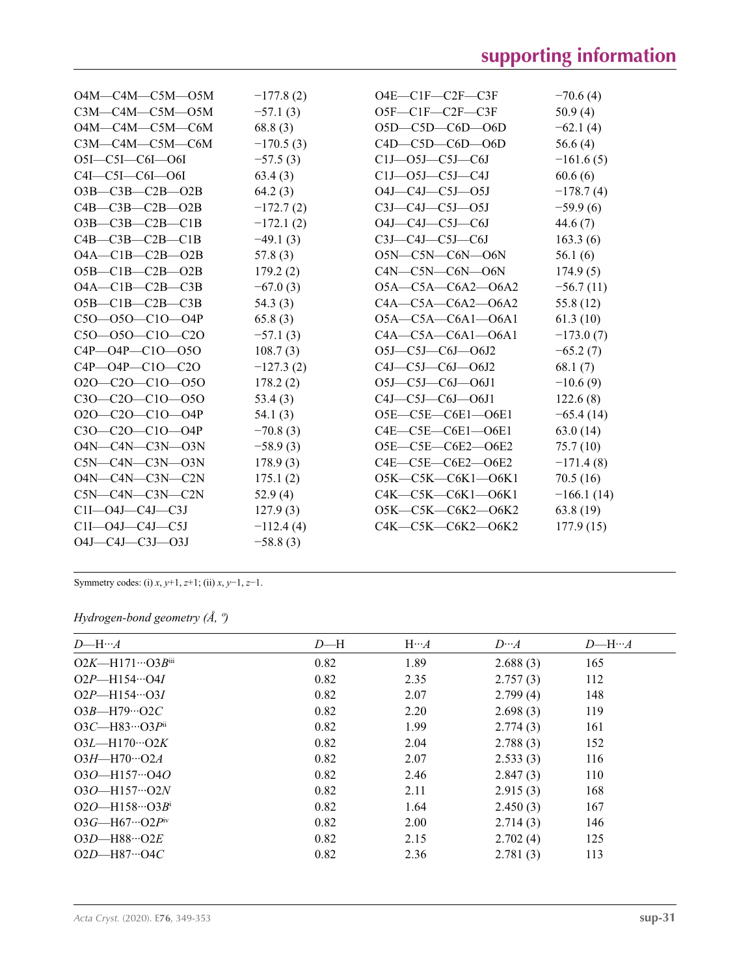| $O4M - C4M - C5M - O5M$       | $-177.8(2)$ | $O4E$ — $ClF$ — $C2F$ — $C3F$   | $-70.6(4)$   |
|-------------------------------|-------------|---------------------------------|--------------|
| C3M-C4M-C5M-05M               | $-57.1(3)$  | O5F-C1F-C2F-C3F                 | 50.9(4)      |
| O4M-C4M-C5M-C6M               | 68.8(3)     | $O5D$ — $C5D$ — $COD$           | $-62.1(4)$   |
| C3M-C4M-C5M-C6M               | $-170.5(3)$ | $C4D$ — $C5D$ — $C6D$ — $O6D$   | 56.6 $(4)$   |
| $O5I - C5I - COI - O6I$       | $-57.5(3)$  | $C1J$ — $O5J$ — $C5J$ — $C6J$   | $-161.6(5)$  |
| $C4I - C5I - C6I - O6I$       | 63.4(3)     | $C1J$ — $O5J$ — $C5J$ — $C4J$   | 60.6(6)      |
| $O3B$ — $C3B$ — $C2B$ — $O2B$ | 64.2(3)     | $O4J$ — $C4J$ — $C5J$ — $O5J$   | $-178.7(4)$  |
| $C4B - C3B - C2B - O2B$       | $-172.7(2)$ | $C3J-C4J-C5J-O5J$               | $-59.9(6)$   |
| $O3B$ — $C3B$ — $C2B$ — $C1B$ | $-172.1(2)$ | O4J—C4J—C5J—C6J                 | 44.6(7)      |
| $C4B - C3B - C2B - C1B$       | $-49.1(3)$  | $C3J$ — $C4J$ — $C5J$ — $C6J$   | 163.3(6)     |
| $O4A - C1B - C2B - O2B$       | 57.8(3)     | O5N-C5N-C6N-O6N                 | 56.1(6)      |
| $O5B-C1B-C2B-O2B$             | 179.2(2)    | C4N-C5N-C6N-O6N                 | 174.9(5)     |
| $O4A - C1B - C2B - C3B$       | $-67.0(3)$  | $O5A - C5A - C6A2 - O6A2$       | $-56.7(11)$  |
| $O5B-C1B-C2B-C3B$             | 54.3(3)     | $C4A - C5A - C6A2 - 06A2$       | 55.8 (12)    |
| $C50 - 050 - C10 - 04P$       | 65.8(3)     | $O5A-C5A-C6A1-O6A1$             | 61.3(10)     |
| $C50 - 050 - C10 - C20$       | $-57.1(3)$  | $C4A - C5A - C6A1 - 06A1$       | $-173.0(7)$  |
| $C4P - O4P - C1O - O5O$       | 108.7(3)    | $O5J$ — $C5J$ — $C6J$ — $O6J2$  | $-65.2(7)$   |
| $C4P - O4P - C1O - C2O$       | $-127.3(2)$ | $C4J-C5J-C6J-O6J2$              | 68.1(7)      |
| $O2O-C2O-C1O-O5O$             | 178.2(2)    | $O5J-C5J-C6J-O6J1$              | $-10.6(9)$   |
| $C30-C20-C10-050$             | 53.4(3)     | $C4J - C5J - C6J - O6J1$        | 122.6(8)     |
| $O2O-C2O-C1O-O4P$             | 54.1(3)     | O5E-C5E-C6E1-O6E1               | $-65.4(14)$  |
| $C30-C20-C10-04P$             | $-70.8(3)$  | $C4E$ — $C5E$ — $C6E1$ — $O6E1$ | 63.0(14)     |
| O4N-C4N-C3N-O3N               | $-58.9(3)$  | O5E-C5E-C6E2-O6E2               | 75.7(10)     |
| $C5N-C4N-C3N-03N$             | 178.9(3)    | $C4E$ — $C5E$ — $C6E2$ — $O6E2$ | $-171.4(8)$  |
| O4N-C4N-C3N-C2N               | 175.1(2)    | O5K-C5K-C6K1-O6K1               | 70.5(16)     |
| $C5N$ — $C4N$ — $C3N$ — $C2N$ | 52.9(4)     | C4K—C5K—C6K1—O6K1               | $-166.1(14)$ |
| $C1I$ — $O4J$ — $C4J$ — $C3J$ | 127.9(3)    | O5K-C5K-C6K2-O6K2               | 63.8(19)     |
| $C1I$ — $O4J$ — $C4J$ — $C5J$ | $-112.4(4)$ | C4K-C5K-C6K2-O6K2               | 177.9(15)    |
| $O4J - C4J - C3J - O3J$       | $-58.8(3)$  |                                 |              |

Symmetry codes: (i) *x*, *y*+1, *z*+1; (ii) *x*, *y*−1, *z*−1.

### *Hydrogen-bond geometry (Å, º)*

| $D$ —H… $A$                       | $D - H$ | $H \cdots A$ | $D \cdots A$ | $D$ —H… $A$ |
|-----------------------------------|---------|--------------|--------------|-------------|
| $O2K$ —H171… $O3B$ <sup>iii</sup> | 0.82    | 1.89         | 2.688(3)     | 165         |
| $O2P$ —H154…O4I                   | 0.82    | 2.35         | 2.757(3)     | 112         |
| $O2P$ —H154…O3I                   | 0.82    | 2.07         | 2.799(4)     | 148         |
| $O3B$ —H79…O2C                    | 0.82    | 2.20         | 2.698(3)     | 119         |
| $O3C$ —H83… $O3P$ <sup>ii</sup>   | 0.82    | 1.99         | 2.774(3)     | 161         |
| $O3L$ —H170… $O2K$                | 0.82    | 2.04         | 2.788(3)     | 152         |
| $O3H$ —H70…O2A                    | 0.82    | 2.07         | 2.533(3)     | 116         |
| $O3O$ -H157… $O4O$                | 0.82    | 2.46         | 2.847(3)     | 110         |
| $O3O$ —H157… $O2N$                | 0.82    | 2.11         | 2.915(3)     | 168         |
| $O2O$ —H158…O3Bi                  | 0.82    | 1.64         | 2.450(3)     | 167         |
| $O3G$ —H67…O2Piv                  | 0.82    | 2.00         | 2.714(3)     | 146         |
| $O3D$ —H88… $O2E$                 | 0.82    | 2.15         | 2.702(4)     | 125         |
| $O2D$ —H87…O4C                    | 0.82    | 2.36         | 2.781(3)     | 113         |
|                                   |         |              |              |             |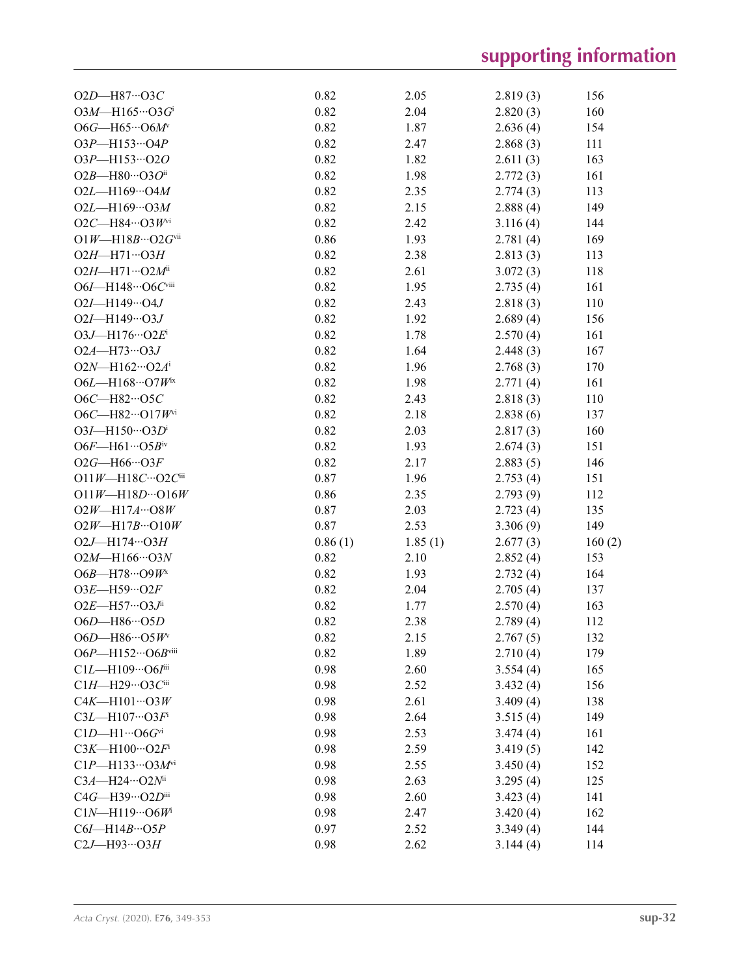| O2D-H87…O3C                                               | 0.82         | 2.05         | 2.819(3) | 156        |
|-----------------------------------------------------------|--------------|--------------|----------|------------|
| $O3M$ —H165…O3 $Gi$                                       | 0.82         | 2.04         | 2.820(3) | 160        |
| O6G-H65…O6M                                               | 0.82         | 1.87         | 2.636(4) | 154        |
| $O3P - H153 \cdots O4P$                                   | 0.82         | 2.47         | 2.868(3) | 111        |
| 03P-H153…020                                              | 0.82         | 1.82         | 2.611(3) | 163        |
| $O2B$ —H80…O3Oii                                          | 0.82         | 1.98         | 2.772(3) | 161        |
| $O2L$ —H169…O4M                                           | 0.82         | 2.35         | 2.774(3) | 113        |
| $O2L - H169 \cdots O3M$                                   | 0.82         | 2.15         | 2.888(4) | 149        |
| $O2C$ —H84…O3 $W^{vi}$                                    | 0.82         | 2.42         | 3.116(4) | 144        |
| $O1W$ —H18B…O2Gvii                                        | 0.86         | 1.93         | 2.781(4) | 169        |
| $O2H$ -H71… $O3H$                                         | 0.82         | 2.38         | 2.813(3) | 113        |
| $O2H$ —H71… $O2M$ <sup>ii</sup>                           | 0.82         | 2.61         | 3.072(3) | 118        |
| O6I-H148…O6Cviii                                          | 0.82         | 1.95         | 2.735(4) | 161        |
| $O2I - H149 \cdots O4J$                                   | 0.82         | 2.43         | 2.818(3) | 110        |
| $O2I - H149 \cdots O3J$                                   | 0.82         | 1.92         | 2.689(4) | 156        |
| $O3J$ —H176… $O2E^i$                                      | 0.82         | 1.78         | 2.570(4) | 161        |
| $O2A - H73 \cdots O3J$                                    | 0.82         | 1.64         | 2.448(3) | 167        |
| $O2N$ —H162…O2 $A^{i}$                                    | 0.82         | 1.96         | 2.768(3) | 170        |
| $O6L$ —H168…O7 $W^{ix}$                                   | 0.82         | 1.98         | 2.771(4) | 161        |
| O6C-H82…O5C                                               | 0.82         | 2.43         | 2.818(3) | 110        |
| O6C-H82…O17Wvi                                            | 0.82         | 2.18         | 2.838(6) | 137        |
| $O3I$ —H150… $O3D^i$                                      | 0.82         | 2.03         | 2.817(3) | 160        |
| $O6F$ —H61… $O5B$ iv                                      | 0.82         | 1.93         | 2.674(3) | 151        |
| $O2G$ —H66…O3F                                            | 0.82         | 2.17         |          | 146        |
|                                                           | 0.87         |              | 2.883(5) |            |
| $O11W - H18C \cdots O2C$ iii<br>$O11W - H18D \cdots O16W$ | 0.86         | 1.96<br>2.35 | 2.753(4) | 151        |
|                                                           |              |              | 2.793(9) | 112        |
| $O2W$ —H17A… $O8W$                                        | 0.87<br>0.87 | 2.03<br>2.53 | 2.723(4) | 135<br>149 |
| $O2W$ —H17B… $O10W$                                       |              |              | 3.306(9) |            |
| $O2J$ -H174… $O3H$                                        | 0.86(1)      | 1.85(1)      | 2.677(3) | 160(2)     |
| $O2M$ —H166…O3N                                           | 0.82         | 2.10         | 2.852(4) | 153        |
| $O6B$ —H78…O9 $W^x$                                       | 0.82         | 1.93         | 2.732(4) | 164        |
| $O3E$ -H59… $O2F$                                         | 0.82         | 2.04         | 2.705(4) | 137        |
| $O2E$ —H57…O3J <sup>ii</sup>                              | 0.82         | 1.77         | 2.570(4) | 163        |
| O6D-H86…O5D                                               | 0.82         | 2.38         | 2.789(4) | 112        |
| $O6D$ —H86…O5 $W^v$                                       | 0.82         | 2.15         | 2.767(5) | 132        |
| O6P-H152…O6Bviii                                          | 0.82         | 1.89         | 2.710(4) | 179        |
| C1L-H109…O6Iiii                                           | 0.98         | 2.60         | 3.554(4) | 165        |
| C1H-H29…O3Ciii                                            | 0.98         | 2.52         | 3.432(4) | 156        |
| $C4K$ —H101…O3W                                           | 0.98         | 2.61         | 3.409(4) | 138        |
| $C3L$ —H107…O3 $Fi$                                       | 0.98         | 2.64         | 3.515(4) | 149        |
| $C1D-H1\cdots$ O6Gvi                                      | 0.98         | 2.53         | 3.474(4) | 161        |
| $C3K$ —H100…O2 $Fi$                                       | 0.98         | 2.59         | 3.419(5) | 142        |
| $ClP$ —H133…O3 $M$ <sup>vi</sup>                          | 0.98         | 2.55         | 3.450(4) | 152        |
| C3A-H24…O2Nii                                             | 0.98         | 2.63         | 3.295(4) | 125        |
| $C4G$ —H39…O2Diii                                         | 0.98         | 2.60         | 3.423(4) | 141        |
| $C1N$ —H119…O6 $Wi$                                       | 0.98         | 2.47         | 3.420(4) | 162        |
| $C6I$ —H14B…O5P                                           | 0.97         | 2.52         | 3.349(4) | 144        |
| $C2J$ -H93…O3H                                            | 0.98         | 2.62         | 3.144(4) | 114        |